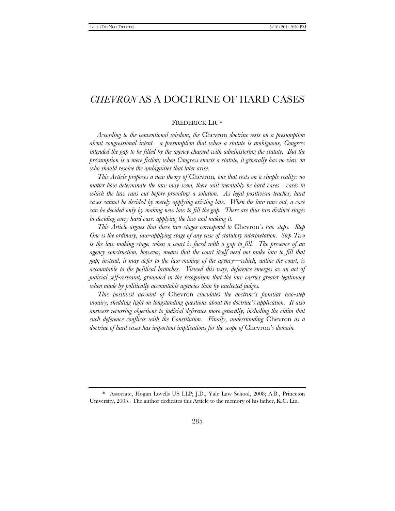## FREDERICK LIU[∗](#page-0-0)

*According to the conventional wisdom, the* Chevron *doctrine rests on a presumption about congressional intent—a presumption that when a statute is ambiguous, Congress*  intended the gap to be filled by the agency charged with administering the statute. But the *presumption is a mere fiction; when Congress enacts a statute, it generally has no view on who should resolve the ambiguities that later arise.*

*This Article proposes a new theory of* Chevron*, one that rests on a simple reality: no matter how determinate the law may seem, there will inevitably be hard cases—cases in which the law runs out before providing a solution. As legal positivism teaches, hard cases cannot be decided by merely applying existing law. When the law runs out, a case can be decided only by making new law to fill the gap. There are thus two distinct stages in deciding every hard case: applying the law and making it.*

*This Article argues that these two stages correspond to* Chevron*'s two steps. Step One is the ordinary, law-applying stage of any case of statutory interpretation. Step Two*  is the law-making stage, when a court is faced with a gap to fill. The presence of an agency construction, however, means that the court itself need not make law to fill that *gap; instead, it may defer to the law-making of the agency—which, unlike the court, is accountable to the political branches. Viewed this way, deference emerges as an act of judicial self-restraint, grounded in the recognition that the law carries greater legitimacy when made by politically accountable agencies than by unelected judges.*

*This positivist account of* Chevron *elucidates the doctrine's familiar two-step inquiry, shedding light on longstanding questions about the doctrine's application. It also answers recurring objections to judicial deference more generally, including the claim that such deference conflicts with the Constitution. Finally, understanding* Chevron *as a doctrine of hard cases has important implications for the scope of* Chevron*'s domain.*

<span id="page-0-0"></span><sup>\*</sup> Associate, Hogan Lovells US LLP; J.D., Yale Law School, 2008; A.B., Princeton University, 2005. The author dedicates this Article to the memory of his father, K.C. Liu.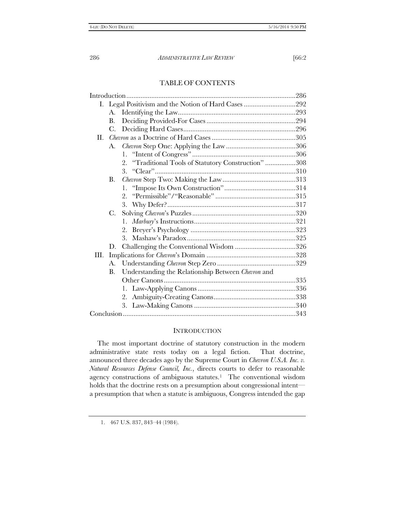# TABLE OF CONTENTS

|    | А.        |                                                         |  |
|----|-----------|---------------------------------------------------------|--|
|    | B.        |                                                         |  |
|    | C.        |                                                         |  |
| П. |           |                                                         |  |
|    | A.        |                                                         |  |
|    |           |                                                         |  |
|    |           | "Traditional Tools of Statutory Construction" 308<br>2. |  |
|    |           |                                                         |  |
|    | <b>B.</b> |                                                         |  |
|    |           |                                                         |  |
|    |           |                                                         |  |
|    |           |                                                         |  |
|    | C.        |                                                         |  |
|    |           | 1.                                                      |  |
|    |           | 2.                                                      |  |
|    |           | 3.                                                      |  |
|    | D.        |                                                         |  |
| Ш. |           |                                                         |  |
|    |           |                                                         |  |
|    | B.        | Understanding the Relationship Between Chevron and      |  |
|    |           |                                                         |  |
|    |           | 1.                                                      |  |
|    |           | 2.                                                      |  |
|    |           |                                                         |  |
|    |           |                                                         |  |

# **INTRODUCTION**

The most important doctrine of statutory construction in the modern administrative state rests today on a legal fiction. That doctrine, announced three decades ago by the Supreme Court in *Chevron U.S.A. Inc. v. Natural Resources Defense Council, Inc.*, directs courts to defer to reasonable agency constructions of ambiguous statutes.[1](#page-1-0) The conventional wisdom holds that the doctrine rests on a presumption about congressional intent a presumption that when a statute is ambiguous, Congress intended the gap

<span id="page-1-0"></span><sup>1.</sup> 467 U.S. 837, 843–44 (1984).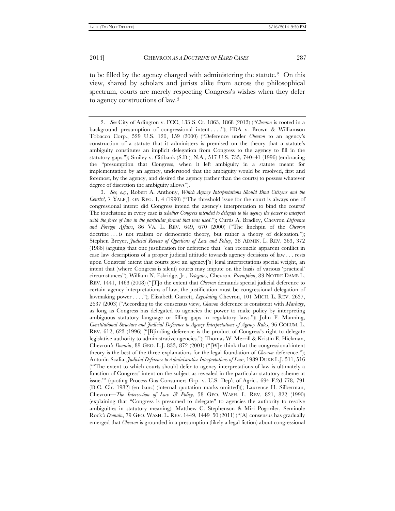to be filled by the agency charged with administering the statute.[2](#page-2-0) On this view, shared by scholars and jurists alike from across the philosophical spectrum, courts are merely respecting Congress's wishes when they defer to agency constructions of law.[3](#page-2-1)

<span id="page-2-0"></span><sup>2.</sup> *See* City of Arlington v. FCC, 133 S. Ct. 1863, 1868 (2013) ("*Chevron* is rooted in a background presumption of congressional intent . . . ."); FDA v. Brown & Williamson Tobacco Corp., 529 U.S. 120, 159 (2000) ("Deference under *Chevron* to an agency's construction of a statute that it administers is premised on the theory that a statute's ambiguity constitutes an implicit delegation from Congress to the agency to fill in the statutory gaps."); Smiley v. Citibank (S.D.), N.A., 517 U.S. 735, 740–41 (1996) (embracing the "presumption that Congress, when it left ambiguity in a statute meant for implementation by an agency, understood that the ambiguity would be resolved, first and foremost, by the agency, and desired the agency (rather than the courts) to possess whatever degree of discretion the ambiguity allows").

<span id="page-2-1"></span><sup>3.</sup> *See, e.g.*, Robert A. Anthony, *Which Agency Interpretations Should Bind Citizens and the Courts?*, 7 YALE J. ON REG. 1, 4 (1990) ("The threshold issue for the court is always one of congressional intent: did Congress intend the agency's interpretation to bind the courts? The touchstone in every case is *whether Congress intended to delegate to the agency the power to interpret with the force of law in the particular format that was used*."); Curtis A. Bradley, Chevron *Deference and Foreign Affairs*, 86 VA. L. REV. 649, 670 (2000) ("The linchpin of the *Chevron* doctrine . . . is not realism or democratic theory, but rather a theory of delegation."); Stephen Breyer, *Judicial Review of Questions of Law and Policy*, 38 ADMIN. L. REV. 363, 372 (1986) (arguing that one justification for deference that "can reconcile apparent conflict in case law descriptions of a proper judicial attitude towards agency decisions of law . . . rests upon Congress' intent that courts give an agency['s] legal interpretations special weight, an intent that (where Congress is silent) courts may impute on the basis of various 'practical' circumstances"); William N. Eskridge, Jr., *Vetogates,* Chevron*, Preemption*, 83 NOTRE DAME L. REV. 1441, 1463 (2008) ("[T]o the extent that *Chevron* demands special judicial deference to certain agency interpretations of law, the justification must be congressional delegation of lawmaking power . . . ."); Elizabeth Garrett, *Legislating* Chevron, 101 MICH. L. REV. 2637, 2637 (2003) ("According to the consensus view, *Chevron* deference is consistent with *Marbury*, as long as Congress has delegated to agencies the power to make policy by interpreting ambiguous statutory language or filling gaps in regulatory laws."); John F. Manning, *Constitutional Structure and Judicial Deference to Agency Interpretations of Agency Rules*, 96 COLUM. L. REV. 612, 623 (1996) ("[B]inding deference is the product of Congress's right to delegate legislative authority to administrative agencies."); Thomas W. Merrill & Kristin E. Hickman, Chevron*'s Domain*, 89 GEO. L.J. 833, 872 (2001) ("[W]e think that the congressional-intent theory is the best of the three explanations for the legal foundation of *Chevron* deference."); Antonin Scalia, *Judicial Deference to Administrative Interpretations of Law*, 1989 DUKE L.J. 511, 516 ("'The extent to which courts should defer to agency interpretations of law is ultimately a function of Congress' intent on the subject as revealed in the particular statutory scheme at issue.'" (quoting Process Gas Consumers Grp. v. U.S. Dep't of Agric., 694 F.2d 778, 791 (D.C. Cir. 1982) (en banc) (internal quotation marks omitted))); Laurence H. Silberman, Chevron*—The Intersection of Law & Policy*, 58 GEO. WASH. L. REV. 821, 822 (1990) (explaining that "Congress is presumed to delegate" to agencies the authority to resolve ambiguities in statutory meaning); Matthew C. Stephenson & Miri Pogoriler, Seminole Rock*'s Domain*, 79 GEO. WASH. L. REV. 1449, 1449–50 (2011) ("[A] consensus has gradually emerged that *Chevron* is grounded in a presumption (likely a legal fiction) about congressional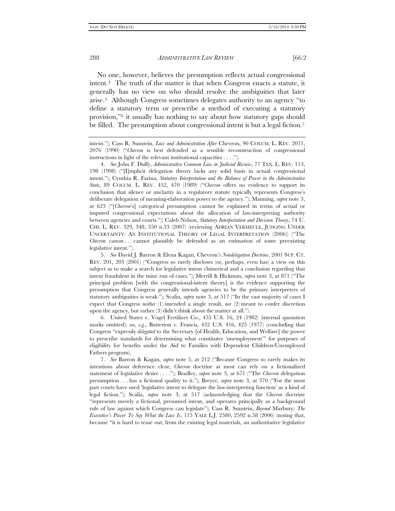No one, however, believes the presumption reflects actual congressional intent.[4](#page-3-0) The truth of the matter is that when Congress enacts a statute, it generally has no view on who should resolve the ambiguities that later arise.[5](#page-3-1) Although Congress sometimes delegates authority to an agency "to define a statutory term or prescribe a method of executing a statutory provision,"[6](#page-3-2) it usually has nothing to say about how statutory gaps should be filled. The presumption about congressional intent is but a legal fiction.<sup>[7](#page-3-3)</sup>

<span id="page-3-2"></span>6. United States v. Vogel Fertilizer Co., 455 U.S. 16, 24 (1982) (internal quotation marks omitted); *see, e.g.*, Batterton v. Francis, 432 U.S. 416, 425 (1977) (concluding that Congress "expressly *delegated* to the Secretary [of Health, Education, and Welfare] the power to prescribe standards for determining what constitutes 'unemployment'" for purposes of eligibility for benefits under the Aid to Families with Dependent Children-Unemployed Fathers program).

<span id="page-3-3"></span>7. *See* Barron & Kagan, *supra* note 5, at 212 ("Because Congress so rarely makes its intentions about deference clear, *Chevron* doctrine at most can rely on a fictionalized statement of legislative desire . . . ."); Bradley, *supra* note 3, at 671 ("The *Chevron* delegation presumption . . . has a fictional quality to it."); Breyer, *supra* note 3, at 370 ("For the most part courts have used 'legislative intent to delegate the law-interpreting function' as a kind of legal fiction."); Scalia, *supra* note 3, at 517 (acknowledging that the *Chevron* doctrine "represents merely a fictional, presumed intent, and operates principally as a background rule of law against which Congress can legislate"); Cass R. Sunstein, *Beyond* Marbury*: The Executive's Power To Say What the Law Is*, 115 YALE L.J. 2580, 2592 n.58 (2006) (noting that, because "it is hard to tease out, from the existing legal materials, an authoritative legislative

intent."); Cass R. Sunstein, *Law and Administration After* Chevron, 90 COLUM. L. REV. 2071, 2076 (1990) ("*Chevron* is best defended as a sensible reconstruction of congressional instructions in light of the relevant institutional capacities . . . .").

<span id="page-3-0"></span><sup>4.</sup> *See* John F. Duffy, *Administrative Common Law in Judicial Review*, 77 TEX. L. REV. 113, 198 (1998) ("[I]mplicit delegation theory lacks any solid basis in actual congressional intent."); Cynthia R. Farina, *Statutory Interpretation and the Balance of Power in the Administrative State*, 89 COLUM. L. REV. 452, 470 (1989) ("*Chevron* offers no evidence to support its conclusion that silence or unclarity in a regulatory statute typically represents Congress's deliberate delegation of meaning-elaboration power to the agency."); Manning, *supra* note 3, at 623 ("[*Chevron*'s] categorical presumption cannot be explained in terms of actual or imputed congressional expectations about the allocation of law-interpreting authority between agencies and courts."); Caleb Nelson, *Statutory Interpretation and Decision Theory*, 74 U. CHI. L. REV. 329, 348, 350 n.33 (2007) (reviewing ADRIAN VERMEULE, JUDGING UNDER UNCERTAINTY: AN INSTITUTIONAL THEORY OF LEGAL INTERPRETATION (2006)) ("The *Chevron* canon . . . cannot plausibly be defended as an estimation of some preexisting legislative intent.").

<span id="page-3-1"></span><sup>5.</sup> *See* David J. Barron & Elena Kagan, Chevron*'s Nondelegation Doctrine*, 2001 SUP. CT. REV. 201, 203 (2001) ("Congress so rarely discloses (or, perhaps, even has) a view on this subject as to make a search for legislative intent chimerical and a conclusion regarding that intent fraudulent in the mine run of cases."); Merrill & Hickman, *supra* note 3, at 871 ("The principal problem [with the congressional-intent theory] is the evidence supporting the presumption that Congress generally intends agencies to be the primary interpreters of statutory ambiguities is weak."); Scalia, *supra* note 3, at 517 ("In the vast majority of cases I expect that Congress *neither* (1) intended a single result, *nor* (2) meant to confer discretion upon the agency, but rather (3) didn't think about the matter at all.").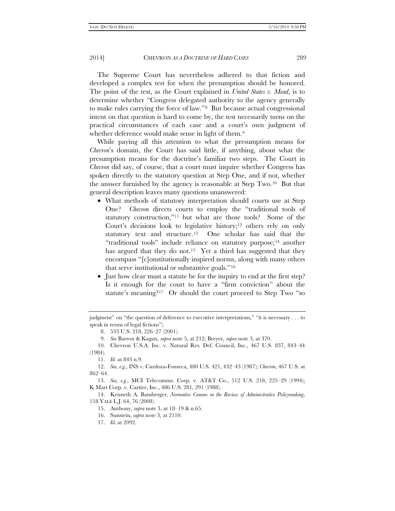The Supreme Court has nevertheless adhered to that fiction and developed a complex test for when the presumption should be honored. The point of the test, as the Court explained in *United States v. Mead*, is to determine whether "Congress delegated authority to the agency generally to make rules carrying the force of law."[8](#page-4-0) But because actual congressional intent on that question is hard to come by, the test necessarily turns on the practical circumstances of each case and a court's own judgment of whether deference would make sense in light of them.<sup>[9](#page-4-1)</sup>

While paying all this attention to what the presumption means for *Chevron*'s domain, the Court has said little, if anything, about what the presumption means for the doctrine's familiar two steps. The Court in *Chevron* did say, of course, that a court must inquire whether Congress has spoken directly to the statutory question at Step One, and if not, whether the answer furnished by the agency is reasonable at Step Two.[10](#page-4-2) But that general description leaves many questions unanswered:

- What methods of statutory interpretation should courts use at Step One? *Chevron* directs courts to employ the "traditional tools of statutory construction,"[11](#page-4-3) but what are those tools? Some of the Court's decisions look to legislative history[;12](#page-4-4) others rely on only statutory text and structure.[13](#page-4-5) One scholar has said that the "traditional tools" include reliance on statutory purpose;<sup>[14](#page-4-6)</sup> another has argued that they do not.<sup>15</sup> Yet a third has suggested that they encompass "[c]onstitutionally inspired norms, along with many others that serve institutional or substantive goals."[16](#page-4-8)
- Just how clear must a statute be for the inquiry to end at the first step? Is it enough for the court to have a "firm conviction" about the statute's meaning?[17](#page-4-9) Or should the court proceed to Step Two "so

<span id="page-4-0"></span>judgment" on "the question of deference to executive interpretations," "it is necessary . . . to speak in terms of legal fictions").

<sup>8.</sup> 533 U.S. 218, 226–27 (2001).

<sup>9.</sup> *See* Barron & Kagan, *supra* note 5, at 212; Breyer, *supra* note 3, at 370.

<span id="page-4-2"></span><span id="page-4-1"></span><sup>10.</sup> Chevron U.S.A. Inc. v. Natural Res. Def. Council, Inc., 467 U.S. 837, 843–44 (1984).

<sup>11.</sup> *Id.* at 843 n.9.

<span id="page-4-4"></span><span id="page-4-3"></span><sup>12.</sup> *See, e.g.*, INS v. Cardoza-Fonseca, 480 U.S. 421, 432–43 (1987); *Chevron*, 467 U.S. at 862–64.

<span id="page-4-5"></span><sup>13.</sup> *See, e.g.*, MCI Telecomms. Corp. v. AT&T Co., 512 U.S. 218, 225–29 (1994); K Mart Corp. v. Cartier, Inc., 486 U.S. 281, 291 (1988).

<span id="page-4-9"></span><span id="page-4-8"></span><span id="page-4-7"></span><span id="page-4-6"></span><sup>14.</sup> Kenneth A. Bamberger, *Normative Canons in the Review of Administrative Policymaking*, 118 YALE L.J. 64, 76 (2008).

<sup>15.</sup> Anthony, *supra* note 3, at 18–19 & n.65.

<sup>16.</sup> Sunstein, *supra* note 3, at 2110.

<sup>17.</sup> *Id.* at 2092.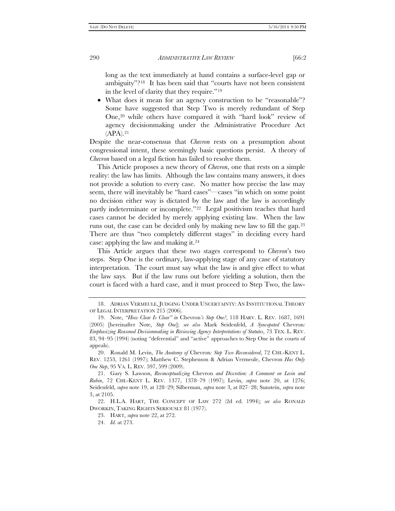long as the text immediately at hand contains a surface-level gap or ambiguity"?[18](#page-5-0) It has been said that "courts have not been consistent in the level of clarity that they require."[19](#page-5-1)

• What does it mean for an agency construction to be "reasonable"? Some have suggested that Step Two is merely redundant of Step One[,20](#page-5-2) while others have compared it with "hard look" review of agency decisionmaking under the Administrative Procedure Act  $(APA).<sup>21</sup>$  $(APA).<sup>21</sup>$  $(APA).<sup>21</sup>$ 

Despite the near-consensus that *Chevron* rests on a presumption about congressional intent, these seemingly basic questions persist. A theory of *Chevron* based on a legal fiction has failed to resolve them.

This Article proposes a new theory of *Chevron*, one that rests on a simple reality: the law has limits. Although the law contains many answers, it does not provide a solution to every case. No matter how precise the law may seem, there will inevitably be "hard cases"—cases "in which on some point no decision either way is dictated by the law and the law is accordingly partly indeterminate or incomplete."<sup>22</sup> Legal positivism teaches that hard cases cannot be decided by merely applying existing law. When the law runs out, the case can be decided only by making new law to fill the gap.[23](#page-5-5)  There are thus "two completely different stages" in deciding every hard case: applying the law and making it[.24](#page-5-6)

This Article argues that these two stages correspond to *Chevron*'s two steps. Step One is the ordinary, law-applying stage of any case of statutory interpretation. The court must say what the law is and give effect to what the law says. But if the law runs out before yielding a solution, then the court is faced with a hard case, and it must proceed to Step Two, the law-

23. HART, *supra* note 22, at 272.

<span id="page-5-0"></span><sup>18.</sup> ADRIAN VERMEULE, JUDGING UNDER UNCERTAINTY: AN INSTITUTIONAL THEORY OF LEGAL INTERPRETATION 215 (2006).

<span id="page-5-1"></span><sup>19.</sup> Note, *"How Clear Is Clear" in* Chevron*'s Step One?*, 118 HARV. L. REV. 1687, 1691 (2005) [hereinafter Note, *Step One*]; *see also* Mark Seidenfeld, *A Syncopated* Chevron*: Emphasizing Reasoned Decisionmaking in Reviewing Agency Interpretations of Statutes*, 73 TEX. L. REV. 83, 94–95 (1994) (noting "deferential" and "active" approaches to Step One in the courts of appeals).

<span id="page-5-2"></span><sup>20.</sup> Ronald M. Levin, *The Anatomy of* Chevron*: Step Two Reconsidered*, 72 CHI.-KENT L. REV. 1253, 1261 (1997); Matthew C. Stephenson & Adrian Vermeule, Chevron *Has Only One Step*, 95 VA. L. REV. 597, 599 (2009).

<span id="page-5-3"></span><sup>21.</sup> Gary S. Lawson, *Reconceptualizing* Chevron *and Discretion: A Comment on Levin and Rubin*, 72 CHI.-KENT L. REV. 1377, 1378–79 (1997); Levin, *supra* note 20, at 1276; Seidenfeld, *supra* note 19, at 128–29; Silberman, *supra* note 3, at 827–28; Sunstein, *supra* note 3, at 2105.

<span id="page-5-6"></span><span id="page-5-5"></span><span id="page-5-4"></span><sup>22.</sup> H.L.A. HART, THE CONCEPT OF LAW 272 (2d ed. 1994); *see also* RONALD DWORKIN, TAKING RIGHTS SERIOUSLY 81 (1977).

<sup>24.</sup> *Id.* at 273.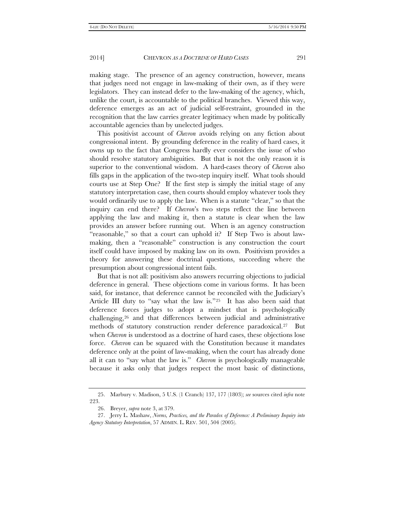making stage. The presence of an agency construction, however, means that judges need not engage in law-making of their own, as if they were legislators. They can instead defer to the law-making of the agency, which, unlike the court, is accountable to the political branches. Viewed this way, deference emerges as an act of judicial self-restraint, grounded in the recognition that the law carries greater legitimacy when made by politically accountable agencies than by unelected judges.

This positivist account of *Chevron* avoids relying on any fiction about congressional intent. By grounding deference in the reality of hard cases, it owns up to the fact that Congress hardly ever considers the issue of who should resolve statutory ambiguities. But that is not the only reason it is superior to the conventional wisdom. A hard-cases theory of *Chevron* also fills gaps in the application of the two-step inquiry itself. What tools should courts use at Step One? If the first step is simply the initial stage of any statutory interpretation case, then courts should employ whatever tools they would ordinarily use to apply the law. When is a statute "clear," so that the inquiry can end there? If *Chevron*'s two steps reflect the line between applying the law and making it, then a statute is clear when the law provides an answer before running out. When is an agency construction "reasonable," so that a court can uphold it? If Step Two is about lawmaking, then a "reasonable" construction is any construction the court itself could have imposed by making law on its own. Positivism provides a theory for answering these doctrinal questions, succeeding where the presumption about congressional intent fails.

But that is not all: positivism also answers recurring objections to judicial deference in general. These objections come in various forms. It has been said, for instance, that deference cannot be reconciled with the Judiciary's Article III duty to "say what the law is."[25](#page-6-0) It has also been said that deference forces judges to adopt a mindset that is psychologically challenging,[26](#page-6-1) and that differences between judicial and administrative methods of statutory construction render deference paradoxical.[27](#page-6-2) But when *Chevron* is understood as a doctrine of hard cases, these objections lose force. *Chevron* can be squared with the Constitution because it mandates deference only at the point of law-making, when the court has already done all it can to "say what the law is." *Chevron* is psychologically manageable because it asks only that judges respect the most basic of distinctions,

<span id="page-6-0"></span><sup>25.</sup> Marbury v. Madison, 5 U.S. (1 Cranch) 137, 177 (1803); *see* sources cited *infra* note 223.

<sup>26.</sup> Breyer, *supra* note 3, at 379.

<span id="page-6-2"></span><span id="page-6-1"></span><sup>27.</sup> Jerry L. Mashaw, *Norms, Practices, and the Paradox of Deference: A Preliminary Inquiry into Agency Statutory Interpretation*, 57 ADMIN. L. REV. 501, 504 (2005).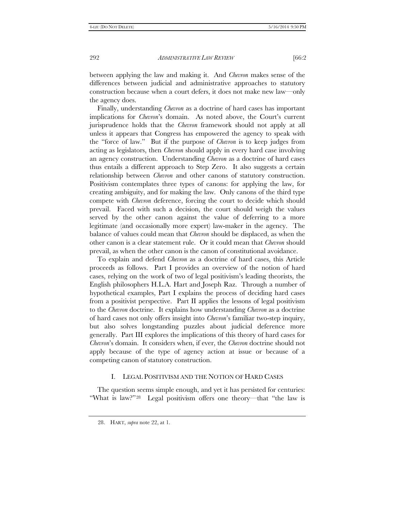between applying the law and making it. And *Chevron* makes sense of the differences between judicial and administrative approaches to statutory construction because when a court defers, it does not make new law—only the agency does.

Finally, understanding *Chevron* as a doctrine of hard cases has important implications for *Chevron*'s domain. As noted above, the Court's current jurisprudence holds that the *Chevron* framework should not apply at all unless it appears that Congress has empowered the agency to speak with the "force of law." But if the purpose of *Chevron* is to keep judges from acting as legislators, then *Chevron* should apply in every hard case involving an agency construction. Understanding *Chevron* as a doctrine of hard cases thus entails a different approach to Step Zero. It also suggests a certain relationship between *Chevron* and other canons of statutory construction. Positivism contemplates three types of canons: for applying the law, for creating ambiguity, and for making the law. Only canons of the third type compete with *Chevron* deference, forcing the court to decide which should prevail. Faced with such a decision, the court should weigh the values served by the other canon against the value of deferring to a more legitimate (and occasionally more expert) law-maker in the agency. The balance of values could mean that *Chevron* should be displaced, as when the other canon is a clear statement rule. Or it could mean that *Chevron* should prevail, as when the other canon is the canon of constitutional avoidance.

To explain and defend *Chevron* as a doctrine of hard cases, this Article proceeds as follows. Part I provides an overview of the notion of hard cases, relying on the work of two of legal positivism's leading theorists, the English philosophers H.L.A. Hart and Joseph Raz. Through a number of hypothetical examples, Part I explains the process of deciding hard cases from a positivist perspective. Part II applies the lessons of legal positivism to the *Chevron* doctrine. It explains how understanding *Chevron* as a doctrine of hard cases not only offers insight into *Chevron*'s familiar two-step inquiry, but also solves longstanding puzzles about judicial deference more generally. Part III explores the implications of this theory of hard cases for *Chevron*'s domain. It considers when, if ever, the *Chevron* doctrine should not apply because of the type of agency action at issue or because of a competing canon of statutory construction.

# I. LEGAL POSITIVISM AND THE NOTION OF HARD CASES

<span id="page-7-0"></span>The question seems simple enough, and yet it has persisted for centuries: "What is law?"[28](#page-7-0) Legal positivism offers one theory—that "the law is

<sup>28.</sup> HART, *supra* note 22, at 1.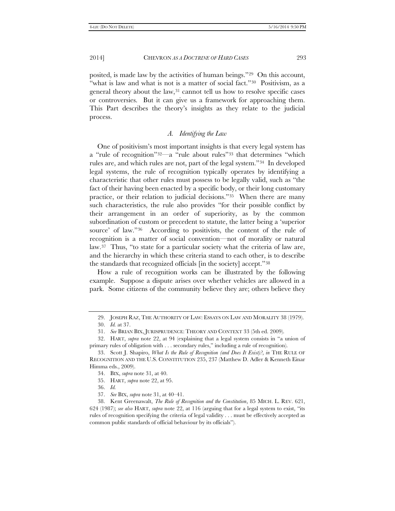posited, is made law by the activities of human beings."[29](#page-8-0) On this account, "what is law and what is not is a matter of social fact."<sup>30</sup> Positivism, as a general theory about the law,<sup>[31](#page-8-2)</sup> cannot tell us how to resolve specific cases or controversies. But it can give us a framework for approaching them. This Part describes the theory's insights as they relate to the judicial process.

# *A. Identifying the Law*

One of positivism's most important insights is that every legal system has a "rule of recognition"[32](#page-8-3)—a "rule about rules"[33](#page-8-4) that determines "which rules are, and which rules are not, part of the legal system."[34](#page-8-5) In developed legal systems, the rule of recognition typically operates by identifying a characteristic that other rules must possess to be legally valid, such as "the fact of their having been enacted by a specific body, or their long customary practice, or their relation to judicial decisions."[35](#page-8-6) When there are many such characteristics, the rule also provides "for their possible conflict by their arrangement in an order of superiority, as by the common subordination of custom or precedent to statute, the latter being a 'superior source' of law."<sup>36</sup> According to positivists, the content of the rule of recognition is a matter of social convention—not of morality or natural law.[37](#page-8-8) Thus, "to state for a particular society what the criteria of law are, and the hierarchy in which these criteria stand to each other, is to describe the standards that recognized officials [in the society] accept."[38](#page-8-9)

How a rule of recognition works can be illustrated by the following example. Suppose a dispute arises over whether vehicles are allowed in a park. Some citizens of the community believe they are; others believe they

<sup>29.</sup> JOSEPH RAZ, THE AUTHORITY OF LAW: ESSAYS ON LAW AND MORALITY 38 (1979).

<sup>30.</sup> *Id.* at 37.

<sup>31.</sup> *See* BRIAN BIX, JURISPRUDENCE: THEORY AND CONTEXT 33 (5th ed. 2009).

<span id="page-8-3"></span><span id="page-8-2"></span><span id="page-8-1"></span><span id="page-8-0"></span><sup>32.</sup> HART, *supra* note 22, at 94 (explaining that a legal system consists in "a union of primary rules of obligation with . . . secondary rules," including a rule of recognition).

<span id="page-8-5"></span><span id="page-8-4"></span><sup>33.</sup> Scott J. Shapiro, *What Is the Rule of Recognition (and Does It Exist)?*, *in* THE RULE OF RECOGNITION AND THE U.S. CONSTITUTION 235, 237 (Matthew D. Adler & Kenneth Einar Himma eds., 2009).

<sup>34.</sup> BIX, *supra* note 31, at 40.

<sup>35.</sup> HART, *supra* note 22, at 95.

<sup>36.</sup> *Id.*

<sup>37.</sup> *See* BIX, *supra* note 31, at 40–41.

<span id="page-8-9"></span><span id="page-8-8"></span><span id="page-8-7"></span><span id="page-8-6"></span><sup>38.</sup> Kent Greenawalt, *The Rule of Recognition and the Constitution*, 85 MICH. L. REV. 621, 624 (1987); *see also* HART, *supra* note 22, at 116 (arguing that for a legal system to exist, "its rules of recognition specifying the criteria of legal validity . . . must be effectively accepted as common public standards of official behaviour by its officials").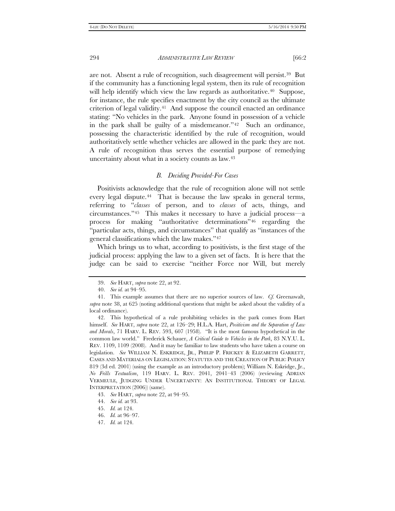are not. Absent a rule of recognition, such disagreement will persist.[39](#page-9-0) But if the community has a functioning legal system, then its rule of recognition will help identify which view the law regards as authoritative.<sup>40</sup> Suppose, for instance, the rule specifies enactment by the city council as the ultimate criterion of legal validity.[41](#page-9-2) And suppose the council enacted an ordinance stating: "No vehicles in the park. Anyone found in possession of a vehicle in the park shall be guilty of a misdemeanor."[42](#page-9-3) Such an ordinance, possessing the characteristic identified by the rule of recognition, would authoritatively settle whether vehicles are allowed in the park: they are not. A rule of recognition thus serves the essential purpose of remedying uncertainty about what in a society counts as law.[43](#page-9-4)

# *B. Deciding Provided-For Cases*

Positivists acknowledge that the rule of recognition alone will not settle every legal dispute.<sup>44</sup> That is because the law speaks in general terms, referring to "*classes* of person, and to *classes* of acts, things, and circumstances."[45](#page-9-6) This makes it necessary to have a judicial process—a process for making "authoritative determinations["46](#page-9-7) regarding the "particular acts, things, and circumstances" that qualify as "instances of the general classifications which the law makes."[47](#page-9-8)

Which brings us to what, according to positivists, is the first stage of the judicial process: applying the law to a given set of facts. It is here that the judge can be said to exercise "neither Force nor Will, but merely

<span id="page-9-4"></span>43. *See* HART, *supra* note 22, at 94–95.

<sup>39.</sup> *See* HART, *supra* note 22, at 92.

<sup>40.</sup> *See id.* at 94–95.

<span id="page-9-2"></span><span id="page-9-1"></span><span id="page-9-0"></span><sup>41.</sup> This example assumes that there are no superior sources of law. *Cf.* Greenawalt, *supra* note 38, at 625 (noting additional questions that might be asked about the validity of a local ordinance).

<span id="page-9-3"></span><sup>42.</sup> This hypothetical of a rule prohibiting vehicles in the park comes from Hart himself. *See* HART, *supra* note 22, at 126–29; H.L.A. Hart, *Positivism and the Separation of Law and Morals*, 71 HARV. L. REV. 593, 607 (1958). "It is the most famous hypothetical in the common law world." Frederick Schauer, *A Critical Guide to Vehicles in the Park*, 83 N.Y.U. L. REV. 1109, 1109 (2008). And it may be familiar to law students who have taken a course on legislation. *See* WILLIAM N. ESKRIDGE, JR., PHILIP P. FRICKEY & ELIZABETH GARRETT, CASES AND MATERIALS ON LEGISLATION: STATUTES AND THE CREATION OF PUBLIC POLICY 819 (3d ed. 2001) (using the example as an introductory problem); William N. Eskridge, Jr., *No Frills Textualism*, 119 HARV. L. REV. 2041, 2041–43 (2006) (reviewing ADRIAN VERMEULE, JUDGING UNDER UNCERTAINTY: AN INSTITUTIONAL THEORY OF LEGAL INTERPRETATION (2006)) (same).

<span id="page-9-5"></span><sup>44.</sup> *See id.* at 93.

<span id="page-9-6"></span><sup>45.</sup> *Id.* at 124.

<span id="page-9-7"></span><sup>46.</sup> *Id.* at 96–97.

<span id="page-9-8"></span><sup>47.</sup> *Id.* at 124.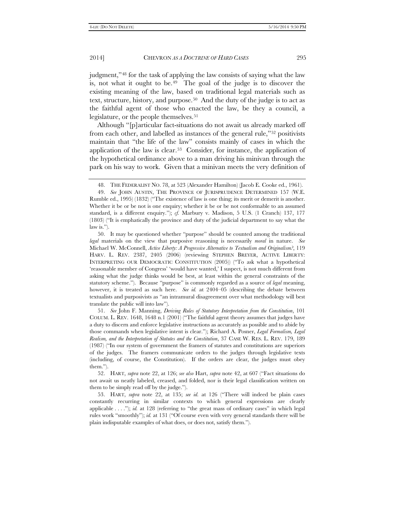judgment,"[48](#page-10-0) for the task of applying the law consists of saying what the law is, not what it ought to be.<sup>49</sup> The goal of the judge is to discover the existing meaning of the law, based on traditional legal materials such as text, structure, history, and purpose.[50](#page-10-2) And the duty of the judge is to act as the faithful agent of those who enacted the law, be they a council, a legislature, or the people themselves.<sup>51</sup>

Although "[p]articular fact-situations do not await us already marked off from each other, and labelled as instances of the general rule,"[52](#page-10-4) positivists maintain that "the life of the law" consists mainly of cases in which the application of the law is clear.[53](#page-10-5) Consider, for instance, the application of the hypothetical ordinance above to a man driving his minivan through the park on his way to work. Given that a minivan meets the very definition of

<span id="page-10-3"></span>51. *See* John F. Manning, *Deriving Rules of Statutory Interpretation from the Constitution*, 101 COLUM. L. REV. 1648, 1648 n.1 (2001) ("The faithful agent theory assumes that judges have a duty to discern and enforce legislative instructions as accurately as possible and to abide by those commands when legislative intent is clear."); Richard A. Posner, *Legal Formalism, Legal Realism, and the Interpretation of Statutes and the Constitution*, 37 CASE W. RES. L. REV. 179, 189 (1987) ("In our system of government the framers of statutes and constitutions are superiors of the judges. The framers communicate orders to the judges through legislative texts (including, of course, the Constitution). If the orders are clear, the judges must obey them.").

<span id="page-10-4"></span>52. HART, *supra* note 22, at 126; *see also* Hart, *supra* note 42, at 607 ("Fact situations do not await us neatly labeled, creased, and folded, nor is their legal classification written on them to be simply read off by the judge.").

<span id="page-10-5"></span>53. HART, *supra* note 22, at 135; *see id.* at 126 ("There will indeed be plain cases constantly recurring in similar contexts to which general expressions are clearly applicable . . . ."); *id.* at 128 (referring to "the great mass of ordinary cases" in which legal rules work "smoothly"); *id.* at 131 ("Of course even with very general standards there will be plain indisputable examples of what does, or does not, satisfy them.").

<sup>48.</sup> THE FEDERALIST NO. 78, at 523 (Alexander Hamilton) (Jacob E. Cooke ed., 1961).

<span id="page-10-1"></span><span id="page-10-0"></span><sup>49.</sup> *See* JOHN AUSTIN, THE PROVINCE OF JURISPRUDENCE DETERMINED 157 (W.E. Rumble ed., 1995) (1832) ("The existence of law is one thing; its merit or demerit is another. Whether it be or be not is one enquiry; whether it be or be not conformable to an assumed standard, is a different enquiry."); *cf.* Marbury v. Madison, 5 U.S. (1 Cranch) 137, 177 (1803) ("It is emphatically the province and duty of the judicial department to say what the law is.").

<span id="page-10-2"></span><sup>50.</sup> It may be questioned whether "purpose" should be counted among the traditional *legal* materials on the view that purposive reasoning is necessarily *moral* in nature. *See* Michael W. McConnell, *Active Liberty: A Progressive Alternative to Textualism and Originalism?*, 119 HARV. L. REV. 2387, 2405 (2006) (reviewing STEPHEN BREYER, ACTIVE LIBERTY: INTERPRETING OUR DEMOCRATIC CONSTITUTION (2005)) ("To ask what a hypothetical 'reasonable member of Congress' 'would have wanted,' I suspect, is not much different from asking what the judge thinks would be best, at least within the general constraints of the statutory scheme."). Because "purpose" is commonly regarded as a source of *legal* meaning, however, it is treated as such here. *See id.* at 2404–05 (describing the debate between textualists and purposivists as "an intramural disagreement over what methodology will best translate the public will into law").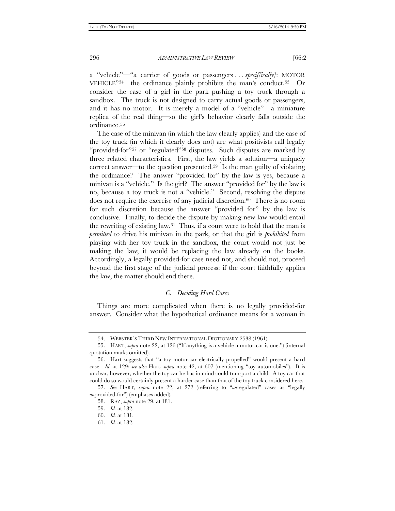a "vehicle"—"a carrier of goods or passengers . . . *specif[ically]*: MOTOR VEHICLE"[54—](#page-11-0)the ordinance plainly prohibits the man's conduct.[55](#page-11-1) Or consider the case of a girl in the park pushing a toy truck through a sandbox. The truck is not designed to carry actual goods or passengers, and it has no motor. It is merely a model of a "vehicle"—a miniature replica of the real thing—so the girl's behavior clearly falls outside the ordinance.[56](#page-11-2)

The case of the minivan (in which the law clearly applies) and the case of the toy truck (in which it clearly does not) are what positivists call legally "provided-for"<sup>[57](#page-11-3)</sup> or "regulated"<sup>[58](#page-11-4)</sup> disputes. Such disputes are marked by three related characteristics. First, the law yields a solution—a uniquely correct answer—to the question presented.<sup>59</sup> Is the man guilty of violating the ordinance? The answer "provided for" by the law is yes, because a minivan is a "vehicle." Is the girl? The answer "provided for" by the law is no, because a toy truck is not a "vehicle." Second, resolving the dispute does not require the exercise of any judicial discretion.[60](#page-11-6) There is no room for such discretion because the answer "provided for" by the law is conclusive. Finally, to decide the dispute by making new law would entail the rewriting of existing law.[61](#page-11-7) Thus, if a court were to hold that the man is *permitted* to drive his minivan in the park, or that the girl is *prohibited* from playing with her toy truck in the sandbox, the court would not just be making the law; it would be replacing the law already on the books. Accordingly, a legally provided-for case need not, and should not, proceed beyond the first stage of the judicial process: if the court faithfully applies the law, the matter should end there.

#### *C. Deciding Hard Cases*

Things are more complicated when there is no legally provided-for answer. Consider what the hypothetical ordinance means for a woman in

<sup>54.</sup> WEBSTER'S THIRD NEW INTERNATIONAL DICTIONARY 2538 (1961).

<span id="page-11-1"></span><span id="page-11-0"></span><sup>55.</sup> HART, *supra* note 22, at 126 ("If anything is a vehicle a motor-car is one.") (internal quotation marks omitted).

<span id="page-11-2"></span><sup>56.</sup> Hart suggests that "a toy motor-car electrically propelled" would present a hard case. *Id.* at 129; *see also* Hart, *supra* note 42, at 607 (mentioning "toy automobiles"). It is unclear, however, whether the toy car he has in mind could transport a child. A toy car that could do so would certainly present a harder case than that of the toy truck considered here.

<span id="page-11-7"></span><span id="page-11-6"></span><span id="page-11-5"></span><span id="page-11-4"></span><span id="page-11-3"></span><sup>57.</sup> *See* HART, *supra* note 22, at 272 (referring to "*un*regulated" cases as "legally *un*provided-for") (emphases added).

<sup>58.</sup> RAZ, *supra* note 29, at 181.

<sup>59.</sup> *Id.* at 182.

<sup>60.</sup> *Id.* at 181.

<sup>61.</sup> *Id.* at 182.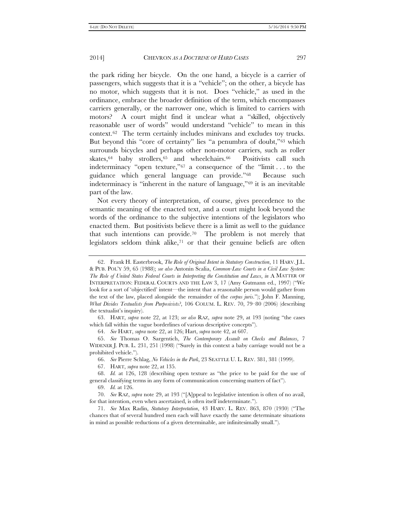the park riding her bicycle. On the one hand, a bicycle is a carrier of passengers, which suggests that it is a "vehicle"; on the other, a bicycle has no motor, which suggests that it is not. Does "vehicle," as used in the ordinance, embrace the broader definition of the term, which encompasses carriers generally, or the narrower one, which is limited to carriers with motors? A court might find it unclear what a "skilled, objectively reasonable user of words" would understand "vehicle" to mean in this context.[62](#page-12-0) The term certainly includes minivans and excludes toy trucks. But beyond this "core of certainty" lies "a penumbra of doubt,"[63](#page-12-1) which surrounds bicycles and perhaps other non-motor carriers, such as roller skates,  $64$  baby strollers,  $65$  and wheelchairs.  $66$  Positivists call such indeterminacy "open texture,["67](#page-12-5) a consequence of the "limit . . . to the guidance which general language can provide."[68](#page-12-6) Because such indeterminacy is "inherent in the nature of language,"[69](#page-12-7) it is an inevitable part of the law.

Not every theory of interpretation, of course, gives precedence to the semantic meaning of the enacted text, and a court might look beyond the words of the ordinance to the subjective intentions of the legislators who enacted them. But positivists believe there is a limit as well to the guidance that such intentions can provide.[70](#page-12-8) The problem is not merely that legislators seldom think alike, $71$  or that their genuine beliefs are often

<span id="page-12-1"></span>63. HART, *supra* note 22, at 123; *see also* RAZ, *supra* note 29, at 193 (noting "the cases which fall within the vague borderlines of various descriptive concepts").

64. *See* HART, *supra* note 22, at 126; Hart, *supra* note 42, at 607.

<span id="page-12-0"></span><sup>62.</sup> Frank H. Easterbrook, *The Role of Original Intent in Statutory Construction*, 11 HARV. J.L. & PUB. POL'Y 59, 65 (1988); *see also* Antonin Scalia, *Common-Law Courts in a Civil Law System: The Role of United States Federal Courts in Interpreting the Constitution and Laws*, *in* A MATTER OF INTERPRETATION: FEDERAL COURTS AND THE LAW 3, 17 (Amy Gutmann ed., 1997) ("We look for a sort of 'objectified' intent—the intent that a reasonable person would gather from the text of the law, placed alongside the remainder of the *corpus juris*."); John F. Manning, *What Divides Textualists from Purposivists?*, 106 COLUM. L. REV. 70, 79–80 (2006) (describing the textualist's inquiry).

<span id="page-12-3"></span><span id="page-12-2"></span><sup>65.</sup> *See* Thomas O. Sargentich, *The Contemporary Assault on Checks and Balances*, 7 WIDENER J. PUB. L. 231, 251 (1998) ("Surely in this context a baby carriage would not be a prohibited vehicle.").

<sup>66.</sup> *See* Pierre Schlag, *No Vehicles in the Park*, 23 SEATTLE U. L. REV. 381, 381 (1999).

<sup>67.</sup> HART, *supra* note 22, at 135.

<span id="page-12-6"></span><span id="page-12-5"></span><span id="page-12-4"></span><sup>68.</sup> *Id.* at 126, 128 (describing open texture as "the price to be paid for the use of general classifying terms in any form of communication concerning matters of fact").

<sup>69.</sup> *Id.* at 126.

<span id="page-12-8"></span><span id="page-12-7"></span><sup>70.</sup> *See* RAZ, *supra* note 29, at 193 ("[A]ppeal to legislative intention is often of no avail, for that intention, even when ascertained, is often itself indeterminate.").

<span id="page-12-9"></span><sup>71.</sup> *See* Max Radin, *Statutory Interpretation*, 43 HARV. L. REV. 863, 870 (1930) ("The chances that of several hundred men each will have exactly the same determinate situations in mind as possible reductions of a given determinable, are infinitesimally small.").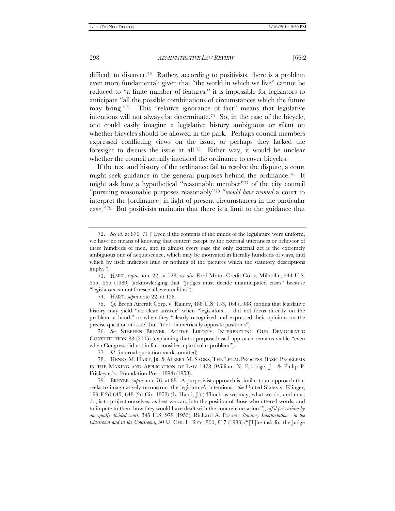difficult to discover[.72](#page-13-0) Rather, according to positivists, there is a problem even more fundamental: given that "the world in which we live" cannot be reduced to "a finite number of features," it is impossible for legislators to anticipate "all the possible combinations of circumstances which the future may bring.["73](#page-13-1) This "relative ignorance of fact" means that legislative intentions will not always be determinate.[74](#page-13-2) So, in the case of the bicycle, one could easily imagine a legislative history ambiguous or silent on whether bicycles should be allowed in the park. Perhaps council members expressed conflicting views on the issue, or perhaps they lacked the foresight to discuss the issue at all.[75](#page-13-3) Either way, it would be unclear whether the council actually intended the ordinance to cover bicycles.

If the text and history of the ordinance fail to resolve the dispute, a court might seek guidance in the general purposes behind the ordinance.[76](#page-13-4) It might ask how a hypothetical "reasonable member"[77](#page-13-5) of the city council "pursuing reasonable purposes reasonably"[78](#page-13-6) "*would have wanted* a court to interpret the [ordinance] in light of present circumstances in the particular case."[79](#page-13-7) But positivists maintain that there is a limit to the guidance that

<span id="page-13-4"></span>76. *See* STEPHEN BREYER, ACTIVE LIBERTY: INTERPRETING OUR DEMOCRATIC CONSTITUTION 88 (2005) (explaining that a purpose-based approach remains viable "even when Congress did not in fact consider a particular problem").

77. *Id.* (internal quotation marks omitted).

<span id="page-13-0"></span><sup>72.</sup> *See id.* at 870–71 ("Even if the contents of the minds of the legislature were uniform, we have no means of knowing that content except by the external utterances or behavior of these hundreds of men, and in almost every case the only external act is the extremely ambiguous one of acquiescence, which may be motivated in literally hundreds of ways, and which by itself indicates little or nothing of the pictures which the statutory descriptions imply.").

<span id="page-13-1"></span><sup>73.</sup> HART, *supra* note 22, at 128; *see also* Ford Motor Credit Co. v. Milhollin, 444 U.S. 555, 565 (1980) (acknowledging that "judges must decide unanticipated cases" because "legislators cannot foresee all eventualities").

<sup>74.</sup> HART, *supra* note 22, at 128.

<span id="page-13-3"></span><span id="page-13-2"></span><sup>75.</sup> *Cf.* Beech Aircraft Corp. v. Rainey, 488 U.S. 153, 164 (1988) (noting that legislative history may yield "no clear answer" when "legislators ... did not focus directly on the problem at hand," or when they "clearly recognized and expressed their opinions on the precise question at issue" but "took diametrically opposite positions").

<span id="page-13-6"></span><span id="page-13-5"></span><sup>78.</sup> HENRY M. HART, JR. & ALBERT M. SACKS, THE LEGAL PROCESS: BASIC PROBLEMS IN THE MAKING AND APPLICATION OF LAW 1378 (William N. Eskridge, Jr. & Philip P. Frickey eds., Foundation Press 1994) (1958).

<span id="page-13-7"></span><sup>79.</sup> BREYER, *supra* note 76, at 88. A purposivist approach is similar to an approach that seeks to imaginatively reconstruct the legislature's intentions. *See* United States v. Klinger, 199 F.2d 645, 648 (2d Cir. 1952) (L. Hand, J.) ("Flinch as we may, what we do, and must do, is to project ourselves, as best we can, into the position of those who uttered words, and to impute to them how they would have dealt with the concrete occasion."), *aff'd per curiam by an equally divided court*, 345 U.S. 979 (1953); Richard A. Posner, *Statutory Interpretation—in the Classroom and in the Courtroom*, 50 U. CHI. L. REV. 800, 817 (1983) ("[T]he task for the judge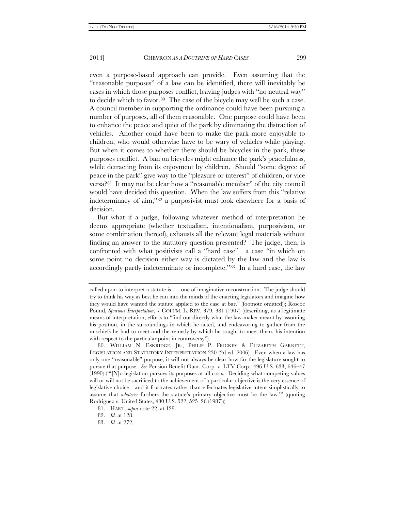even a purpose-based approach can provide. Even assuming that the "reasonable purposes" of a law can be identified, there will inevitably be cases in which those purposes conflict, leaving judges with "no neutral way" to decide which to favor.[80](#page-14-0) The case of the bicycle may well be such a case. A council member in supporting the ordinance could have been pursuing a number of purposes, all of them reasonable. One purpose could have been to enhance the peace and quiet of the park by eliminating the distraction of vehicles. Another could have been to make the park more enjoyable to children, who would otherwise have to be wary of vehicles while playing. But when it comes to whether there should be bicycles in the park, these purposes conflict. A ban on bicycles might enhance the park's peacefulness, while detracting from its enjoyment by children. Should "some degree of peace in the park" give way to the "pleasure or interest" of children, or vice versa?[81](#page-14-1) It may not be clear how a "reasonable member" of the city council would have decided this question. When the law suffers from this "relative indeterminacy of aim,["82](#page-14-2) a purposivist must look elsewhere for a basis of decision.

But what if a judge, following whatever method of interpretation he deems appropriate (whether textualism, intentionalism, purposivism, or some combination thereof), exhausts all the relevant legal materials without finding an answer to the statutory question presented? The judge, then, is confronted with what positivists call a "hard case"—a case "in which on some point no decision either way is dictated by the law and the law is accordingly partly indeterminate or incomplete."[83](#page-14-3) In a hard case, the law

called upon to interpret a statute is . . . one of imaginative reconstruction. The judge should try to think his way as best he can into the minds of the enacting legislators and imagine how they would have wanted the statute applied to the case at bar." (footnote omitted)); Roscoe Pound, *Spurious Interpretation*, 7 COLUM. L. REV. 379, 381 (1907) (describing, as a legitimate means of interpretation, efforts to "find out directly what the law-maker meant by assuming his position, in the surroundings in which he acted, and endeavoring to gather from the mischiefs he had to meet and the remedy by which he sought to meet them, his intention with respect to the particular point in controversy").

<span id="page-14-0"></span><sup>80.</sup> WILLIAM N. ESKRIDGE, JR., PHILIP P. FRICKEY & ELIZABETH GARRETT, LEGISLATION AND STATUTORY INTERPRETATION 230 (2d ed. 2006). Even when a law has only one "reasonable" purpose, it will not always be clear how far the legislature sought to pursue that purpose. *See* Pension Benefit Guar. Corp. v. LTV Corp., 496 U.S. 633, 646–47 (1990) ("'[N]o legislation pursues its purposes at all costs. Deciding what competing values will or will not be sacrificed to the achievement of a particular objective is the very essence of legislative choice—and it frustrates rather than effectuates legislative intent simplistically to assume that *whatever* furthers the statute's primary objective must be the law.'" (quoting Rodriguez v. United States, 480 U.S. 522, 525–26 (1987))).

<span id="page-14-1"></span><sup>81.</sup> HART, *supra* note 22, at 129.

<span id="page-14-2"></span><sup>82.</sup> *Id.* at 128.

<span id="page-14-3"></span><sup>83.</sup> *Id.* at 272.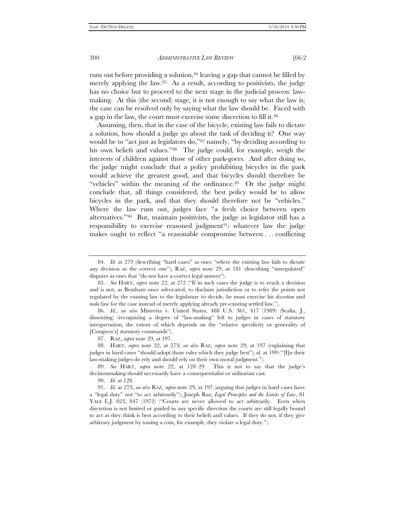runs out before providing a solution,<sup>84</sup> leaving a gap that cannot be filled by merely applying the law.<sup>85</sup> As a result, according to positivists, the judge has no choice but to proceed to the next stage in the judicial process: lawmaking. At this (the second) stage, it is not enough to say what the law is; the case can be resolved only by saying what the law should be. Faced with a gap in the law, the court must exercise some discretion to fill it.[86](#page-15-2)

Assuming, then, that in the case of the bicycle, existing law fails to dictate a solution, how should a judge go about the task of deciding it? One way would be to "act just as legislators do,"[87](#page-15-3) namely, "by deciding according to his own beliefs and values."<sup>88</sup> The judge could, for example, weigh the interests of children against those of other park-goers. And after doing so, the judge might conclude that a policy prohibiting bicycles in the park would achieve the greatest good, and that bicycles should therefore be "vehicles" within the meaning of the ordinance.<sup>89</sup> Or the judge might conclude that, all things considered, the best policy would be to allow bicycles in the park, and that they should therefore not be "vehicles." Where the law runs out, judges face "a fresh choice between open alternatives."[90](#page-15-6) But, maintain positivists, the judge as legislator still has a responsibility to exercise reasoned judgment<sup>[91](#page-15-7)</sup>: whatever law the judge makes ought to reflect "a reasonable compromise between . . . conflicting

<span id="page-15-2"></span>86. *Id.*; *see also* Mistretta v. United States, 488 U.S. 361, 417 (1989) (Scalia, J., dissenting) (recognizing a degree of "law-making" left to judges in cases of statutory interpretation, the extent of which depends on the "relative specificity or generality of [Congress's] statutory commands").

87. RAZ, *supra* note 29, at 197.

<span id="page-15-4"></span><span id="page-15-3"></span>88. HART, *supra* note 22, at 273; *see also* RAZ, *supra* note 29, at 197 (explaining that judges in hard cases "should adopt those rules which they judge best"); *id.* at 199 ("[I]n their law-making judges do rely and should rely on their own moral judgment.").

<span id="page-15-5"></span>89. *See* HART, *supra* note 22, at 128–29. This is not to say that the judge's decisionmaking should necessarily have a consequentialist or utilitarian cast.

90. *Id.* at 128.

<span id="page-15-7"></span><span id="page-15-6"></span>91. *Id.* at 273; *see also* RAZ, *supra* note 29, at 197 (arguing that judges in hard cases have a "legal duty" not "to act arbitrarily"); Joseph Raz, *Legal Principles and the Limits of Law*, 81 YALE L.J. 823, 847 (1972) ("Courts are never allowed to act arbitrarily. Even when discretion is not limited or guided in any specific direction the courts are still legally bound to act as they think is best according to their beliefs and values. If they do not, if they give arbitrary judgment by tossing a coin, for example, they violate a legal duty.").

<span id="page-15-0"></span><sup>84.</sup> *Id.* at 273 (describing "hard cases" as ones "where the existing law fails to dictate any decision as the correct one"); RAZ, *supra* note 29, at 181 (describing "unregulated" disputes as ones that "do not have a correct legal answer").

<span id="page-15-1"></span><sup>85.</sup> *See* HART, *supra* note 22, at 272 ("If in such cases the judge is to reach a decision and is not, as Bentham once advocated, to disclaim jurisdiction or to refer the points not regulated by the existing law to the legislature to decide, he must exercise his *discretion* and *make* law for the case instead of merely applying already pre-existing settled law.").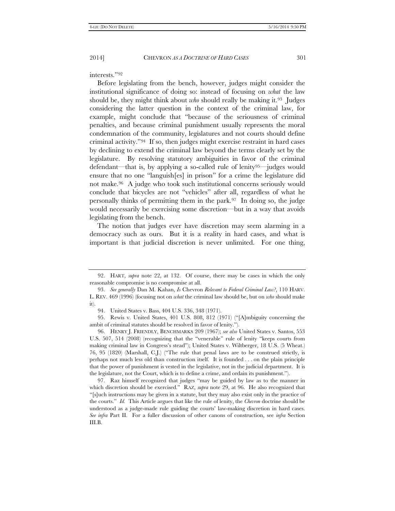interests."[92](#page-16-0)

Before legislating from the bench, however, judges might consider the institutional significance of doing so: instead of focusing on *what* the law should be, they might think about *who* should really be making it.[93](#page-16-1) Judges considering the latter question in the context of the criminal law, for example, might conclude that "because of the seriousness of criminal penalties, and because criminal punishment usually represents the moral condemnation of the community, legislatures and not courts should define criminal activity."[94](#page-16-2) If so, then judges might exercise restraint in hard cases by declining to extend the criminal law beyond the terms clearly set by the legislature. By resolving statutory ambiguities in favor of the criminal defendant—that is, by applying a so-called rule of lenity[95—](#page-16-3)judges would ensure that no one "languish[es] in prison" for a crime the legislature did not make.[96](#page-16-4) A judge who took such institutional concerns seriously would conclude that bicycles are not "vehicles" after all, regardless of what he personally thinks of permitting them in the park.[97](#page-16-5) In doing so, the judge would necessarily be exercising some discretion—but in a way that avoids legislating from the bench.

The notion that judges ever have discretion may seem alarming in a democracy such as ours. But it is a reality in hard cases, and what is important is that judicial discretion is never unlimited. For one thing,

<span id="page-16-0"></span><sup>92.</sup> HART, *supra* note 22, at 132. Of course, there may be cases in which the only reasonable compromise is no compromise at all.

<span id="page-16-1"></span><sup>93.</sup> *See generally* Dan M. Kahan, *Is* Chevron *Relevant to Federal Criminal Law?*, 110 HARV. L. REV. 469 (1996) (focusing not on *what* the criminal law should be, but on *who* should make it).

<sup>94.</sup> United States v. Bass, 404 U.S. 336, 348 (1971).

<span id="page-16-3"></span><span id="page-16-2"></span><sup>95.</sup> Rewis v. United States, 401 U.S. 808, 812 (1971) ("[A]mbiguity concerning the ambit of criminal statutes should be resolved in favor of lenity.").

<span id="page-16-4"></span><sup>96.</sup> HENRY J. FRIENDLY, BENCHMARKS 209 (1967); *see also* United States v. Santos, 553 U.S. 507, 514 (2008) (recognizing that the "venerable" rule of lenity "keeps courts from making criminal law in Congress's stead"); United States v. Wiltberger, 18 U.S. (5 Wheat.) 76, 95 (1820) (Marshall, C.J.) ("The rule that penal laws are to be construed strictly, is perhaps not much less old than construction itself. It is founded . . . on the plain principle that the power of punishment is vested in the legislative, not in the judicial department. It is the legislature, not the Court, which is to define a crime, and ordain its punishment.").

<span id="page-16-5"></span><sup>97.</sup> Raz himself recognized that judges "may be guided by law as to the manner in which discretion should be exercised." RAZ, *supra* note 29, at 96. He also recognized that "[s]uch instructions may be given in a statute, but they may also exist only in the practice of the courts." *Id.* This Article argues that like the rule of lenity, the *Chevron* doctrine should be understood as a judge-made rule guiding the courts' law-making discretion in hard cases. *See infra* Part II. For a fuller discussion of other canons of construction, see *infra* Section III.B.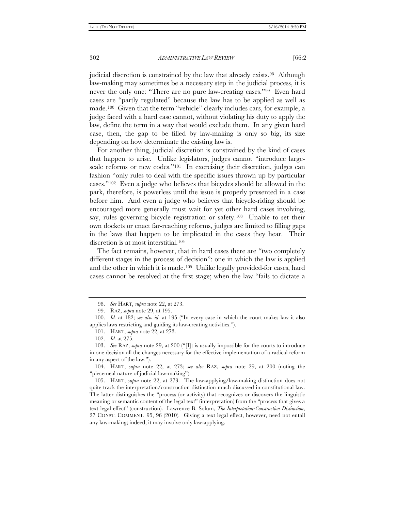judicial discretion is constrained by the law that already exists.<sup>98</sup> Although law-making may sometimes be a necessary step in the judicial process, it is never the only one: "There are no pure law-creating cases."[99](#page-17-1) Even hard cases are "partly regulated" because the law has to be applied as well as made.[100](#page-17-2) Given that the term "vehicle" clearly includes cars, for example, a judge faced with a hard case cannot, without violating his duty to apply the law, define the term in a way that would exclude them. In any given hard case, then, the gap to be filled by law-making is only so big, its size depending on how determinate the existing law is.

For another thing, judicial discretion is constrained by the kind of cases that happen to arise. Unlike legislators, judges cannot "introduce largescale reforms or new codes."<sup>101</sup> In exercising their discretion, judges can fashion "only rules to deal with the specific issues thrown up by particular cases."[102](#page-17-4) Even a judge who believes that bicycles should be allowed in the park, therefore, is powerless until the issue is properly presented in a case before him. And even a judge who believes that bicycle-riding should be encouraged more generally must wait for yet other hard cases involving, say, rules governing bicycle registration or safety.<sup>[103](#page-17-5)</sup> Unable to set their own dockets or enact far-reaching reforms, judges are limited to filling gaps in the laws that happen to be implicated in the cases they hear. Their discretion is at most interstitial.<sup>[104](#page-17-6)</sup>

The fact remains, however, that in hard cases there are "two completely different stages in the process of decision": one in which the law is applied and the other in which it is made.[105](#page-17-7) Unlike legally provided-for cases, hard cases cannot be resolved at the first stage; when the law "fails to dictate a

<sup>98.</sup> *See* HART, *supra* note 22, at 273.

<sup>99.</sup> RAZ, *supra* note 29, at 195.

<span id="page-17-3"></span><span id="page-17-2"></span><span id="page-17-1"></span><span id="page-17-0"></span><sup>100.</sup> *Id.* at 182; *see also id*. at 195 ("In every case in which the court makes law it also applies laws restricting and guiding its law-creating activities.").

<sup>101.</sup> HART, *supra* note 22, at 273.

<sup>102.</sup> *Id.* at 275.

<span id="page-17-5"></span><span id="page-17-4"></span><sup>103.</sup> *See* RAZ, *supra* note 29, at 200 ("[I]t is usually impossible for the courts to introduce in one decision all the changes necessary for the effective implementation of a radical reform in any aspect of the law.").

<span id="page-17-6"></span><sup>104.</sup> HART, *supra* note 22, at 273; *see also* RAZ, *supra* note 29, at 200 (noting the "piecemeal nature of judicial law-making").

<span id="page-17-7"></span><sup>105.</sup> HART, *supra* note 22, at 273. The law-applying/law-making distinction does not quite track the interpretation/construction distinction much discussed in constitutional law. The latter distinguishes the "process (or activity) that recognizes or discovers the linguistic meaning or semantic content of the legal text" (interpretation) from the "process that gives a text legal effect" (construction). Lawrence B. Solum, *The Interpretation-Construction Distinction*, 27 CONST. COMMENT. 95, 96 (2010). Giving a text legal effect, however, need not entail any law-making; indeed, it may involve only law-applying.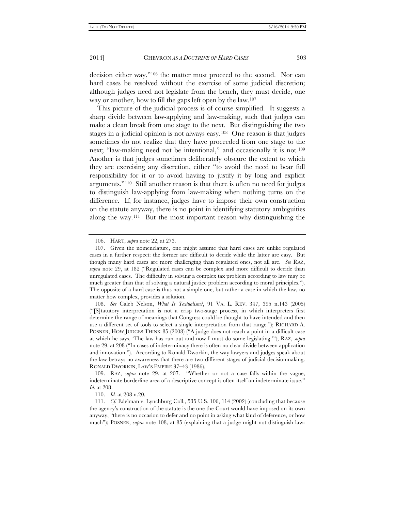decision either way,"[106](#page-18-0) the matter must proceed to the second. Nor can hard cases be resolved without the exercise of some judicial discretion; although judges need not legislate from the bench, they must decide, one way or another, how to fill the gaps left open by the law.[107](#page-18-1)

This picture of the judicial process is of course simplified. It suggests a sharp divide between law-applying and law-making, such that judges can make a clean break from one stage to the next. But distinguishing the two stages in a judicial opinion is not always easy[.108](#page-18-2) One reason is that judges sometimes do not realize that they have proceeded from one stage to the next; "law-making need not be intentional," and occasionally it is not.<sup>109</sup> Another is that judges sometimes deliberately obscure the extent to which they are exercising any discretion, either "to avoid the need to bear full responsibility for it or to avoid having to justify it by long and explicit arguments."[110](#page-18-4) Still another reason is that there is often no need for judges to distinguish law-applying from law-making when nothing turns on the difference. If, for instance, judges have to impose their own construction on the statute anyway, there is no point in identifying statutory ambiguities along the way.[111](#page-18-5) But the most important reason why distinguishing the

<span id="page-18-3"></span>109. RAZ, *supra* note 29, at 207. "Whether or not a case falls within the vague, indeterminate borderline area of a descriptive concept is often itself an indeterminate issue." *Id.* at 208.

<sup>106.</sup> HART, *supra* note 22, at 273.

<span id="page-18-1"></span><span id="page-18-0"></span><sup>107.</sup> Given the nomenclature, one might assume that hard cases are unlike regulated cases in a further respect: the former are difficult to decide while the latter are easy. But though many hard cases are more challenging than regulated ones, not all are. *See* RAZ, *supra* note 29, at 182 ("Regulated cases can be complex and more difficult to decide than unregulated cases. The difficulty in solving a complex tax problem according to law may be much greater than that of solving a natural justice problem according to moral principles."). The opposite of a hard case is thus not a simple one, but rather a case in which the law, no matter how complex, provides a solution.

<span id="page-18-2"></span><sup>108.</sup> *See* Caleb Nelson, *What Is Textualism?*, 91 VA. L. REV. 347, 395 n.143 (2005) ("[S]tatutory interpretation is not a crisp two-stage process, in which interpreters first determine the range of meanings that Congress could be thought to have intended and then use a different set of tools to select a single interpretation from that range."); RICHARD A. POSNER, HOW JUDGES THINK 85 (2008) ("A judge does not reach a point in a difficult case at which he says, 'The law has run out and now I must do some legislating.'"); RAZ, *supra* note 29, at 208 ("In cases of indeterminacy there is often no clear divide between application and innovation."). According to Ronald Dworkin, the way lawyers and judges speak about the law betrays no awareness that there are two different stages of judicial decisionmaking. RONALD DWORKIN, LAW'S EMPIRE 37–43 (1986).

<sup>110.</sup> *Id.* at 208 n.20.

<span id="page-18-5"></span><span id="page-18-4"></span><sup>111.</sup> *Cf.* Edelman v. Lynchburg Coll., 535 U.S. 106, 114 (2002) (concluding that because the agency's construction of the statute is the one the Court would have imposed on its own anyway, "there is no occasion to defer and no point in asking what kind of deference, or how much"); POSNER, *supra* note 108, at 85 (explaining that a judge might not distinguish law-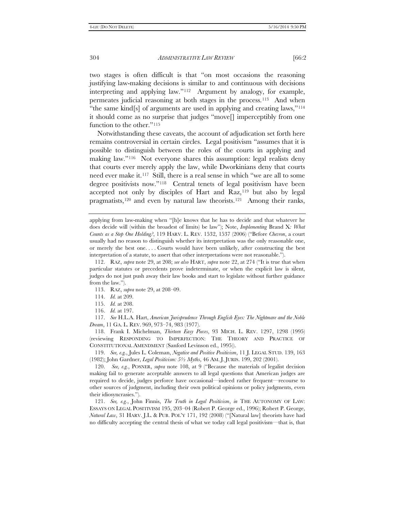two stages is often difficult is that "on most occasions the reasoning justifying law-making decisions is similar to and continuous with decisions interpreting and applying law."[112](#page-19-0) Argument by analogy, for example, permeates judicial reasoning at both stages in the process.[113](#page-19-1) And when "the same kind[s] of arguments are used in applying and creating laws,["114](#page-19-2) it should come as no surprise that judges "move[] imperceptibly from one function to the other."[115](#page-19-3)

Notwithstanding these caveats, the account of adjudication set forth here remains controversial in certain circles. Legal positivism "assumes that it is possible to distinguish between the roles of the courts in applying and making law."[116](#page-19-4) Not everyone shares this assumption: legal realists deny that courts ever merely apply the law, while Dworkinians deny that courts need ever make it[.117](#page-19-5) Still, there is a real sense in which "we are all to some degree positivists now."[118](#page-19-6) Central tenets of legal positivism have been accepted not only by disciples of Hart and Raz,<sup>[119](#page-19-7)</sup> but also by legal pragmatists,[120](#page-19-8) and even by natural law theorists.[121](#page-19-9) Among their ranks,

- 113. RAZ, *supra* note 29, at 208–09.
- 114. *Id.* at 209.
- 115. *Id.* at 208.
- 116. *Id.* at 197.

<span id="page-19-5"></span><span id="page-19-4"></span><span id="page-19-3"></span><span id="page-19-2"></span>117. *See* H.L.A. Hart, *American Jurisprudence Through English Eyes: The Nightmare and the Noble Dream*, 11 GA. L. REV. 969, 973–74, 983 (1977).

<span id="page-19-6"></span>118. Frank I. Michelman, *Thirteen Easy Pieces*, 93 MICH. L. REV. 1297, 1298 (1995) (reviewing RESPONDING TO IMPERFECTION: THE THEORY AND PRACTICE OF CONSTITUTIONAL AMENDMENT (Sanford Levinson ed., 1995)).

<span id="page-19-7"></span>119. *See, e.g.*, Jules L. Coleman, *Negative and Positive Positivism*, 11 J. LEGAL STUD. 139, 163 (1982); John Gardner, *Legal Positivism: 5½ Myths*, 46 AM. J. JURIS. 199, 202 (2001).

<span id="page-19-8"></span>120. *See, e.g.*, POSNER, *supra* note 108, at 9 ("Because the materials of legalist decision making fail to generate acceptable answers to all legal questions that American judges are required to decide, judges perforce have occasional—indeed rather frequent—recourse to other sources of judgment, including their own political opinions or policy judgments, even their idiosyncrasies.").

<span id="page-19-9"></span>121. *See, e.g.*, John Finnis, *The Truth in Legal Positivism*, *in* THE AUTONOMY OF LAW: ESSAYS ON LEGAL POSITIVISM 195, 203–04 (Robert P. George ed., 1996); Robert P. George, *Natural Law*, 31 HARV. J.L. & PUB. POL'Y 171, 192 (2008) ("[Natural law] theorists have had no difficulty accepting the central thesis of what we today call legal positivism—that is, that

applying from law-making when "[h]e knows that he has to decide and that whatever he does decide will (within the broadest of limits) be law"); Note, *Implementing* Brand X*: What Counts as a Step One Holding?*, 119 HARV. L. REV. 1532, 1537 (2006) ("Before *Chevron*, a court usually had no reason to distinguish whether its interpretation was the only reasonable one, or merely the best one. . . . Courts would have been unlikely, after constructing the best interpretation of a statute, to assert that other interpretations were not reasonable.").

<span id="page-19-1"></span><span id="page-19-0"></span><sup>112.</sup> RAZ, *supra* note 29, at 208; *see also* HART, *supra* note 22, at 274 ("It is true that when particular statutes or precedents prove indeterminate, or when the explicit law is silent, judges do not just push away their law books and start to legislate without further guidance from the law.").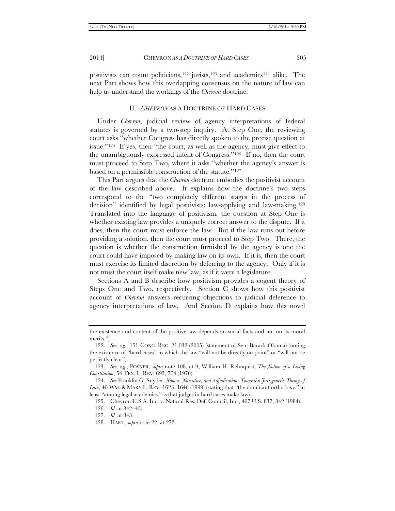positivists can count politicians,[122](#page-20-0) jurists,[123](#page-20-1) and academics[124](#page-20-2) alike. The next Part shows how this overlapping consensus on the nature of law can help us understand the workings of the *Chevron* doctrine.

### II. *CHEVRON* AS A DOCTRINE OF HARD CASES

Under *Chevron*, judicial review of agency interpretations of federal statutes is governed by a two-step inquiry. At Step One, the reviewing court asks "whether Congress has directly spoken to the precise question at issue." $125$  If yes, then "the court, as well as the agency, must give effect to the unambiguously expressed intent of Congress.["126](#page-20-4) If no, then the court must proceed to Step Two, where it asks "whether the agency's answer is based on a permissible construction of the statute.["127](#page-20-5)

This Part argues that the *Chevron* doctrine embodies the positivist account of the law described above. It explains how the doctrine's two steps correspond to the "two completely different stages in the process of decision" identified by legal positivists: law-applying and law-making[.128](#page-20-6)  Translated into the language of positivism, the question at Step One is whether existing law provides a uniquely correct answer to the dispute. If it does, then the court must enforce the law. But if the law runs out before providing a solution, then the court must proceed to Step Two. There, the question is whether the construction furnished by the agency is one the court could have imposed by making law on its own. If it is, then the court must exercise its limited discretion by deferring to the agency. Only if it is not must the court itself make new law, as if it were a legislature.

Sections A and B describe how positivism provides a cogent theory of Steps One and Two, respectively. Section C shows how this positivist account of *Chevron* answers recurring objections to judicial deference to agency interpretations of law. And Section D explains how this novel

the existence and content of the positive law depends on social facts and not on its moral merits.").

<span id="page-20-0"></span><sup>122.</sup> *See, e.g.*, 151 CONG. REC. 21,032 (2005) (statement of Sen. Barack Obama) (noting the existence of "hard cases" in which the law "will not be directly on point" or "will not be perfectly clear").

<span id="page-20-1"></span><sup>123.</sup> *See, e.g.*, POSNER, *supra* note 108, at 9; William H. Rehnquist, *The Notion of a Living Constitution*, 54 TEX. L. REV. 693, 704 (1976).

<span id="page-20-4"></span><span id="page-20-3"></span><span id="page-20-2"></span><sup>124.</sup> *See* Franklin G. Snyder, *Nomos, Narrative, and Adjudication: Toward a Jurisgenetic Theory of*  Law, 40 WM. & MARY L. REV. 1623, 1646 (1999) (stating that "the dominant orthodoxy," at least "among legal academics," is that judges in hard cases make law).

<sup>125.</sup> Chevron U.S.A. Inc. v. Natural Res. Def. Council, Inc., 467 U.S. 837, 842 (1984).

<sup>126.</sup> *Id.* at 842–43.

<span id="page-20-5"></span><sup>127.</sup> *Id.* at 843.

<span id="page-20-6"></span><sup>128.</sup> HART, *supra* note 22, at 273.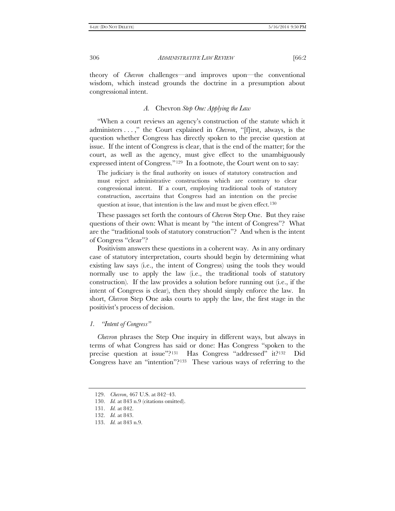theory of *Chevron* challenges—and improves upon—the conventional wisdom, which instead grounds the doctrine in a presumption about congressional intent.

# *A.* Chevron *Step One: Applying the Law*

"When a court reviews an agency's construction of the statute which it administers . . . ," the Court explained in *Chevron*, "[f]irst, always, is the question whether Congress has directly spoken to the precise question at issue. If the intent of Congress is clear, that is the end of the matter; for the court, as well as the agency, must give effect to the unambiguously expressed intent of Congress."<sup>[129](#page-21-0)</sup> In a footnote, the Court went on to say:

The judiciary is the final authority on issues of statutory construction and must reject administrative constructions which are contrary to clear congressional intent. If a court, employing traditional tools of statutory construction, ascertains that Congress had an intention on the precise question at issue, that intention is the law and must be given effect.<sup>[130](#page-21-1)</sup>

These passages set forth the contours of *Chevron* Step One. But they raise questions of their own: What is meant by "the intent of Congress"? What are the "traditional tools of statutory construction"? And when is the intent of Congress "clear"?

Positivism answers these questions in a coherent way. As in any ordinary case of statutory interpretation, courts should begin by determining what existing law says (i.e., the intent of Congress) using the tools they would normally use to apply the law (i.e., the traditional tools of statutory construction). If the law provides a solution before running out (i.e., if the intent of Congress is clear), then they should simply enforce the law. In short, *Chevron* Step One asks courts to apply the law, the first stage in the positivist's process of decision.

#### *1. "Intent of Congress"*

*Chevron* phrases the Step One inquiry in different ways, but always in terms of what Congress has said or done: Has Congress "spoken to the precise question at issue"?<sup>[131](#page-21-2)</sup> Has Congress "addressed" it?<sup>132</sup> Did Congress have an "intention"?[133](#page-21-4) These various ways of referring to the

<span id="page-21-0"></span><sup>129.</sup> *Chevron*, 467 U.S. at 842–43.

<span id="page-21-1"></span><sup>130.</sup> *Id.* at 843 n.9 (citations omitted).

<span id="page-21-2"></span><sup>131.</sup> *Id.* at 842.

<span id="page-21-3"></span><sup>132.</sup> *Id.* at 843.

<span id="page-21-4"></span><sup>133.</sup> *Id.* at 843 n.9.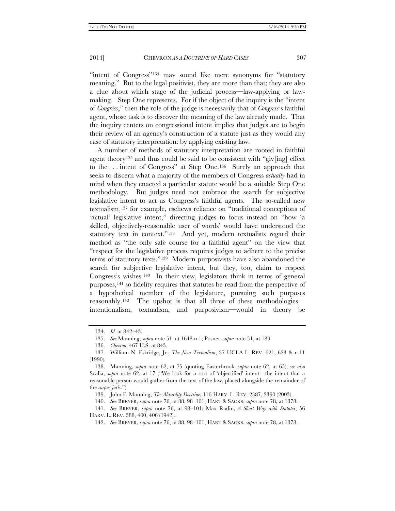"intent of Congress"<sup>[134](#page-22-0)</sup> may sound like mere synonyms for "statutory meaning." But to the legal positivist, they are more than that; they are also a clue about which stage of the judicial process—law-applying or lawmaking—Step One represents. For if the object of the inquiry is the "intent of *Congress*," then the role of the judge is necessarily that of *Congress*'s faithful agent, whose task is to discover the meaning of the law already made. That the inquiry centers on congressional intent implies that judges are to begin their review of an agency's construction of a statute just as they would any case of statutory interpretation: by applying existing law.

A number of methods of statutory interpretation are rooted in faithful agent theory<sup>[135](#page-22-1)</sup> and thus could be said to be consistent with "giv $\lceil \text{ing} \rceil$  effect to the . . . intent of Congress" at Step One.[136](#page-22-2) Surely an approach that seeks to discern what a majority of the members of Congress *actually* had in mind when they enacted a particular statute would be a suitable Step One methodology. But judges need not embrace the search for subjective legislative intent to act as Congress's faithful agents. The so-called new textualism[,137](#page-22-3) for example, eschews reliance on "traditional conceptions of 'actual' legislative intent," directing judges to focus instead on "how 'a skilled, objectively-reasonable user of words' would have understood the statutory text in context."[138](#page-22-4) And yet, modern textualists regard their method as "the only safe course for a faithful agent" on the view that "respect for the legislative process requires judges to adhere to the precise terms of statutory texts."[139](#page-22-5) Modern purposivists have also abandoned the search for subjective legislative intent, but they, too, claim to respect Congress's wishes.[140](#page-22-6) In their view, legislators think in terms of general purposes,[141](#page-22-7) so fidelity requires that statutes be read from the perspective of a hypothetical member of the legislature, pursuing such purposes reasonably.[142](#page-22-8) The upshot is that all three of these methodologies intentionalism, textualism, and purposivism—would in theory be

<sup>134.</sup> *Id.* at 842–43.

<sup>135.</sup> *See* Manning, *supra* note 51, at 1648 n.1; Posner, *supra* note 51, at 189.

<sup>136.</sup> *Chevron*, 467 U.S. at 843.

<span id="page-22-3"></span><span id="page-22-2"></span><span id="page-22-1"></span><span id="page-22-0"></span><sup>137.</sup> William N. Eskridge, Jr., *The New Textualism*, 37 UCLA L. REV. 621, 623 & n.11 (1990).

<span id="page-22-4"></span><sup>138.</sup> Manning, *supra* note 62, at 75 (quoting Easterbrook, *supra* note 62, at 65); *see also* Scalia, *supra* note 62, at 17 ("We look for a sort of 'objectified' intent—the intent that a reasonable person would gather from the text of the law, placed alongside the remainder of the *corpus juris*.").

<sup>139.</sup> John F. Manning, *The Absurdity Doctrine*, 116 HARV. L. REV. 2387, 2390 (2003).

<sup>140.</sup> *See* BREYER, *supra* note 76, at 88, 98–101; HART & SACKS, *supra* note 78, at 1378.

<span id="page-22-8"></span><span id="page-22-7"></span><span id="page-22-6"></span><span id="page-22-5"></span><sup>141.</sup> *See* BREYER, *supra* note 76, at 98–101; Max Radin, *A Short Way with Statutes*, 56 HARV. L. REV. 388, 400, 406 (1942).

<sup>142.</sup> *See* BREYER, *supra* note 76, at 88, 98–101; HART & SACKS, *supra* note 78, at 1378.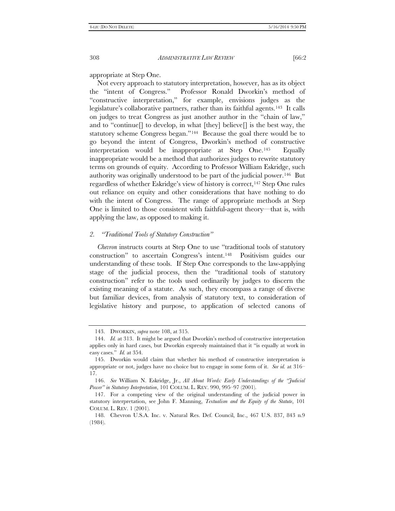appropriate at Step One.

Not every approach to statutory interpretation, however, has as its object the "intent of Congress." Professor Ronald Dworkin's method of "constructive interpretation," for example, envisions judges as the legislature's collaborative partners, rather than its faithful agents.[143](#page-23-0) It calls on judges to treat Congress as just another author in the "chain of law," and to "continue] to develop, in what  $[$ they $]$  believe $]$  is the best way, the statutory scheme Congress began."[144](#page-23-1) Because the goal there would be to go beyond the intent of Congress, Dworkin's method of constructive interpretation would be inappropriate at Step One.[145](#page-23-2) Equally inappropriate would be a method that authorizes judges to rewrite statutory terms on grounds of equity. According to Professor William Eskridge, such authority was originally understood to be part of the judicial power.[146](#page-23-3) But regardless of whether Eskridge's view of history is correct,[147](#page-23-4) Step One rules out reliance on equity and other considerations that have nothing to do with the intent of Congress. The range of appropriate methods at Step One is limited to those consistent with faithful-agent theory—that is, with applying the law, as opposed to making it.

#### *2. "Traditional Tools of Statutory Construction"*

*Chevron* instructs courts at Step One to use "traditional tools of statutory construction" to ascertain Congress's intent.[148](#page-23-5) Positivism guides our understanding of these tools. If Step One corresponds to the law-applying stage of the judicial process, then the "traditional tools of statutory construction" refer to the tools used ordinarily by judges to discern the existing meaning of a statute. As such, they encompass a range of diverse but familiar devices, from analysis of statutory text, to consideration of legislative history and purpose, to application of selected canons of

<sup>143.</sup> DWORKIN, *supra* note 108, at 315.

<span id="page-23-1"></span><span id="page-23-0"></span><sup>144.</sup> *Id.* at 313. It might be argued that Dworkin's method of constructive interpretation applies only in hard cases, but Dworkin expressly maintained that it "is equally at work in easy cases." *Id.* at 354.

<span id="page-23-2"></span><sup>145.</sup> Dworkin would claim that whether his method of constructive interpretation is appropriate or not, judges have no choice but to engage in some form of it. *See id.* at 316– 17.

<span id="page-23-3"></span><sup>146.</sup> *See* William N. Eskridge, Jr., *All About Words: Early Understandings of the "Judicial Power" in Statutory Interpretation*, 101 COLUM. L. REV. 990, 995–97 (2001).

<span id="page-23-4"></span><sup>147.</sup> For a competing view of the original understanding of the judicial power in statutory interpretation, see John F. Manning, *Textualism and the Equity of the Statute*, 101 COLUM. L. REV. 1 (2001).

<span id="page-23-5"></span><sup>148.</sup> Chevron U.S.A. Inc. v. Natural Res. Def. Council, Inc., 467 U.S. 837, 843 n.9 (1984).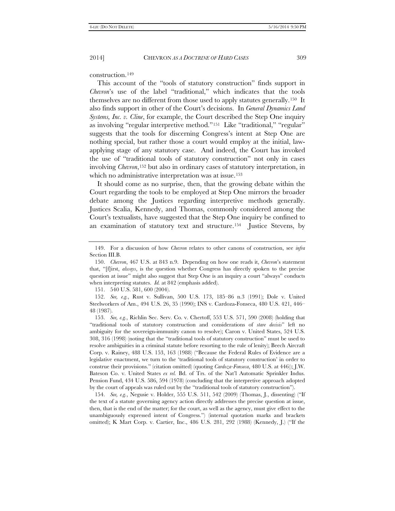construction.[149](#page-24-0)

This account of the "tools of statutory construction" finds support in *Chevron*'s use of the label "traditional," which indicates that the tools themselves are no different from those used to apply statutes generally.[150](#page-24-1) It also finds support in other of the Court's decisions. In *General Dynamics Land Systems, Inc. v. Cline*, for example, the Court described the Step One inquiry as involving "regular interpretive method.["151](#page-24-2) Like "traditional," "regular" suggests that the tools for discerning Congress's intent at Step One are nothing special, but rather those a court would employ at the initial, lawapplying stage of any statutory case. And indeed, the Court has invoked the use of "traditional tools of statutory construction" not only in cases involving *Chevron*,[152](#page-24-3) but also in ordinary cases of statutory interpretation, in which no administrative interpretation was at issue.<sup>[153](#page-24-4)</sup>

It should come as no surprise, then, that the growing debate within the Court regarding the tools to be employed at Step One mirrors the broader debate among the Justices regarding interpretive methods generally. Justices Scalia, Kennedy, and Thomas, commonly considered among the Court's textualists, have suggested that the Step One inquiry be confined to an examination of statutory text and structure.[154](#page-24-5) Justice Stevens, by

151. 540 U.S. 581, 600 (2004).

<span id="page-24-3"></span><span id="page-24-2"></span>152. *See, e.g.*, Rust v. Sullivan, 500 U.S. 173, 185–86 n.3 (1991); Dole v. United Steelworkers of Am., 494 U.S. 26, 35 (1990); INS v. Cardoza-Fonseca, 480 U.S. 421, 446– 48 (1987).

<span id="page-24-5"></span>154. *See, e.g.*, Negusie v. Holder, 555 U.S. 511, 542 (2009) (Thomas, J., dissenting) ("If the text of a statute governing agency action directly addresses the precise question at issue, then, that is the end of the matter; for the court, as well as the agency, must give effect to the unambiguously expressed intent of Congress.") (internal quotation marks and brackets omitted); K Mart Corp. v. Cartier, Inc., 486 U.S. 281, 292 (1988) (Kennedy, J.) ("If the

<span id="page-24-0"></span><sup>149.</sup> For a discussion of how *Chevron* relates to other canons of construction, see *infra* Section III.B.

<span id="page-24-1"></span><sup>150.</sup> *Chevron*, 467 U.S. at 843 n.9. Depending on how one reads it, *Chevron*'s statement that, "[f]irst, *always*, is the question whether Congress has directly spoken to the precise question at issue" might also suggest that Step One is an inquiry a court "always" conducts when interpreting statutes. *Id.* at 842 (emphasis added).

<span id="page-24-4"></span><sup>153.</sup> *See, e.g.*, Richlin Sec. Serv. Co. v. Chertoff, 553 U.S. 571, 590 (2008) (holding that "traditional tools of statutory construction and considerations of *stare decisis*" left no ambiguity for the sovereign-immunity canon to resolve); Caron v. United States, 524 U.S. 308, 316 (1998) (noting that the "traditional tools of statutory construction" must be used to resolve ambiguities in a criminal statute before resorting to the rule of lenity); Beech Aircraft Corp. v. Rainey, 488 U.S. 153, 163 (1988) ("Because the Federal Rules of Evidence are a legislative enactment, we turn to the 'traditional tools of statutory construction' in order to construe their provisions." (citation omitted) (quoting *Cardoza-Fonseca*, 480 U.S. at 446)); J.W. Bateson Co. v. United States *ex rel.* Bd. of Trs. of the Nat'l Automatic Sprinkler Indus. Pension Fund, 434 U.S. 586, 594 (1978) (concluding that the interpretive approach adopted by the court of appeals was ruled out by the "traditional tools of statutory construction").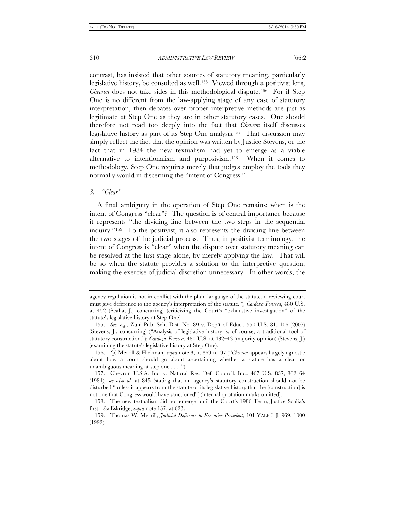contrast, has insisted that other sources of statutory meaning, particularly legislative history, be consulted as well.[155](#page-25-0) Viewed through a positivist lens, *Chevron* does not take sides in this methodological dispute.<sup>156</sup> For if Step One is no different from the law-applying stage of any case of statutory interpretation, then debates over proper interpretive methods are just as legitimate at Step One as they are in other statutory cases. One should therefore not read too deeply into the fact that *Chevron* itself discusses legislative history as part of its Step One analysis.[157](#page-25-2) That discussion may simply reflect the fact that the opinion was written by Justice Stevens, or the fact that in 1984 the new textualism had yet to emerge as a viable alternative to intentionalism and purposivism[.158](#page-25-3) When it comes to methodology, Step One requires merely that judges employ the tools they normally would in discerning the "intent of Congress."

#### *3. "Clear"*

A final ambiguity in the operation of Step One remains: when is the intent of Congress "clear"? The question is of central importance because it represents "the dividing line between the two steps in the sequential inquiry."[159](#page-25-4) To the positivist, it also represents the dividing line between the two stages of the judicial process. Thus, in positivist terminology, the intent of Congress is "clear" when the dispute over statutory meaning can be resolved at the first stage alone, by merely applying the law. That will be so when the statute provides a solution to the interpretive question, making the exercise of judicial discretion unnecessary. In other words, the

agency regulation is not in conflict with the plain language of the statute, a reviewing court must give deference to the agency's interpretation of the statute."); *Cardoza-Fonseca*, 480 U.S. at 452 (Scalia, J., concurring) (criticizing the Court's "exhaustive investigation" of the statute's legislative history at Step One).

<span id="page-25-0"></span><sup>155.</sup> *See, e.g.*, Zuni Pub. Sch. Dist. No. 89 v. Dep't of Educ., 550 U.S. 81, 106 (2007) (Stevens, J., concurring) ("Analysis of legislative history is, of course, a traditional tool of statutory construction."); *Cardoza-Fonseca*, 480 U.S. at 432–43 (majority opinion) (Stevens, J.) (examining the statute's legislative history at Step One).

<span id="page-25-1"></span><sup>156.</sup> *Cf.* Merrill & Hickman, *supra* note 3, at 869 n.197 ("*Chevron* appears largely agnostic about how a court should go about ascertaining whether a statute has a clear or unambiguous meaning at step one . . . .").

<span id="page-25-2"></span><sup>157.</sup> Chevron U.S.A. Inc. v. Natural Res. Def. Council, Inc., 467 U.S. 837, 862–64 (1984); *see also id.* at 845 (stating that an agency's statutory construction should not be disturbed "unless it appears from the statute or its legislative history that the [construction] is not one that Congress would have sanctioned") (internal quotation marks omitted).

<span id="page-25-3"></span><sup>158.</sup> The new textualism did not emerge until the Court's 1986 Term, Justice Scalia's first. *See* Eskridge, *supra* note 137, at 623.

<span id="page-25-4"></span><sup>159.</sup> Thomas W. Merrill, *Judicial Deference to Executive Precedent*, 101 YALE L.J. 969, 1000 (1992).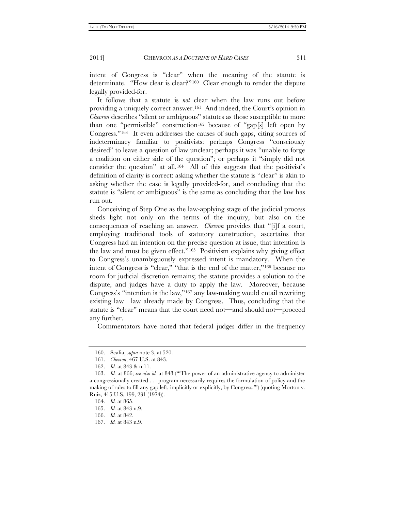intent of Congress is "clear" when the meaning of the statute is determinate. "How clear is clear?"[160](#page-26-0) Clear enough to render the dispute legally provided-for.

It follows that a statute is *not* clear when the law runs out before providing a uniquely correct answer.[161](#page-26-1) And indeed, the Court's opinion in *Chevron* describes "silent or ambiguous" statutes as those susceptible to more than one "permissible" construction[162](#page-26-2) because of "gap[s] left open by Congress."[163](#page-26-3) It even addresses the causes of such gaps, citing sources of indeterminacy familiar to positivists: perhaps Congress "consciously desired" to leave a question of law unclear; perhaps it was "unable to forge a coalition on either side of the question"; or perhaps it "simply did not consider the question" at all.[164](#page-26-4) All of this suggests that the positivist's definition of clarity is correct: asking whether the statute is "clear" is akin to asking whether the case is legally provided-for, and concluding that the statute is "silent or ambiguous" is the same as concluding that the law has run out.

Conceiving of Step One as the law-applying stage of the judicial process sheds light not only on the terms of the inquiry, but also on the consequences of reaching an answer. *Chevron* provides that "[i]f a court, employing traditional tools of statutory construction, ascertains that Congress had an intention on the precise question at issue, that intention is the law and must be given effect."[165](#page-26-5) Positivism explains why giving effect to Congress's unambiguously expressed intent is mandatory. When the intent of Congress is "clear," "that is the end of the matter,"[166](#page-26-6) because no room for judicial discretion remains; the statute provides a solution to the dispute, and judges have a duty to apply the law. Moreover, because Congress's "intention is the law,"[167](#page-26-7) any law-making would entail rewriting existing law—law already made by Congress. Thus, concluding that the statute is "clear" means that the court need not—and should not—proceed any further.

Commentators have noted that federal judges differ in the frequency

<sup>160.</sup> Scalia, *supra* note 3, at 520.

<sup>161.</sup> *Chevron*, 467 U.S. at 843.

<sup>162.</sup> *Id.* at 843 & n.11.

<span id="page-26-4"></span><span id="page-26-3"></span><span id="page-26-2"></span><span id="page-26-1"></span><span id="page-26-0"></span><sup>163.</sup> *Id.* at 866; *see also id.* at 843 ("'The power of an administrative agency to administer a congressionally created . . . program necessarily requires the formulation of policy and the making of rules to fill any gap left, implicitly or explicitly, by Congress.'") (quoting Morton v. Ruiz, 415 U.S. 199, 231 (1974)).

<span id="page-26-5"></span><sup>164.</sup> *Id.* at 865.

<sup>165.</sup> *Id.* at 843 n.9.

<span id="page-26-6"></span><sup>166.</sup> *Id.* at 842.

<span id="page-26-7"></span><sup>167.</sup> *Id.* at 843 n.9.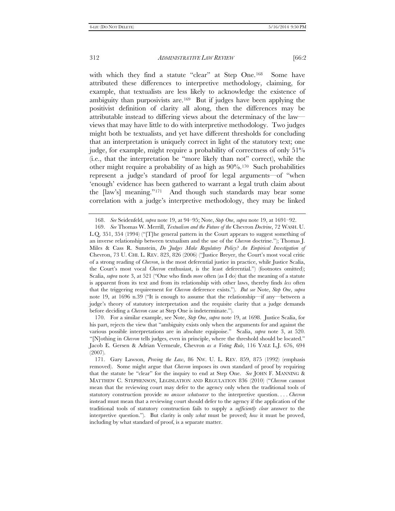with which they find a statute "clear" at Step One.<sup>[168](#page-27-0)</sup> Some have attributed these differences to interpretive methodology, claiming, for example, that textualists are less likely to acknowledge the existence of ambiguity than purposivists are.[169](#page-27-1) But if judges have been applying the positivist definition of clarity all along, then the differences may be attributable instead to differing views about the determinacy of the law views that may have little to do with interpretive methodology. Two judges might both be textualists, and yet have different thresholds for concluding that an interpretation is uniquely correct in light of the statutory text; one judge, for example, might require a probability of correctness of only 51% (i.e., that the interpretation be "more likely than not" correct), while the other might require a probability of as high as 90%.[170](#page-27-2) Such probabilities represent a judge's standard of proof for legal arguments—of "when 'enough' evidence has been gathered to warrant a legal truth claim about the [law's] meaning."[171](#page-27-3) And though such standards may bear some correlation with a judge's interpretive methodology, they may be linked

<span id="page-27-2"></span>170. For a similar example, see Note, *Step One*, *supra* note 19, at 1698. Justice Scalia, for his part, rejects the view that "ambiguity exists only when the arguments for and against the various possible interpretations are in absolute equipoise." Scalia, *supra* note 3, at 520. "[N]othing in *Chevron* tells judges, even in principle, where the threshold should be located." Jacob E. Gersen & Adrian Vermeule, Chevron *as a Voting Rule*, 116 YALE L.J. 676, 694 (2007).

<sup>168.</sup> *See* Seidenfeld, *supra* note 19, at 94–95; Note, *Step One*, *supra* note 19, at 1691–92.

<span id="page-27-1"></span><span id="page-27-0"></span><sup>169.</sup> *See* Thomas W. Merrill, *Textualism and the Future of the* Chevron *Doctrine*, 72 WASH. U. L.Q. 351, 354 (1994) ("[T]he general pattern in the Court appears to suggest something of an inverse relationship between textualism and the use of the *Chevron* doctrine."); Thomas J. Miles & Cass R. Sunstein, *Do Judges Make Regulatory Policy? An Empirical Investigation of* Chevron, 73 U. CHI. L. REV. 823, 826 (2006) ("Justice Breyer, the Court's most vocal critic of a strong reading of *Chevron*, is the most deferential justice in practice, while Justice Scalia, the Court's most vocal *Chevron* enthusiast, is the least deferential.") (footnotes omitted); Scalia, *supra* note 3, at 521 ("One who finds *more* often (as I do) that the meaning of a statute is apparent from its text and from its relationship with other laws, thereby finds *less* often that the triggering requirement for *Chevron* deference exists."). *But see* Note, *Step One*, *supra* note 19, at 1696 n.39 ("It is enough to assume that the relationship—if any—between a judge's theory of statutory interpretation and the requisite clarity that a judge demands before deciding a *Chevron* case at Step One is indeterminate.").

<span id="page-27-3"></span><sup>171.</sup> Gary Lawson, *Proving the Law*, 86 NW. U. L. REV. 859, 875 (1992) (emphasis removed). Some might argue that *Chevron* imposes its own standard of proof by requiring that the statute be "clear" for the inquiry to end at Step One. *See* JOHN F. MANNING & MATTHEW C. STEPHENSON, LEGISLATION AND REGULATION 836 (2010) ("*Chevron* cannot mean that the reviewing court may defer to the agency only when the traditional tools of statutory construction provide *no answer whatsoever* to the interpretive question. . . . *Chevron* instead must mean that a reviewing court should defer to the agency if the application of the traditional tools of statutory construction fails to supply a *sufficiently clear* answer to the interpretive question."). But clarity is only *what* must be proved; *how* it must be proved, including by what standard of proof, is a separate matter.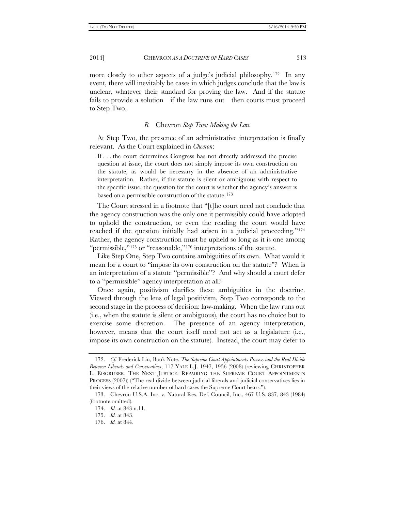more closely to other aspects of a judge's judicial philosophy.[172](#page-28-0) In any event, there will inevitably be cases in which judges conclude that the law is unclear, whatever their standard for proving the law. And if the statute fails to provide a solution—if the law runs out—then courts must proceed to Step Two.

# *B.* Chevron *Step Two: Making the Law*

At Step Two, the presence of an administrative interpretation is finally relevant. As the Court explained in *Chevron*:

If . . . the court determines Congress has not directly addressed the precise question at issue, the court does not simply impose its own construction on the statute, as would be necessary in the absence of an administrative interpretation. Rather, if the statute is silent or ambiguous with respect to the specific issue, the question for the court is whether the agency's answer is based on a permissible construction of the statute.<sup>[173](#page-28-1)</sup>

The Court stressed in a footnote that "[t]he court need not conclude that the agency construction was the only one it permissibly could have adopted to uphold the construction, or even the reading the court would have reached if the question initially had arisen in a judicial proceeding.["174](#page-28-2)  Rather, the agency construction must be upheld so long as it is one among "permissible,"<sup>[175](#page-28-3)</sup> or "reasonable,"<sup>[176](#page-28-4)</sup> interpretations of the statute.

Like Step One, Step Two contains ambiguities of its own. What would it mean for a court to "impose its own construction on the statute"? When is an interpretation of a statute "permissible"? And why should a court defer to a "permissible" agency interpretation at all?

Once again, positivism clarifies these ambiguities in the doctrine. Viewed through the lens of legal positivism, Step Two corresponds to the second stage in the process of decision: law-making. When the law runs out (i.e., when the statute is silent or ambiguous), the court has no choice but to exercise some discretion. The presence of an agency interpretation, however, means that the court itself need not act as a legislature (i.e., impose its own construction on the statute). Instead, the court may defer to

<span id="page-28-0"></span><sup>172.</sup> *Cf.* Frederick Liu, Book Note, *The Supreme Court Appointments Process and the Real Divide Between Liberals and Conservatives*, 117 YALE L.J. 1947, 1956 (2008) (reviewing CHRISTOPHER L. EISGRUBER, THE NEXT JUSTICE: REPAIRING THE SUPREME COURT APPOINTMENTS PROCESS (2007)) ("The real divide between judicial liberals and judicial conservatives lies in their views of the relative number of hard cases the Supreme Court hears.").

<span id="page-28-4"></span><span id="page-28-3"></span><span id="page-28-2"></span><span id="page-28-1"></span><sup>173.</sup> Chevron U.S.A. Inc. v. Natural Res. Def. Council, Inc., 467 U.S. 837, 843 (1984) (footnote omitted).

<sup>174.</sup> *Id.* at 843 n.11.

<sup>175.</sup> *Id.* at 843.

<sup>176.</sup> *Id.* at 844.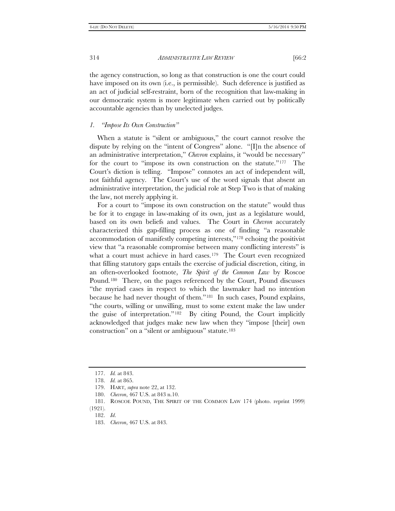the agency construction, so long as that construction is one the court could have imposed on its own (i.e., is permissible). Such deference is justified as an act of judicial self-restraint, born of the recognition that law-making in our democratic system is more legitimate when carried out by politically accountable agencies than by unelected judges.

# *1. "Impose Its Own Construction"*

When a statute is "silent or ambiguous," the court cannot resolve the dispute by relying on the "intent of Congress" alone. "[I]n the absence of an administrative interpretation," *Chevron* explains, it "would be necessary" for the court to "impose its own construction on the statute."[177](#page-29-0) The Court's diction is telling. "Impose" connotes an act of independent will, not faithful agency. The Court's use of the word signals that absent an administrative interpretation, the judicial role at Step Two is that of making the law, not merely applying it.

For a court to "impose its own construction on the statute" would thus be for it to engage in law-making of its own, just as a legislature would, based on its own beliefs and values. The Court in *Chevron* accurately characterized this gap-filling process as one of finding "a reasonable accommodation of manifestly competing interests,"[178](#page-29-1) echoing the positivist view that "a reasonable compromise between many conflicting interests" is what a court must achieve in hard cases.<sup>[179](#page-29-2)</sup> The Court even recognized that filling statutory gaps entails the exercise of judicial discretion, citing, in an often-overlooked footnote, *The Spirit of the Common Law* by Roscoe Pound.[180](#page-29-3) There, on the pages referenced by the Court, Pound discusses "the myriad cases in respect to which the lawmaker had no intention because he had never thought of them."[181](#page-29-4) In such cases, Pound explains, "the courts, willing or unwilling, must to some extent make the law under the guise of interpretation."[182](#page-29-5) By citing Pound, the Court implicitly acknowledged that judges make new law when they "impose [their] own construction" on a "silent or ambiguous" statute.[183](#page-29-6)

<sup>177.</sup> *Id.* at 843.

<span id="page-29-0"></span><sup>178.</sup> *Id.* at 865.

<sup>179.</sup> HART, *supra* note 22, at 132.

<sup>180.</sup> *Chevron*, 467 U.S. at 843 n.10.

<sup>181.</sup> ROSCOE POUND, THE SPIRIT OF THE COMMON LAW 174 (photo. reprint 1999)

<span id="page-29-6"></span><span id="page-29-5"></span><span id="page-29-4"></span><span id="page-29-3"></span><span id="page-29-2"></span><span id="page-29-1"></span><sup>(1921).</sup> 182. *Id*.

<sup>183.</sup> *Chevron*, 467 U.S. at 843.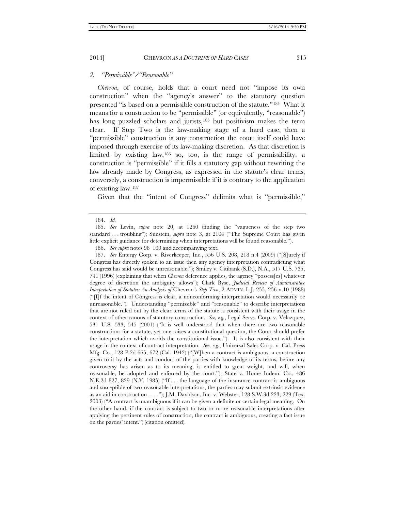# *2. "Permissible"/"Reasonable"*

*Chevron*, of course, holds that a court need not "impose its own construction" when the "agency's answer" to the statutory question presented "is based on a permissible construction of the statute.["184](#page-30-0) What it means for a construction to be "permissible" (or equivalently, "reasonable") has long puzzled scholars and jurists,[185](#page-30-1) but positivism makes the term clear. If Step Two is the law-making stage of a hard case, then a "permissible" construction is any construction the court itself could have imposed through exercise of its law-making discretion. As that discretion is limited by existing law,[186](#page-30-2) so, too, is the range of permissibility: a construction is "permissible" if it fills a statutory gap without rewriting the law already made by Congress, as expressed in the statute's clear terms; conversely, a construction is impermissible if it is contrary to the application of existing law.[187](#page-30-3)

Given that the "intent of Congress" delimits what is "permissible,"

<span id="page-30-3"></span><span id="page-30-2"></span>187. *See* Entergy Corp. v. Riverkeeper, Inc., 556 U.S. 208, 218 n.4 (2009) ("[S]urely if Congress has directly spoken to an issue then any agency interpretation contradicting what Congress has said would be unreasonable."); Smiley v. Citibank (S.D.), N.A., 517 U.S. 735, 741 (1996) (explaining that when *Chevron* deference applies, the agency "possess[es] whatever degree of discretion the ambiguity allows"); Clark Byse, *Judicial Review of Administrative Interpretation of Statutes: An Analysis of* Chevron*'s Step Two*, 2 ADMIN. L.J. 255, 256 n.10 (1988)  $("T]$ f the intent of Congress is clear, a nonconforming interpretation would necessarily be unreasonable."). Understanding "permissible" and "reasonable" to describe interpretations that are not ruled out by the clear terms of the statute is consistent with their usage in the context of other canons of statutory construction. *See, e.g.*, Legal Servs. Corp. v. Velazquez, 531 U.S. 533, 545 (2001) ("It is well understood that when there are two reasonable constructions for a statute, yet one raises a constitutional question, the Court should prefer the interpretation which avoids the constitutional issue."). It is also consistent with their usage in the context of contract interpretation. *See, e.g.*, Universal Sales Corp. v. Cal. Press Mfg. Co., 128 P.2d 665, 672 (Cal. 1942) ("[W]hen a contract is ambiguous, a construction given to it by the acts and conduct of the parties with knowledge of its terms, before any controversy has arisen as to its meaning, is entitled to great weight, and will, when reasonable, be adopted and enforced by the court."); State v. Home Indem. Co., 486 N.E.2d 827, 829 (N.Y. 1985) ("If . . . the language of the insurance contract is ambiguous and susceptible of two reasonable interpretations, the parties may submit extrinsic evidence as an aid in construction . . . ."); J.M. Davidson, Inc. v. Webster, 128 S.W.3d 223, 229 (Tex. 2003) ("A contract is unambiguous if it can be given a definite or certain legal meaning. On the other hand, if the contract is subject to two or more reasonable interpretations after applying the pertinent rules of construction, the contract is ambiguous, creating a fact issue on the parties' intent.") (citation omitted).

<sup>184.</sup> *Id.*

<span id="page-30-1"></span><span id="page-30-0"></span><sup>185.</sup> *See* Levin, *supra* note 20, at 1260 (finding the "vagueness of the step two standard . . . troubling"); Sunstein, *supra* note 3, at 2104 ("The Supreme Court has given little explicit guidance for determining when interpretations will be found reasonable.").

<sup>186.</sup> *See supra* notes 98–100 and accompanying text.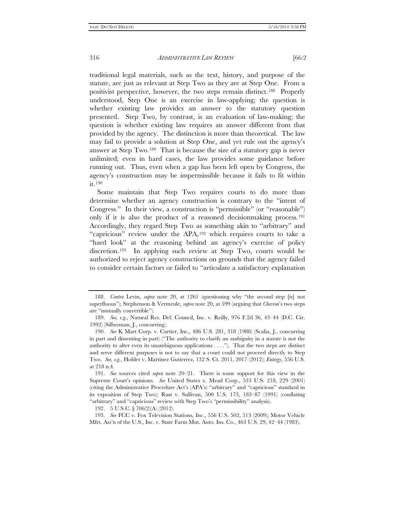traditional legal materials, such as the text, history, and purpose of the statute, are just as relevant at Step Two as they are at Step One. From a positivist perspective, however, the two steps remain distinct.[188](#page-31-0) Properly understood, Step One is an exercise in law-applying; the question is whether existing law provides an answer to the statutory question presented. Step Two, by contrast, is an evaluation of law-making; the question is whether existing law requires an answer different from that provided by the agency. The distinction is more than theoretical. The law may fail to provide a solution at Step One, and yet rule out the agency's answer at Step Two.[189](#page-31-1) That is because the size of a statutory gap is never unlimited; even in hard cases, the law provides some guidance before running out. Thus, even when a gap has been left open by Congress, the agency's construction may be impermissible because it fails to fit within it.[190](#page-31-2)

Some maintain that Step Two requires courts to do more than determine whether an agency construction is contrary to the "intent of Congress." In their view, a construction is "permissible" (or "reasonable") only if it is also the product of a reasoned decisionmaking process[.191](#page-31-3)  Accordingly, they regard Step Two as something akin to "arbitrary" and "capricious" review under the APA,[192](#page-31-4) which requires courts to take a "hard look" at the reasoning behind an agency's exercise of policy discretion.[193](#page-31-5) In applying such review at Step Two, courts would be authorized to reject agency constructions on grounds that the agency failed to consider certain factors or failed to "articulate a satisfactory explanation

<span id="page-31-0"></span><sup>188.</sup> *Contra* Levin, *supra* note 20, at 1261 (questioning why "the second step [is] not superfluous"); Stephenson & Vermeule, *supra* note 20, at 599 (arguing that *Chevron*'s two steps are "mutually convertible").

<span id="page-31-1"></span><sup>189.</sup> *See, e.g.*, Natural Res. Def. Council, Inc. v. Reilly, 976 F.2d 36, 43–44 (D.C. Cir. 1992) (Silberman, J., concurring).

<span id="page-31-2"></span><sup>190.</sup> *See* K Mart Corp. v. Cartier, Inc., 486 U.S. 281, 318 (1988) (Scalia, J., concurring in part and dissenting in part) ("The authority to clarify an ambiguity in a statute is not the authority to alter even its unambiguous applications . . . ."). That the two steps are distinct and serve different purposes is not to say that a court could not proceed directly to Step Two. *See, e.g.*, Holder v. Martinez Gutierrez, 132 S. Ct. 2011, 2017 (2012); *Entergy*, 556 U.S. at 218 n.4.

<span id="page-31-3"></span><sup>191.</sup> *See* sources cited *supra* note 20–21. There is some support for this view in the Supreme Court's opinions. *See* United States v. Mead Corp., 533 U.S. 218, 229 (2001) (citing the Administrative Procedure Act's (APA's) "arbitrary" and "capricious" standard in its exposition of Step Two); Rust v. Sullivan, 500 U.S. 173, 183–87 (1991) (conflating "arbitrary" and "capricious" review with Step Two's "permissibility" analysis).

<sup>192.</sup> 5 U.S.C. § 706(2)(A) (2012).

<span id="page-31-5"></span><span id="page-31-4"></span><sup>193.</sup> *See* FCC v. Fox Television Stations, Inc., 556 U.S. 502, 513 (2009); Motor Vehicle Mfrs. Ass'n of the U.S., Inc. v. State Farm Mut. Auto. Ins. Co., 463 U.S. 29, 42–44 (1983).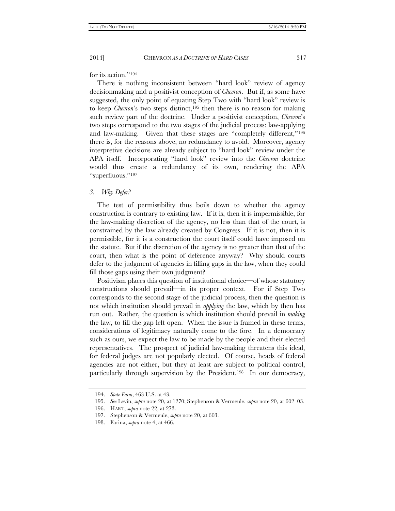for its action."[194](#page-32-0)

There is nothing inconsistent between "hard look" review of agency decisionmaking and a positivist conception of *Chevron*. But if, as some have suggested, the only point of equating Step Two with "hard look" review is to keep *Chevron*'s two steps distinct,<sup>195</sup> then there is no reason for making such review part of the doctrine. Under a positivist conception, *Chevron*'s two steps correspond to the two stages of the judicial process: law-applying and law-making. Given that these stages are "completely different,["196](#page-32-2) there is, for the reasons above, no redundancy to avoid. Moreover, agency interpretive decisions are already subject to "hard look" review under the APA itself. Incorporating "hard look" review into the *Chevron* doctrine would thus create a redundancy of its own, rendering the APA "superfluous.["197](#page-32-3)

#### *3. Why Defer?*

The test of permissibility thus boils down to whether the agency construction is contrary to existing law. If it is, then it is impermissible, for the law-making discretion of the agency, no less than that of the court, is constrained by the law already created by Congress. If it is not, then it is permissible, for it is a construction the court itself could have imposed on the statute. But if the discretion of the agency is no greater than that of the court, then what is the point of deference anyway? Why should courts defer to the judgment of agencies in filling gaps in the law, when they could fill those gaps using their own judgment?

Positivism places this question of institutional choice—of whose statutory constructions should prevail—in its proper context. For if Step Two corresponds to the second stage of the judicial process, then the question is not which institution should prevail in *applying* the law, which by then has run out. Rather, the question is which institution should prevail in *making* the law, to fill the gap left open. When the issue is framed in these terms, considerations of legitimacy naturally come to the fore. In a democracy such as ours, we expect the law to be made by the people and their elected representatives. The prospect of judicial law-making threatens this ideal, for federal judges are not popularly elected. Of course, heads of federal agencies are not either, but they at least are subject to political control, particularly through supervision by the President.[198](#page-32-4) In our democracy,

<span id="page-32-0"></span><sup>194.</sup> *State Farm*, 463 U.S. at 43.

<span id="page-32-1"></span><sup>195.</sup> *See* Levin, *supra* note 20, at 1270; Stephenson & Vermeule, *supra* note 20, at 602–03.

<span id="page-32-2"></span><sup>196.</sup> HART, *supra* note 22, at 273.

<sup>197.</sup> Stephenson & Vermeule, *supra* note 20, at 603.

<span id="page-32-4"></span><span id="page-32-3"></span><sup>198.</sup> Farina, *supra* note 4, at 466.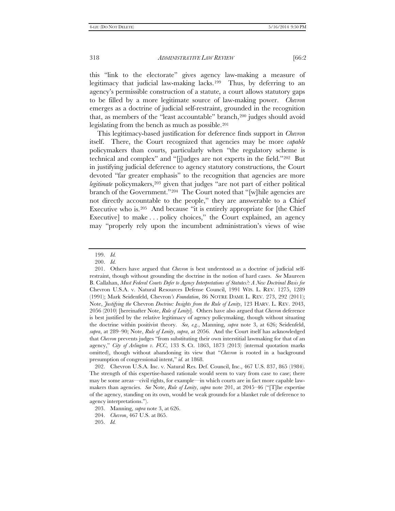this "link to the electorate" gives agency law-making a measure of legitimacy that judicial law-making lacks.[199](#page-33-0) Thus, by deferring to an agency's permissible construction of a statute, a court allows statutory gaps to be filled by a more legitimate source of law-making power. *Chevron* emerges as a doctrine of judicial self-restraint, grounded in the recognition that, as members of the "least accountable" branch,<sup>[200](#page-33-1)</sup> judges should avoid legislating from the bench as much as possible.[201](#page-33-2)

This legitimacy-based justification for deference finds support in *Chevron* itself. There, the Court recognized that agencies may be more *capable* policymakers than courts, particularly when "the regulatory scheme is technical and complex" and "[j]udges are not experts in the field."[202](#page-33-3) But in justifying judicial deference to agency statutory constructions, the Court devoted "far greater emphasis" to the recognition that agencies are more legitimate policymakers,<sup>[203](#page-33-4)</sup> given that judges "are not part of either political branch of the Government."[204](#page-33-5) The Court noted that "[w]hile agencies are not directly accountable to the people," they are answerable to a Chief Executive who is.<sup>[205](#page-33-6)</sup> And because "it is entirely appropriate for [the Chief Executive] to make . . . policy choices," the Court explained, an agency may "properly rely upon the incumbent administration's views of wise

<sup>199.</sup> *Id.*

<sup>200.</sup> *Id.*

<span id="page-33-2"></span><span id="page-33-1"></span><span id="page-33-0"></span><sup>201.</sup> Others have argued that *Chevron* is best understood as a doctrine of judicial selfrestraint, though without grounding the doctrine in the notion of hard cases. *See* Maureen B. Callahan, *Must Federal Courts Defer to Agency Interpretations of Statutes?: A New Doctrinal Basis for*  Chevron U.S.A. v. Natural Resources Defense Council, 1991 WIS. L. REV. 1275, 1289 (1991); Mark Seidenfeld, Chevron*'s Foundation*, 86 NOTRE DAME L. REV. 273, 292 (2011); Note, *Justifying the* Chevron *Doctrine: Insights from the Rule of Lenity*, 123 HARV. L. REV. 2043, 2056 (2010) [hereinafter Note, *Rule of Lenity*]. Others have also argued that *Chevron* deference is best justified by the relative legitimacy of agency policymaking, though without situating the doctrine within positivist theory. *See, e.g.*, Manning, *supra* note 3, at 626; Seidenfeld, *supra*, at 289–90; Note, *Rule of Lenity*, *supra*, at 2056. And the Court itself has acknowledged that *Chevron* prevents judges "from substituting their own interstitial lawmaking for that of an agency," *City of Arlington v. FCC*, 133 S. Ct. 1863, 1873 (2013) (internal quotation marks omitted), though without abandoning its view that "*Chevron* is rooted in a background presumption of congressional intent," *id.* at 1868.

<span id="page-33-3"></span><sup>202.</sup> Chevron U.S.A. Inc. v. Natural Res. Def. Council, Inc., 467 U.S. 837, 865 (1984). The strength of this expertise-based rationale would seem to vary from case to case; there may be some areas—civil rights, for example—in which courts are in fact more capable lawmakers than agencies. *See* Note, *Rule of Lenity*, *supra* note 201, at 2045–46 ("[T]he expertise of the agency, standing on its own, would be weak grounds for a blanket rule of deference to agency interpretations.").

<span id="page-33-5"></span><span id="page-33-4"></span><sup>203.</sup> Manning, *supra* note 3, at 626.

<sup>204.</sup> *Chevron*, 467 U.S. at 865.

<span id="page-33-6"></span><sup>205.</sup> *Id.*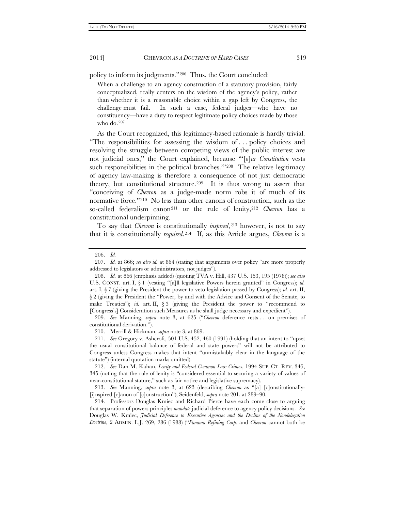policy to inform its judgments."[206](#page-34-0) Thus, the Court concluded:

When a challenge to an agency construction of a statutory provision, fairly conceptualized, really centers on the wisdom of the agency's policy, rather than whether it is a reasonable choice within a gap left by Congress, the challenge must fail. In such a case, federal judges—who have no constituency—have a duty to respect legitimate policy choices made by those who do.[207](#page-34-1)

As the Court recognized, this legitimacy-based rationale is hardly trivial. "The responsibilities for assessing the wisdom of . . . policy choices and resolving the struggle between competing views of the public interest are not judicial ones," the Court explained, because "'[*o*]*ur Constitution* vests such responsibilities in the political branches."<sup>[208](#page-34-2)</sup> The relative legitimacy of agency law-making is therefore a consequence of not just democratic theory, but constitutional structure.[209](#page-34-3) It is thus wrong to assert that "conceiving of *Chevron* as a judge-made norm robs it of much of its normative force.["210](#page-34-4) No less than other canons of construction, such as the so-called federalism canon<sup>[211](#page-34-5)</sup> or the rule of lenity,<sup>[212](#page-34-6)</sup> *Chevron* has a constitutional underpinning.

To say that *Chevron* is constitutionally *inspired*[,213](#page-34-7) however, is not to say that it is constitutionally *required*.[214](#page-34-8) If, as this Article argues, *Chevron* is a

<span id="page-34-3"></span>209. *See* Manning, *supra* note 3, at 625 ("*Chevron* deference rests . . . on premises of constitutional derivation.").

210. Merrill & Hickman, *supra* note 3, at 869.

<sup>206.</sup> *Id.*

<span id="page-34-1"></span><span id="page-34-0"></span><sup>207.</sup> *Id.* at 866; *see also id.* at 864 (stating that arguments over policy "are more properly addressed to legislators or administrators, not judges").

<span id="page-34-2"></span><sup>208.</sup> *Id.* at 866 (emphasis added) (quoting TVA v. Hill, 437 U.S. 153, 195 (1978)); *see also* U.S. CONST. art. I, § 1 (vesting "[a]ll legislative Powers herein granted" in Congress); *id.* art. I, § 7 (giving the President the power to veto legislation passed by Congress); *id.* art. II, § 2 (giving the President the "Power, by and with the Advice and Consent of the Senate, to make Treaties"); *id.* art. II, § 3 (giving the President the power to "recommend to [Congress's] Consideration such Measures as he shall judge necessary and expedient").

<span id="page-34-5"></span><span id="page-34-4"></span><sup>211.</sup> *See* Gregory v. Ashcroft, 501 U.S. 452, 460 (1991) (holding that an intent to "upset the usual constitutional balance of federal and state powers" will not be attributed to Congress unless Congress makes that intent "unmistakably clear in the language of the statute") (internal quotation marks omitted).

<span id="page-34-6"></span><sup>212.</sup> *See* Dan M. Kahan, *Lenity and Federal Common Law Crimes*, 1994 SUP. CT. REV. 345, 345 (noting that the rule of lenity is "considered essential to securing a variety of values of near-constitutional stature," such as fair notice and legislative supremacy).

<span id="page-34-7"></span><sup>213.</sup> *See* Manning, *supra* note 3, at 623 (describing *Chevron* as "[a] [c]onstitutionally- [i]nspired [c]anon of [c]onstruction"); Seidenfeld, *supra* note 201, at 289–90.

<span id="page-34-8"></span><sup>214.</sup> Professors Douglas Kmiec and Richard Pierce have each come close to arguing that separation of powers principles *mandate* judicial deference to agency policy decisions. *See* Douglas W. Kmiec, *Judicial Deference to Executive Agencies and the Decline of the Nondelegation Doctrine*, 2 ADMIN. L.J. 269, 286 (1988) ("*Panama Refining Corp.* and *Chevron* cannot both be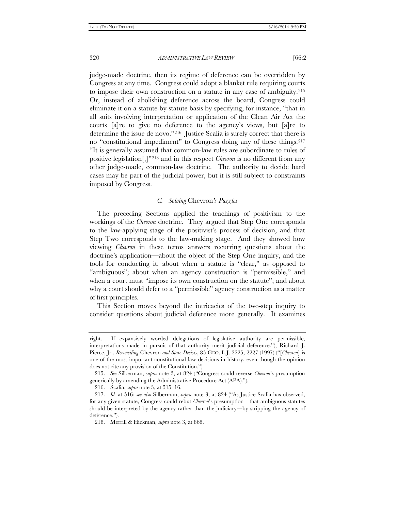judge-made doctrine, then its regime of deference can be overridden by Congress at any time. Congress could adopt a blanket rule requiring courts to impose their own construction on a statute in any case of ambiguity[.215](#page-35-0)  Or, instead of abolishing deference across the board, Congress could eliminate it on a statute-by-statute basis by specifying, for instance, "that in all suits involving interpretation or application of the Clean Air Act the courts [a]re to give no deference to the agency's views, but [a]re to determine the issue de novo."[216](#page-35-1) Justice Scalia is surely correct that there is no "constitutional impediment" to Congress doing any of these things[.217](#page-35-2)  "It is generally assumed that common-law rules are subordinate to rules of positive legislation[,]"[218](#page-35-3) and in this respect *Chevron* is no different from any other judge-made, common-law doctrine. The authority to decide hard cases may be part of the judicial power, but it is still subject to constraints imposed by Congress.

# *C. Solving* Chevron*'s Puzzles*

The preceding Sections applied the teachings of positivism to the workings of the *Chevron* doctrine. They argued that Step One corresponds to the law-applying stage of the positivist's process of decision, and that Step Two corresponds to the law-making stage. And they showed how viewing *Chevron* in these terms answers recurring questions about the doctrine's application—about the object of the Step One inquiry, and the tools for conducting it; about when a statute is "clear," as opposed to "ambiguous"; about when an agency construction is "permissible," and when a court must "impose its own construction on the statute"; and about why a court should defer to a "permissible" agency construction as a matter of first principles.

This Section moves beyond the intricacies of the two-step inquiry to consider questions about judicial deference more generally. It examines

right. If expansively worded delegations of legislative authority are permissible, interpretations made in pursuit of that authority merit judicial deference."); Richard J. Pierce, Jr., *Reconciling* Chevron *and Stare Decisis*, 85 GEO. L.J. 2225, 2227 (1997) ("[*Chevron*] is one of the most important constitutional law decisions in history, even though the opinion does not cite any provision of the Constitution.").

<span id="page-35-0"></span><sup>215.</sup> *See* Silberman, *supra* note 3, at 824 ("Congress could reverse *Chevron*'s presumption generically by amending the Administrative Procedure Act (APA).").

<sup>216.</sup> Scalia, *supra* note 3, at 515–16.

<span id="page-35-3"></span><span id="page-35-2"></span><span id="page-35-1"></span><sup>217.</sup> *Id.* at 516; *see also* Silberman, *supra* note 3, at 824 ("As Justice Scalia has observed, for any given statute, Congress could rebut *Chevron*'s presumption—that ambiguous statutes should be interpreted by the agency rather than the judiciary—by stripping the agency of deference.").

<sup>218.</sup> Merrill & Hickman, *supra* note 3, at 868.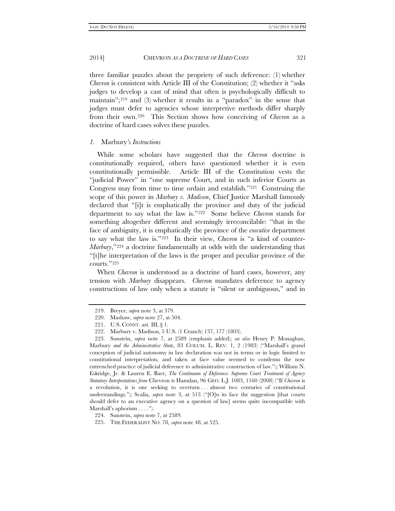three familiar puzzles about the propriety of such deference: (1) whether *Chevron* is consistent with Article III of the Constitution; (2) whether it "asks judges to develop a cast of mind that often is psychologically difficult to maintain";[219](#page-36-0) and (3) whether it results in a "paradox" in the sense that judges must defer to agencies whose interpretive methods differ sharply from their own.[220](#page-36-1) This Section shows how conceiving of *Chevron* as a doctrine of hard cases solves these puzzles.

### *1.* Marbury*'s Instructions*

While some scholars have suggested that the *Chevron* doctrine is constitutionally required, others have questioned whether it is even constitutionally permissible. Article III of the Constitution vests the "judicial Power" in "one supreme Court, and in such inferior Courts as Congress may from time to time ordain and establish."[221](#page-36-2) Construing the scope of this power in *Marbury v. Madison*, Chief Justice Marshall famously declared that "[i]t is emphatically the province and duty of the judicial department to say what the law is."[222](#page-36-3) Some believe *Chevron* stands for something altogether different and seemingly irreconcilable: "that in the face of ambiguity, it is emphatically the province of the *executive* department to say what the law is.["223](#page-36-4) In their view, *Chevron* is "a kind of counter-*Marbury*,"[224](#page-36-5) a doctrine fundamentally at odds with the understanding that "[t]he interpretation of the laws is the proper and peculiar province of the courts."[225](#page-36-6)

When *Chevron* is understood as a doctrine of hard cases, however, any tension with *Marbury* disappears. *Chevron* mandates deference to agency constructions of law only when a statute is "silent or ambiguous," and in

<sup>219.</sup> Breyer, *supra* note 3, at 379.

<sup>220.</sup> Mashaw, *supra* note 27, at 504.

<sup>221.</sup> U.S. CONST. art. III, § 1.

<sup>222.</sup> Marbury v. Madison, 5 U.S. (1 Cranch) 137, 177 (1803).

<span id="page-36-4"></span><span id="page-36-3"></span><span id="page-36-2"></span><span id="page-36-1"></span><span id="page-36-0"></span><sup>223.</sup> Sunstein, *supra* note 7, at 2589 (emphasis added); *see also* Henry P. Monaghan, Marbury *and the Administrative State*, 83 COLUM. L. REV. 1, 2 (1983) ("Marshall's grand conception of judicial autonomy in law declaration was not in terms or in logic limited to constitutional interpretation, and taken at face value seemed to condemn the now entrenched practice of judicial deference to administrative construction of law."); William N. Eskridge, Jr. & Lauren E. Baer, *The Continuum of Deference: Supreme Court Treatment of Agency Statutory Interpretations from* Chevron *to* Hamdan, 96 GEO. L.J. 1083, 1160 (2008) ("If *Chevron* is a revolution, it is one seeking to overturn . . . almost two centuries of constitutional understandings."); Scalia, *supra* note 3, at 513 ("[O]n its face the suggestion [that courts should defer to an executive agency on a question of law] seems quite incompatible with Marshall's aphorism . . . .").

<sup>224.</sup> Sunstein, *supra* note 7, at 2589.

<span id="page-36-6"></span><span id="page-36-5"></span><sup>225.</sup> THE FEDERALIST NO. 78, *supra* note 48, at 525.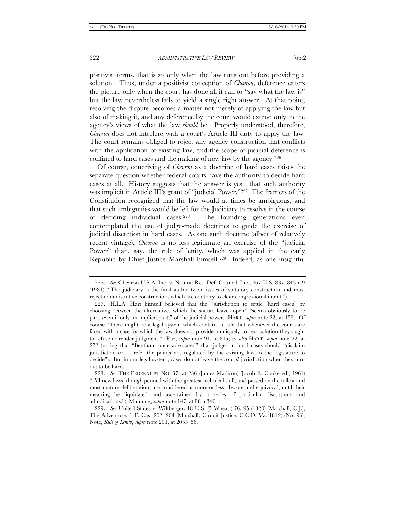positivist terms, that is so only when the law runs out before providing a solution. Thus, under a positivist conception of *Chevron*, deference enters the picture only when the court has done all it can to "say what the law is" but the law nevertheless fails to yield a single right answer. At that point, resolving the dispute becomes a matter not merely of applying the law but also of making it, and any deference by the court would extend only to the agency's views of what the law *should* be. Properly understood, therefore, *Chevron* does not interfere with a court's Article III duty to apply the law. The court remains obliged to reject any agency construction that conflicts with the application of existing law, and the scope of judicial deference is confined to hard cases and the making of new law by the agency.[226](#page-37-0)

Of course, conceiving of *Chevron* as a doctrine of hard cases raises the separate question whether federal courts have the authority to decide hard cases at all. History suggests that the answer is yes—that such authority was implicit in Article III's grant of "judicial Power."[227](#page-37-1) The framers of the Constitution recognized that the law would at times be ambiguous, and that such ambiguities would be left for the Judiciary to resolve in the course of deciding individual cases.[228](#page-37-2) The founding generations even contemplated the use of judge-made doctrines to guide the exercise of judicial discretion in hard cases. As one such doctrine (albeit of relatively recent vintage), *Chevron* is no less legitimate an exercise of the "judicial Power" than, say, the rule of lenity, which was applied in the early Republic by Chief Justice Marshall himself.[229](#page-37-3) Indeed, as one insightful

<span id="page-37-0"></span><sup>226.</sup> *See* Chevron U.S.A. Inc. v. Natural Res. Def. Council, Inc., 467 U.S. 837, 843 n.9 (1984) ("The judiciary is the final authority on issues of statutory construction and must reject administrative constructions which are contrary to clear congressional intent.").

<span id="page-37-1"></span><sup>227.</sup> H.L.A. Hart himself believed that the "jurisdiction to settle [hard cases] by choosing between the alternatives which the statute leaves open" "seems obviously to be part, even if only an implied part," of the judicial power. HART, *supra* note 22, at 153. Of course, "there might be a legal system which contains a rule that whenever the courts are faced with a case for which the law does not provide a uniquely correct solution they ought to refuse to render judgment." Raz, *supra* note 91, at 845; *see also* HART, *supra* note 22, at 272 (noting that "Bentham once advocated" that judges in hard cases should "disclaim jurisdiction or . . . refer the points not regulated by the existing law to the legislature to decide"). But in our legal system, cases do not leave the courts' jurisdiction when they turn out to be hard.

<span id="page-37-2"></span><sup>228.</sup> *See* THE FEDERALIST NO. 37, at 236 (James Madison) (Jacob E. Cooke ed., 1961) ("All new laws, though penned with the greatest technical skill, and passed on the fullest and most mature deliberation, are considered as more or less obscure and equivocal, until their meaning be liquidated and ascertained by a series of particular discussions and adjudications."); Manning, *supra* note 147, at 88 n.340.

<span id="page-37-3"></span><sup>229.</sup> *See* United States v. Wiltberger, 18 U.S. (5 Wheat.) 76, 95 (1820) (Marshall, C.J.); The Adventure, 1 F. Cas. 202, 204 (Marshall, Circuit Justice, C.C.D. Va. 1812) (No. 93); Note, *Rule of Lenity*, *supra* note 201, at 2055–56.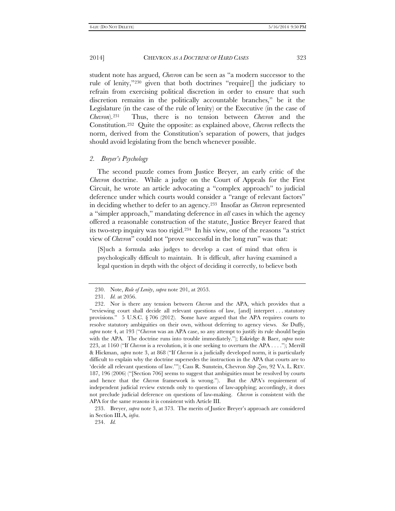student note has argued, *Chevron* can be seen as "a modern successor to the rule of lenity,"[230](#page-38-0) given that both doctrines "require[] the judiciary to refrain from exercising political discretion in order to ensure that such discretion remains in the politically accountable branches," be it the Legislature (in the case of the rule of lenity) or the Executive (in the case of *Chevron*).[231](#page-38-1) Thus, there is no tension between *Chevron* and the Constitution.[232](#page-38-2) Quite the opposite: as explained above, *Chevron* reflects the norm, derived from the Constitution's separation of powers, that judges should avoid legislating from the bench whenever possible.

# *2. Breyer's Psychology*

The second puzzle comes from Justice Breyer, an early critic of the *Chevron* doctrine. While a judge on the Court of Appeals for the First Circuit, he wrote an article advocating a "complex approach" to judicial deference under which courts would consider a "range of relevant factors" in deciding whether to defer to an agency.[233](#page-38-3) Insofar as *Chevron* represented a "simpler approach," mandating deference in *all* cases in which the agency offered a reasonable construction of the statute, Justice Breyer feared that its two-step inquiry was too rigid.[234](#page-38-4) In his view, one of the reasons "a strict view of *Chevron*" could not "prove successful in the long run" was that:

[S]uch a formula asks judges to develop a cast of mind that often is psychologically difficult to maintain. It is difficult, after having examined a legal question in depth with the object of deciding it correctly, to believe both

<sup>230.</sup> Note, *Rule of Lenity*, *supra* note 201, at 2053.

<sup>231.</sup> *Id.* at 2056.

<span id="page-38-2"></span><span id="page-38-1"></span><span id="page-38-0"></span><sup>232.</sup> Nor is there any tension between *Chevron* and the APA, which provides that a "reviewing court shall decide all relevant questions of law, [and] interpret . . . statutory provisions." 5 U.S.C.  $\S 706 (2012)$ . Some have argued that the APA requires courts to resolve statutory ambiguities on their own, without deferring to agency views. *See* Duffy, *supra* note 4, at 193 ("*Chevron* was an APA case, so any attempt to justify its rule should begin with the APA. The doctrine runs into trouble immediately."); Eskridge & Baer, *supra* note 223, at 1160 ("If *Chevron* is a revolution, it is one seeking to overturn the APA . . . ."); Merrill & Hickman, *supra* note 3, at 868 ("If *Chevron* is a judicially developed norm, it is particularly difficult to explain why the doctrine supersedes the instruction in the APA that courts are to 'decide all relevant questions of law.'"); Cass R. Sunstein, Chevron *Step Zero*, 92 VA. L. REV. 187, 196 (2006) ("[Section 706] seems to suggest that ambiguities must be resolved by courts and hence that the *Chevron* framework is wrong."). But the APA's requirement of independent judicial review extends only to questions of law-applying; accordingly, it does not preclude judicial deference on questions of law-making. *Chevron* is consistent with the APA for the same reasons it is consistent with Article III.

<span id="page-38-4"></span><span id="page-38-3"></span><sup>233.</sup> Breyer, *supra* note 3, at 373. The merits of Justice Breyer's approach are considered in Section III.A, *infra*.

<sup>234.</sup> *Id.*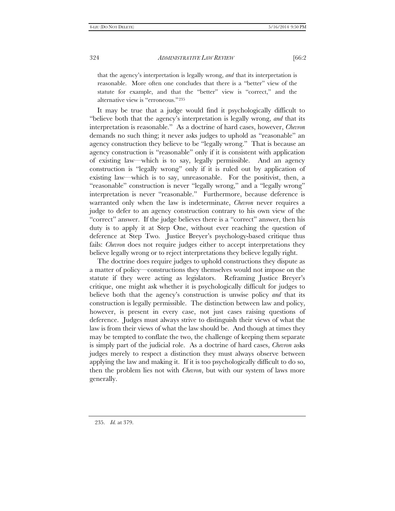that the agency's interpretation is legally wrong, *and* that its interpretation is reasonable. More often one concludes that there is a "better" view of the statute for example, and that the "better" view is "correct," and the alternative view is "erroneous."[235](#page-39-0)

It may be true that a judge would find it psychologically difficult to "believe both that the agency's interpretation is legally wrong, *and* that its interpretation is reasonable." As a doctrine of hard cases, however, *Chevron* demands no such thing; it never asks judges to uphold as "reasonable" an agency construction they believe to be "legally wrong." That is because an agency construction is "reasonable" only if it is consistent with application of existing law—which is to say, legally permissible. And an agency construction is "legally wrong" only if it is ruled out by application of existing law—which is to say, unreasonable. For the positivist, then, a "reasonable" construction is never "legally wrong," and a "legally wrong" interpretation is never "reasonable." Furthermore, because deference is warranted only when the law is indeterminate, *Chevron* never requires a judge to defer to an agency construction contrary to his own view of the "correct" answer. If the judge believes there is a "correct" answer, then his duty is to apply it at Step One, without ever reaching the question of deference at Step Two. Justice Breyer's psychology-based critique thus fails: *Chevron* does not require judges either to accept interpretations they believe legally wrong or to reject interpretations they believe legally right.

The doctrine does require judges to uphold constructions they dispute as a matter of policy—constructions they themselves would not impose on the statute if they were acting as legislators. Reframing Justice Breyer's critique, one might ask whether it is psychologically difficult for judges to believe both that the agency's construction is unwise policy *and* that its construction is legally permissible. The distinction between law and policy, however, is present in every case, not just cases raising questions of deference. Judges must always strive to distinguish their views of what the law is from their views of what the law should be. And though at times they may be tempted to conflate the two, the challenge of keeping them separate is simply part of the judicial role. As a doctrine of hard cases, *Chevron* asks judges merely to respect a distinction they must always observe between applying the law and making it. If it is too psychologically difficult to do so, then the problem lies not with *Chevron*, but with our system of laws more generally.

<span id="page-39-0"></span><sup>235.</sup> *Id.* at 379.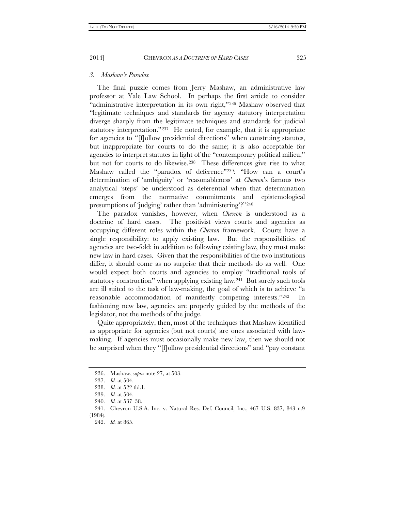#### *3. Mashaw's Paradox*

The final puzzle comes from Jerry Mashaw, an administrative law professor at Yale Law School. In perhaps the first article to consider "administrative interpretation in its own right,"[236](#page-40-0) Mashaw observed that "legitimate techniques and standards for agency statutory interpretation diverge sharply from the legitimate techniques and standards for judicial statutory interpretation."<sup>[237](#page-40-1)</sup> He noted, for example, that it is appropriate for agencies to "[f]ollow presidential directions" when construing statutes, but inappropriate for courts to do the same; it is also acceptable for agencies to interpret statutes in light of the "contemporary political milieu," but not for courts to do likewise.<sup>[238](#page-40-2)</sup> These differences give rise to what Mashaw called the "paradox of deference"[239:](#page-40-3) "How can a court's determination of 'ambiguity' or 'reasonableness' at *Chevron*'s famous two analytical 'steps' be understood as deferential when that determination emerges from the normative commitments and epistemological presumptions of 'judging' rather than 'administering'?"[240](#page-40-4)

The paradox vanishes, however, when *Chevron* is understood as a doctrine of hard cases. The positivist views courts and agencies as occupying different roles within the *Chevron* framework. Courts have a single responsibility: to apply existing law. But the responsibilities of agencies are two-fold: in addition to following existing law, they must make new law in hard cases. Given that the responsibilities of the two institutions differ, it should come as no surprise that their methods do as well. One would expect both courts and agencies to employ "traditional tools of statutory construction" when applying existing law.[241](#page-40-5) But surely such tools are ill suited to the task of law-making, the goal of which is to achieve "a reasonable accommodation of manifestly competing interests."[242](#page-40-6) In fashioning new law, agencies are properly guided by the methods of the legislator, not the methods of the judge.

Quite appropriately, then, most of the techniques that Mashaw identified as appropriate for agencies (but not courts) are ones associated with lawmaking. If agencies must occasionally make new law, then we should not be surprised when they "[f]ollow presidential directions" and "pay constant

<span id="page-40-0"></span><sup>236.</sup> Mashaw, *supra* note 27, at 503.

<sup>237.</sup> *Id.* at 504.

<span id="page-40-1"></span><sup>238.</sup> *Id.* at 522 tbl.1.

<sup>239.</sup> *Id.* at 504.

<sup>240.</sup> *Id.* at 537–38.

<span id="page-40-6"></span><span id="page-40-5"></span><span id="page-40-4"></span><span id="page-40-3"></span><span id="page-40-2"></span><sup>241.</sup> Chevron U.S.A. Inc. v. Natural Res. Def. Council, Inc., 467 U.S. 837, 843 n.9 (1984).

<sup>242.</sup> *Id.* at 865.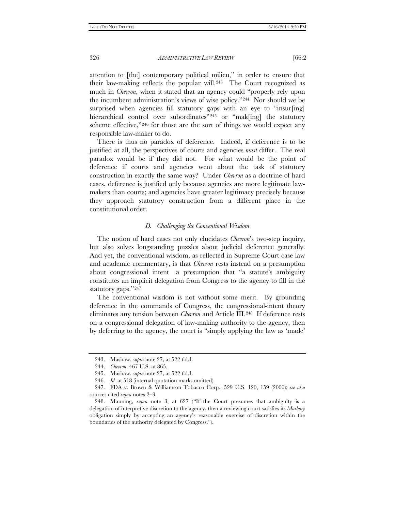attention to [the] contemporary political milieu," in order to ensure that their law-making reflects the popular will.[243](#page-41-0) The Court recognized as much in *Chevron*, when it stated that an agency could "properly rely upon the incumbent administration's views of wise policy."[244](#page-41-1) Nor should we be surprised when agencies fill statutory gaps with an eye to "insurfing] hierarchical control over subordinates"<sup>[245](#page-41-2)</sup> or "mak[ing] the statutory scheme effective,"[246](#page-41-3) for those are the sort of things we would expect any responsible law-maker to do.

There is thus no paradox of deference. Indeed, if deference is to be justified at all, the perspectives of courts and agencies *must* differ. The real paradox would be if they did not. For what would be the point of deference if courts and agencies went about the task of statutory construction in exactly the same way? Under *Chevron* as a doctrine of hard cases, deference is justified only because agencies are more legitimate lawmakers than courts; and agencies have greater legitimacy precisely because they approach statutory construction from a different place in the constitutional order.

#### *D. Challenging the Conventional Wisdom*

The notion of hard cases not only elucidates *Chevron*'s two-step inquiry, but also solves longstanding puzzles about judicial deference generally. And yet, the conventional wisdom, as reflected in Supreme Court case law and academic commentary, is that *Chevron* rests instead on a presumption about congressional intent—a presumption that "a statute's ambiguity constitutes an implicit delegation from Congress to the agency to fill in the statutory gaps.["247](#page-41-4)

The conventional wisdom is not without some merit. By grounding deference in the commands of Congress, the congressional-intent theory eliminates any tension between *Chevron* and Article III.[248](#page-41-5) If deference rests on a congressional delegation of law-making authority to the agency, then by deferring to the agency, the court is "simply applying the law as 'made'

<sup>243.</sup> Mashaw, *supra* note 27, at 522 tbl.1.

<sup>244.</sup> *Chevron*, 467 U.S. at 865.

<sup>245.</sup> Mashaw, *supra* note 27, at 522 tbl.1.

<sup>246.</sup> *Id.* at 518 (internal quotation marks omitted).

<span id="page-41-4"></span><span id="page-41-3"></span><span id="page-41-2"></span><span id="page-41-1"></span><span id="page-41-0"></span><sup>247.</sup> FDA v. Brown & Williamson Tobacco Corp., 529 U.S. 120, 159 (2000); *see also* sources cited *supra* notes 2–3.

<span id="page-41-5"></span><sup>248.</sup> Manning, *supra* note 3, at 627 ("If the Court presumes that ambiguity is a delegation of interpretive discretion to the agency, then a reviewing court satisfies its *Marbury* obligation simply by accepting an agency's reasonable exercise of discretion within the boundaries of the authority delegated by Congress.").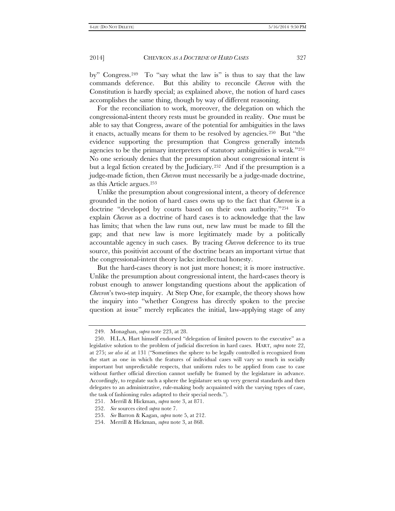by" Congress.[249](#page-42-0) To "say what the law is" is thus to say that the law commands deference. But this ability to reconcile *Chevron* with the Constitution is hardly special; as explained above, the notion of hard cases accomplishes the same thing, though by way of different reasoning.

For the reconciliation to work, moreover, the delegation on which the congressional-intent theory rests must be grounded in reality. One must be able to say that Congress, aware of the potential for ambiguities in the laws it enacts, actually means for them to be resolved by agencies.[250](#page-42-1) But "the evidence supporting the presumption that Congress generally intends agencies to be the primary interpreters of statutory ambiguities is weak.["251](#page-42-2)  No one seriously denies that the presumption about congressional intent is but a legal fiction created by the Judiciary.[252](#page-42-3) And if the presumption is a judge-made fiction, then *Chevron* must necessarily be a judge-made doctrine, as this Article argues.[253](#page-42-4)

Unlike the presumption about congressional intent, a theory of deference grounded in the notion of hard cases owns up to the fact that *Chevron* is a doctrine "developed by courts based on their own authority."[254](#page-42-5) To explain *Chevron* as a doctrine of hard cases is to acknowledge that the law has limits; that when the law runs out, new law must be made to fill the gap; and that new law is more legitimately made by a politically accountable agency in such cases. By tracing *Chevron* deference to its true source, this positivist account of the doctrine bears an important virtue that the congressional-intent theory lacks: intellectual honesty.

But the hard-cases theory is not just more honest; it is more instructive. Unlike the presumption about congressional intent, the hard-cases theory is robust enough to answer longstanding questions about the application of *Chevron*'s two-step inquiry. At Step One, for example, the theory shows how the inquiry into "whether Congress has directly spoken to the precise question at issue" merely replicates the initial, law-applying stage of any

<sup>249.</sup> Monaghan, *supra* note 223, at 28.

<span id="page-42-1"></span><span id="page-42-0"></span><sup>250.</sup> H.L.A. Hart himself endorsed "delegation of limited powers to the executive" as a legislative solution to the problem of judicial discretion in hard cases. HART, *supra* note 22, at 275; *see also id.* at 131 ("Sometimes the sphere to be legally controlled is recognized from the start as one in which the features of individual cases will vary so much in socially important but unpredictable respects, that uniform rules to be applied from case to case without further official direction cannot usefully be framed by the legislature in advance. Accordingly, to regulate such a sphere the legislature sets up very general standards and then delegates to an administrative, rule-making body acquainted with the varying types of case, the task of fashioning rules adapted to their special needs.").

<span id="page-42-2"></span><sup>251.</sup> Merrill & Hickman, *supra* note 3, at 871.

<span id="page-42-3"></span><sup>252.</sup> *See* sources cited *supra* note 7.

<span id="page-42-4"></span><sup>253.</sup> *See* Barron & Kagan, *supra* note 5, at 212.

<span id="page-42-5"></span><sup>254.</sup> Merrill & Hickman, *supra* note 3, at 868.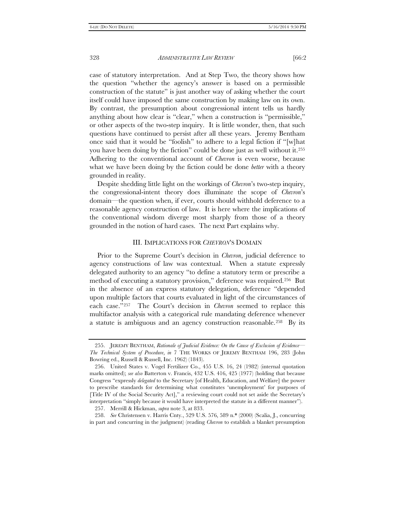case of statutory interpretation. And at Step Two, the theory shows how the question "whether the agency's answer is based on a permissible construction of the statute" is just another way of asking whether the court itself could have imposed the same construction by making law on its own. By contrast, the presumption about congressional intent tells us hardly anything about how clear is "clear," when a construction is "permissible," or other aspects of the two-step inquiry. It is little wonder, then, that such questions have continued to persist after all these years. Jeremy Bentham once said that it would be "foolish" to adhere to a legal fiction if "[w]hat you have been doing by the fiction" could be done just as well without it[.255](#page-43-0)  Adhering to the conventional account of *Chevron* is even worse, because what we have been doing by the fiction could be done *better* with a theory grounded in reality.

Despite shedding little light on the workings of *Chevron*'s two-step inquiry, the congressional-intent theory does illuminate the scope of *Chevron*'s domain—the question when, if ever, courts should withhold deference to a reasonable agency construction of law. It is here where the implications of the conventional wisdom diverge most sharply from those of a theory grounded in the notion of hard cases. The next Part explains why.

#### III. IMPLICATIONS FOR *CHEVRON*'S DOMAIN

Prior to the Supreme Court's decision in *Chevron*, judicial deference to agency constructions of law was contextual. When a statute expressly delegated authority to an agency "to define a statutory term or prescribe a method of executing a statutory provision," deference was required.[256](#page-43-1) But in the absence of an express statutory delegation, deference "depended upon multiple factors that courts evaluated in light of the circumstances of each case."[257](#page-43-2) The Court's decision in *Chevron* seemed to replace this multifactor analysis with a categorical rule mandating deference whenever a statute is ambiguous and an agency construction reasonable.[258](#page-43-3) By its

<span id="page-43-0"></span><sup>255.</sup> JEREMY BENTHAM, *Rationale of Judicial Evidence: On the Cause of Exclusion of Evidence— The Technical System of Procedure*, *in* 7 THE WORKS OF JEREMY BENTHAM 196, 283 (John Bowring ed., Russell & Russell, Inc. 1962) (1843).

<span id="page-43-1"></span><sup>256.</sup> United States v. Vogel Fertilizer Co., 455 U.S. 16, 24 (1982) (internal quotation marks omitted); *see also* Batterton v. Francis, 432 U.S. 416, 425 (1977) (holding that because Congress "expressly *delegated* to the Secretary [of Health, Education, and Welfare] the power to prescribe standards for determining what constitutes 'unemployment' for purposes of [Title IV of the Social Security Act]," a reviewing court could not set aside the Secretary's interpretation "simply because it would have interpreted the statute in a different manner").

<sup>257.</sup> Merrill & Hickman, *supra* note 3, at 833.

<span id="page-43-3"></span><span id="page-43-2"></span><sup>258.</sup> *See* Christensen v. Harris Cnty., 529 U.S. 576, 589 n.\* (2000) (Scalia, J., concurring in part and concurring in the judgment) (reading *Chevron* to establish a blanket presumption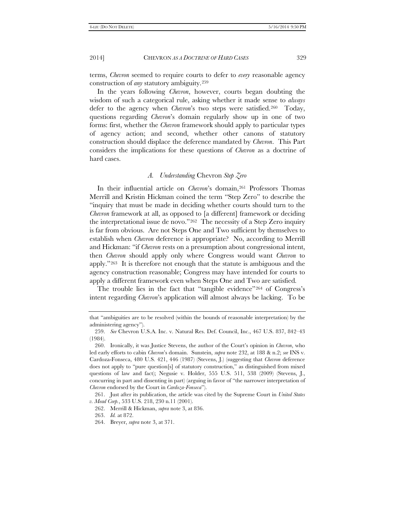terms, *Chevron* seemed to require courts to defer to *every* reasonable agency construction of *any* statutory ambiguity.[259](#page-44-0)

In the years following *Chevron*, however, courts began doubting the wisdom of such a categorical rule, asking whether it made sense to *always* defer to the agency when *Chevron*'s two steps were satisfied.[260](#page-44-1) Today, questions regarding *Chevron*'s domain regularly show up in one of two forms: first, whether the *Chevron* framework should apply to particular types of agency action; and second, whether other canons of statutory construction should displace the deference mandated by *Chevron*. This Part considers the implications for these questions of *Chevron* as a doctrine of hard cases.

# *A. Understanding* Chevron *Step Zero*

In their influential article on *Chevron*'s domain,<sup>[261](#page-44-2)</sup> Professors Thomas Merrill and Kristin Hickman coined the term "Step Zero" to describe the "inquiry that must be made in deciding whether courts should turn to the *Chevron* framework at all, as opposed to [a different] framework or deciding the interpretational issue de novo."[262](#page-44-3) The necessity of a Step Zero inquiry is far from obvious. Are not Steps One and Two sufficient by themselves to establish when *Chevron* deference is appropriate? No, according to Merrill and Hickman: "if *Chevron* rests on a presumption about congressional intent, then *Chevron* should apply only where Congress would want *Chevron* to apply."[263](#page-44-4) It is therefore not enough that the statute is ambiguous and the agency construction reasonable; Congress may have intended for courts to apply a different framework even when Steps One and Two are satisfied.

The trouble lies in the fact that "tangible evidence"<sup>[264](#page-44-5)</sup> of Congress's intent regarding *Chevron*'s application will almost always be lacking. To be

that "ambiguities are to be resolved (within the bounds of reasonable interpretation) by the administering agency").

<span id="page-44-0"></span><sup>259.</sup> *See* Chevron U.S.A. Inc. v. Natural Res. Def. Council, Inc., 467 U.S. 837, 842–43 (1984).

<span id="page-44-1"></span><sup>260.</sup> Ironically, it was Justice Stevens, the author of the Court's opinion in *Chevron*, who led early efforts to cabin *Chevron*'s domain. Sunstein, *supra* note 232, at 188 & n.2; *see* INS v. Cardoza-Fonseca, 480 U.S. 421, 446 (1987) (Stevens, J.) (suggesting that *Chevron* deference does not apply to "pure question[s] of statutory construction," as distinguished from mixed questions of law and fact); Negusie v. Holder, 555 U.S. 511, 538 (2009) (Stevens, J., concurring in part and dissenting in part) (arguing in favor of "the narrower interpretation of *Chevron* endorsed by the Court in *Cardoza-Fonseca*").

<span id="page-44-5"></span><span id="page-44-4"></span><span id="page-44-3"></span><span id="page-44-2"></span><sup>261.</sup> Just after its publication, the article was cited by the Supreme Court in *United States v. Mead Corp.*, 533 U.S. 218, 230 n.11 (2001).

<sup>262.</sup> Merrill & Hickman, *supra* note 3, at 836.

<sup>263.</sup> *Id.* at 872.

<sup>264.</sup> Breyer, *supra* note 3, at 371.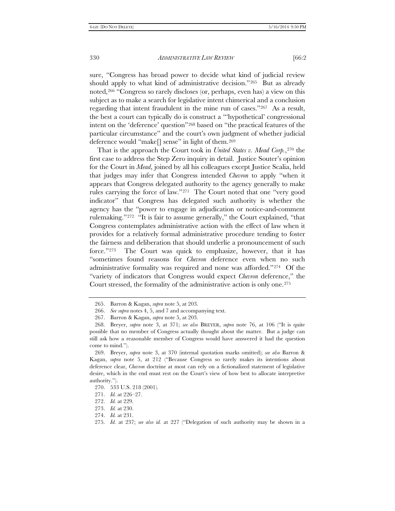sure, "Congress has broad power to decide what kind of judicial review should apply to what kind of administrative decision."[265](#page-45-0) But as already noted,[266](#page-45-1) "Congress so rarely discloses (or, perhaps, even has) a view on this subject as to make a search for legislative intent chimerical and a conclusion regarding that intent fraudulent in the mine run of cases."[267](#page-45-2) As a result, the best a court can typically do is construct a "'hypothetical' congressional intent on the 'deference' question"[268](#page-45-3) based on "the practical features of the particular circumstance" and the court's own judgment of whether judicial deference would "make[] sense" in light of them.[269](#page-45-4)

That is the approach the Court took in *United States v. Mead Corp.*,[270](#page-45-5) the first case to address the Step Zero inquiry in detail. Justice Souter's opinion for the Court in *Mead*, joined by all his colleagues except Justice Scalia, held that judges may infer that Congress intended *Chevron* to apply "when it appears that Congress delegated authority to the agency generally to make rules carrying the force of law."[271](#page-45-6) The Court noted that one "very good indicator" that Congress has delegated such authority is whether the agency has the "power to engage in adjudication or notice-and-comment rulemaking."[272](#page-45-7) "It is fair to assume generally," the Court explained, "that Congress contemplates administrative action with the effect of law when it provides for a relatively formal administrative procedure tending to foster the fairness and deliberation that should underlie a pronouncement of such force."[273](#page-45-8) The Court was quick to emphasize, however, that it has "sometimes found reasons for *Chevron* deference even when no such administrative formality was required and none was afforded."[274](#page-45-9) Of the "variety of indicators that Congress would expect *Chevron* deference," the Court stressed, the formality of the administrative action is only one[.275](#page-45-10)

<sup>265.</sup> Barron & Kagan, *supra* note 5, at 203.

<sup>266.</sup> *See supra* notes 4, 5, and 7 and accompanying text.

<sup>267.</sup> Barron & Kagan, *supra* note 5, at 203.

<span id="page-45-3"></span><span id="page-45-2"></span><span id="page-45-1"></span><span id="page-45-0"></span><sup>268.</sup> Breyer, *supra* note 3, at 371; *see also* BREYER, *supra* note 76, at 106 ("It is quite possible that no member of Congress actually thought about the matter. But a judge can still ask how a reasonable member of Congress would have answered it had the question come to mind.").

<span id="page-45-4"></span><sup>269.</sup> Breyer, *supra* note 3, at 370 (internal quotation marks omitted); *see also* Barron & Kagan, *supra* note 5, at 212 ("Because Congress so rarely makes its intentions about deference clear, *Chevron* doctrine at most can rely on a fictionalized statement of legislative desire, which in the end must rest on the Court's view of how best to allocate interpretive authority.").

<span id="page-45-5"></span><sup>270.</sup> 533 U.S. 218 (2001).

<sup>271.</sup> *Id.* at 226–27.

<span id="page-45-7"></span><span id="page-45-6"></span><sup>272.</sup> *Id.* at 229.

<sup>273.</sup> *Id.* at 230.

<span id="page-45-10"></span><span id="page-45-9"></span><span id="page-45-8"></span><sup>274.</sup> *Id.* at 231.

<sup>275.</sup> *Id.* at 237; *see also id.* at 227 ("Delegation of such authority may be shown in a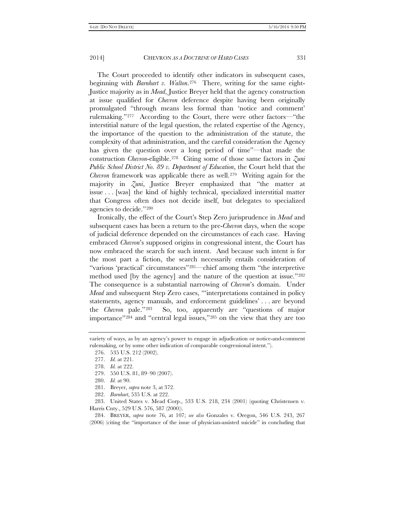The Court proceeded to identify other indicators in subsequent cases, beginning with *Barnhart v. Walton*.[276](#page-46-0) There, writing for the same eight-Justice majority as in *Mead*, Justice Breyer held that the agency construction at issue qualified for *Chevron* deference despite having been originally promulgated "through means less formal than 'notice and comment' rulemaking."[277](#page-46-1) According to the Court, there were other factors—"the interstitial nature of the legal question, the related expertise of the Agency, the importance of the question to the administration of the statute, the complexity of that administration, and the careful consideration the Agency has given the question over a long period of time"—that made the construction *Chevron*-eligible.[278](#page-46-2) Citing some of those same factors in *Zuni Public School District No. 89 v. Department of Education*, the Court held that the *Chevron* framework was applicable there as well.<sup>279</sup> Writing again for the majority in *Zuni*, Justice Breyer emphasized that "the matter at issue . . . [was] the kind of highly technical, specialized interstitial matter that Congress often does not decide itself, but delegates to specialized agencies to decide."[280](#page-46-4)

Ironically, the effect of the Court's Step Zero jurisprudence in *Mead* and subsequent cases has been a return to the pre-*Chevron* days, when the scope of judicial deference depended on the circumstances of each case. Having embraced *Chevron*'s supposed origins in congressional intent, the Court has now embraced the search for such intent. And because such intent is for the most part a fiction, the search necessarily entails consideration of "various 'practical' circumstances"[281—](#page-46-5)chief among them "the interpretive method used [by the agency] and the nature of the question at issue.["282](#page-46-6)  The consequence is a substantial narrowing of *Chevron*'s domain. Under *Mead* and subsequent Step Zero cases, "'interpretations contained in policy statements, agency manuals, and enforcement guidelines' . . . are beyond the *Chevron* pale."[283](#page-46-7) So, too, apparently are "questions of major importance"[284](#page-46-8) and "central legal issues,"[285](#page-46-9) on the view that they are too

- 281. Breyer, *supra* note 3, at 372.
- 282. *Barnhart*, 535 U.S. at 222.

<span id="page-46-7"></span><span id="page-46-6"></span><span id="page-46-5"></span><span id="page-46-4"></span><span id="page-46-3"></span>283. United States v. Mead Corp., 533 U.S. 218, 234 (2001) (quoting Christensen v. Harris Cnty., 529 U.S. 576, 587 (2000)).

<span id="page-46-8"></span>284. BREYER, *supra* note 76, at 107; *see also* Gonzales v. Oregon, 546 U.S. 243, 267 (2006) (citing the "importance of the issue of physician-assisted suicide" in concluding that

<span id="page-46-9"></span><span id="page-46-2"></span><span id="page-46-1"></span><span id="page-46-0"></span>variety of ways, as by an agency's power to engage in adjudication or notice-and-comment rulemaking, or by some other indication of comparable congressional intent.").

<sup>276.</sup> 535 U.S. 212 (2002).

<sup>277.</sup> *Id.* at 221.

<sup>278.</sup> *Id.* at 222.

<sup>279.</sup> 550 U.S. 81, 89–90 (2007).

<sup>280.</sup> *Id.* at 90.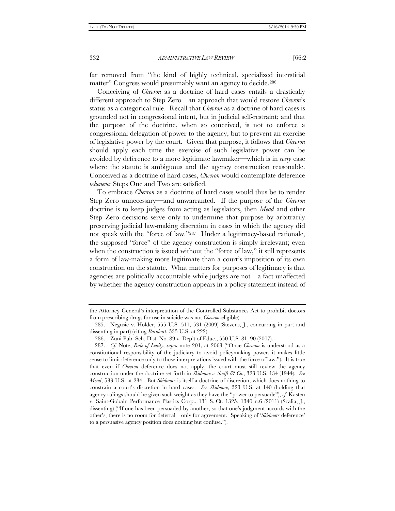far removed from "the kind of highly technical, specialized interstitial matter" Congress would presumably want an agency to decide.<sup>[286](#page-47-0)</sup>

Conceiving of *Chevron* as a doctrine of hard cases entails a drastically different approach to Step Zero—an approach that would restore *Chevron*'s status as a categorical rule. Recall that *Chevron* as a doctrine of hard cases is grounded not in congressional intent, but in judicial self-restraint; and that the purpose of the doctrine, when so conceived, is not to enforce a congressional delegation of power to the agency, but to prevent an exercise of legislative power by the court. Given that purpose, it follows that *Chevron* should apply each time the exercise of such legislative power can be avoided by deference to a more legitimate lawmaker—which is in *every* case where the statute is ambiguous and the agency construction reasonable. Conceived as a doctrine of hard cases, *Chevron* would contemplate deference *whenever* Steps One and Two are satisfied.

To embrace *Chevron* as a doctrine of hard cases would thus be to render Step Zero unnecessary—and unwarranted. If the purpose of the *Chevron* doctrine is to keep judges from acting as legislators, then *Mead* and other Step Zero decisions serve only to undermine that purpose by arbitrarily preserving judicial law-making discretion in cases in which the agency did not speak with the "force of law."[287](#page-47-1) Under a legitimacy-based rationale, the supposed "force" of the agency construction is simply irrelevant; even when the construction is issued without the "force of law," it still represents a form of law-making more legitimate than a court's imposition of its own construction on the statute. What matters for purposes of legitimacy is that agencies are politically accountable while judges are not—a fact unaffected by whether the agency construction appears in a policy statement instead of

the Attorney General's interpretation of the Controlled Substances Act to prohibit doctors from prescribing drugs for use in suicide was not *Chevron*-eligible).

<sup>285.</sup> Negusie v. Holder, 555 U.S. 511, 531 (2009) (Stevens, J., concurring in part and dissenting in part) (citing *Barnhart*, 535 U.S. at 222).

<sup>286.</sup> Zuni Pub. Sch. Dist. No. 89 v. Dep't of Educ., 550 U.S. 81, 90 (2007).

<span id="page-47-1"></span><span id="page-47-0"></span><sup>287.</sup> *Cf.* Note, *Rule of Lenity*, *supra* note 201, at 2063 ("Once *Chevron* is understood as a constitutional responsibility of the judiciary to avoid policymaking power, it makes little sense to limit deference only to those interpretations issued with the force of law."). It is true that even if *Chevron* deference does not apply, the court must still review the agency construction under the doctrine set forth in *Skidmore v. Swift & Co.*, 323 U.S. 134 (1944). *See Mead*, 533 U.S. at 234. But *Skidmore* is itself a doctrine of discretion, which does nothing to constrain a court's discretion in hard cases. *See Skidmore*, 323 U.S. at 140 (holding that agency rulings should be given such weight as they have the "power to persuade"); *cf.* Kasten v. Saint-Gobain Performance Plastics Corp., 131 S. Ct. 1325, 1340 n.6 (2011) (Scalia, J., dissenting) ("If one has been persuaded by another, so that one's judgment accords with the other's, there is no room for deferral—only for agreement. Speaking of '*Skidmore* deference' to a persuasive agency position does nothing but confuse.").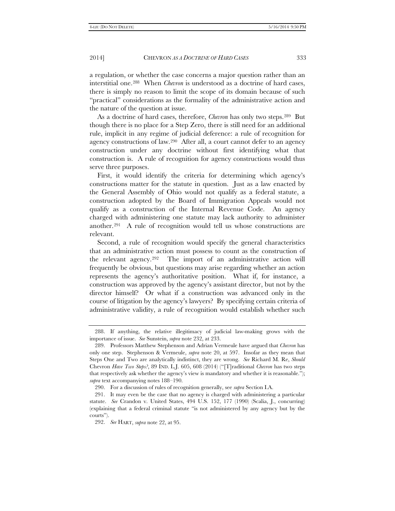a regulation, or whether the case concerns a major question rather than an interstitial one.[288](#page-48-0) When *Chevron* is understood as a doctrine of hard cases, there is simply no reason to limit the scope of its domain because of such "practical" considerations as the formality of the administrative action and the nature of the question at issue.

As a doctrine of hard cases, therefore, *Chevron* has only two steps[.289](#page-48-1) But though there is no place for a Step Zero, there is still need for an additional rule, implicit in any regime of judicial deference: a rule of recognition for agency constructions of law.[290](#page-48-2) After all, a court cannot defer to an agency construction under any doctrine without first identifying what that construction is. A rule of recognition for agency constructions would thus serve three purposes.

First, it would identify the criteria for determining which agency's constructions matter for the statute in question. Just as a law enacted by the General Assembly of Ohio would not qualify as a federal statute, a construction adopted by the Board of Immigration Appeals would not qualify as a construction of the Internal Revenue Code. An agency charged with administering one statute may lack authority to administer another.[291](#page-48-3) A rule of recognition would tell us whose constructions are relevant.

Second, a rule of recognition would specify the general characteristics that an administrative action must possess to count as the construction of the relevant agency.[292](#page-48-4) The import of an administrative action will frequently be obvious, but questions may arise regarding whether an action represents the agency's authoritative position. What if, for instance, a construction was approved by the agency's assistant director, but not by the director himself? Or what if a construction was advanced only in the course of litigation by the agency's lawyers? By specifying certain criteria of administrative validity, a rule of recognition would establish whether such

<span id="page-48-0"></span><sup>288.</sup> If anything, the relative illegitimacy of judicial law-making grows with the importance of issue. *See* Sunstein, *supra* note 232, at 233.

<span id="page-48-1"></span><sup>289.</sup> Professors Matthew Stephenson and Adrian Vermeule have argued that *Chevron* has only one step. Stephenson & Vermeule, *supra* note 20, at 597. Insofar as they mean that Steps One and Two are analytically indistinct, they are wrong. *See* Richard M. Re, *Should* Chevron *Have Two Steps?*, 89 IND. L.J. 605, 608 (2014) ("[T]raditional *Chevron* has two steps that respectively ask whether the agency's view is mandatory and whether it is reasonable."); *supra* text accompanying notes 188–190.

<sup>290.</sup> For a discussion of rules of recognition generally, see *supra* Section I.A.

<span id="page-48-4"></span><span id="page-48-3"></span><span id="page-48-2"></span><sup>291.</sup> It may even be the case that no agency is charged with administering a particular statute. *See* Crandon v. United States, 494 U.S. 152, 177 (1990) (Scalia, J., concurring) (explaining that a federal criminal statute "is not administered by any agency but by the courts").

<sup>292.</sup> *See* HART, *supra* note 22, at 95.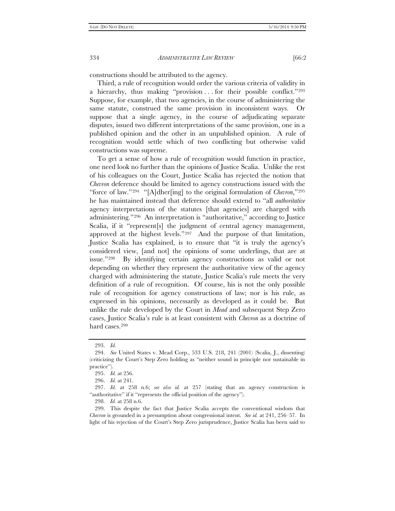constructions should be attributed to the agency.

Third, a rule of recognition would order the various criteria of validity in a hierarchy, thus making "provision . . . for their possible conflict.["293](#page-49-0)  Suppose, for example, that two agencies, in the course of administering the same statute, construed the same provision in inconsistent ways. Or suppose that a single agency, in the course of adjudicating separate disputes, issued two different interpretations of the same provision, one in a published opinion and the other in an unpublished opinion. A rule of recognition would settle which of two conflicting but otherwise valid constructions was supreme.

To get a sense of how a rule of recognition would function in practice, one need look no further than the opinions of Justice Scalia. Unlike the rest of his colleagues on the Court, Justice Scalia has rejected the notion that *Chevron* deference should be limited to agency constructions issued with the "force of law."[294](#page-49-1) "[A]dher[ing] to the original formulation of *Chevron*,["295](#page-49-2) he has maintained instead that deference should extend to "all *authoritative* agency interpretations of the statutes [that agencies] are charged with administering."[296](#page-49-3) An interpretation is "authoritative," according to Justice Scalia, if it "represent[s] the judgment of central agency management, approved at the highest levels."[297](#page-49-4) And the purpose of that limitation, Justice Scalia has explained, is to ensure that "it is truly the agency's considered view, [and not] the opinions of some underlings, that are at issue."[298](#page-49-5) By identifying certain agency constructions as valid or not depending on whether they represent the authoritative view of the agency charged with administering the statute, Justice Scalia's rule meets the very definition of a rule of recognition. Of course, his is not the only possible rule of recognition for agency constructions of law; nor is his rule, as expressed in his opinions, necessarily as developed as it could be. But unlike the rule developed by the Court in *Mead* and subsequent Step Zero cases, Justice Scalia's rule is at least consistent with *Chevron* as a doctrine of hard cases.[299](#page-49-6)

<sup>293.</sup> *Id.*

<span id="page-49-1"></span><span id="page-49-0"></span><sup>294.</sup> *See* United States v. Mead Corp., 533 U.S. 218, 241 (2001) (Scalia, J., dissenting) (criticizing the Court's Step Zero holding as "neither sound in principle nor sustainable in practice").

<sup>295.</sup> *Id.* at 256.

<sup>296.</sup> *Id.* at 241.

<span id="page-49-4"></span><span id="page-49-3"></span><span id="page-49-2"></span><sup>297.</sup> *Id.* at 258 n.6; *see also id.* at 257 (stating that an agency construction is "authoritative" if it "represents the official position of the agency").

<sup>298.</sup> *Id.* at 258 n.6.

<span id="page-49-6"></span><span id="page-49-5"></span><sup>299.</sup> This despite the fact that Justice Scalia accepts the conventional wisdom that *Chevron* is grounded in a presumption about congressional intent. *See id.* at 241, 256–57. In light of his rejection of the Court's Step Zero jurisprudence, Justice Scalia has been said to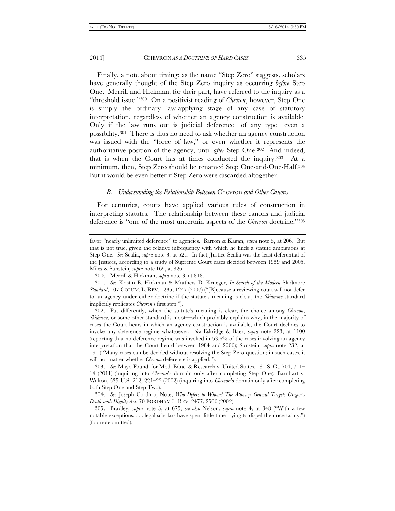Finally, a note about timing: as the name "Step Zero" suggests, scholars have generally thought of the Step Zero inquiry as occurring *before* Step One. Merrill and Hickman, for their part, have referred to the inquiry as a "threshold issue."[300](#page-50-0) On a positivist reading of *Chevron*, however, Step One is simply the ordinary law-applying stage of any case of statutory interpretation, regardless of whether an agency construction is available. Only if the law runs out is judicial deference—of any type—even a possibility.[301](#page-50-1) There is thus no need to ask whether an agency construction was issued with the "force of law," or even whether it represents the authoritative position of the agency, until *after* Step One.[302](#page-50-2) And indeed, that is when the Court has at times conducted the inquiry.[303](#page-50-3) At a minimum, then, Step Zero should be renamed Step One-and-One-Half[.304](#page-50-4)  But it would be even better if Step Zero were discarded altogether.

#### *B. Understanding the Relationship Between* Chevron *and Other Canons*

For centuries, courts have applied various rules of construction in interpreting statutes. The relationship between these canons and judicial deference is "one of the most uncertain aspects of the *Chevron* doctrine,["305](#page-50-5)

<span id="page-50-2"></span>302. Put differently, when the statute's meaning is clear, the choice among *Chevron*, *Skidmore*, or some other standard is moot—which probably explains why, in the majority of cases the Court hears in which an agency construction is available, the Court declines to invoke any deference regime whatsoever. *See* Eskridge & Baer, *supra* note 223, at 1100 (reporting that no deference regime was invoked in 53.6% of the cases involving an agency interpretation that the Court heard between 1984 and 2006); Sunstein, *supra* note 232, at 191 ("Many cases can be decided without resolving the Step Zero question; in such cases, it will not matter whether *Chevron* deference is applied.").

favor "nearly unlimited deference" to agencies. Barron & Kagan, *supra* note 5, at 206. But that is not true, given the relative infrequency with which he finds a statute ambiguous at Step One. *See* Scalia, *supra* note 3, at 521. In fact, Justice Scalia was the least deferential of the Justices, according to a study of Supreme Court cases decided between 1989 and 2005. Miles & Sunstein, *supra* note 169, at 826.

<sup>300.</sup> Merrill & Hickman, *supra* note 3, at 848.

<span id="page-50-1"></span><span id="page-50-0"></span><sup>301.</sup> *See* Kristin E. Hickman & Matthew D. Krueger, *In Search of the Modern* Skidmore *Standard*, 107 COLUM. L. REV. 1235, 1247 (2007) ("[B]ecause a reviewing court will not defer to an agency under either doctrine if the statute's meaning is clear, the *Skidmore* standard implicitly replicates *Chevron*'s first step.").

<span id="page-50-3"></span><sup>303.</sup> *See* Mayo Found. for Med. Educ. & Research v. United States, 131 S. Ct. 704, 711– 14 (2011) (inquiring into *Chevron*'s domain only after completing Step One); Barnhart v. Walton, 535 U.S. 212, 221–22 (2002) (inquiring into *Chevron*'s domain only after completing both Step One and Step Two).

<span id="page-50-4"></span><sup>304.</sup> *See* Joseph Cordaro, Note, *Who Defers to Whom? The Attorney General Targets Oregon's Death with Dignity Act*, 70 FORDHAM L. REV. 2477, 2506 (2002).

<span id="page-50-5"></span><sup>305.</sup> Bradley, *supra* note 3, at 675; *see also* Nelson, *supra* note 4, at 348 ("With a few notable exceptions, . . . legal scholars have spent little time trying to dispel the uncertainty.") (footnote omitted).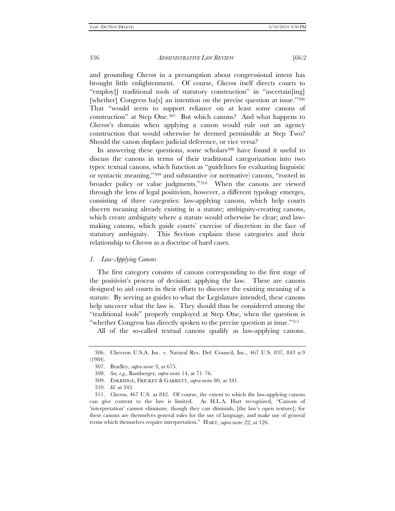and grounding *Chevron* in a presumption about congressional intent has brought little enlightenment. Of course, *Chevron* itself directs courts to "employ[] traditional tools of statutory construction" in "ascertain[ing] [whether] Congress ha[s] an intention on the precise question at issue.["306](#page-51-0)  That "would seem to support reliance on at least some canons of construction" at Step One.[307](#page-51-1) But which canons? And what happens to *Chevron*'s domain when applying a canon would rule out an agency construction that would otherwise be deemed permissible at Step Two? Should the canon displace judicial deference, or vice versa?

In answering these questions, some scholars<sup>[308](#page-51-2)</sup> have found it useful to discuss the canons in terms of their traditional categorization into two types: textual canons, which function as "guidelines for evaluating linguistic or syntactic meaning,"[309](#page-51-3) and substantive (or normative) canons, "rooted in broader policy or value judgments."[310](#page-51-4) When the canons are viewed through the lens of legal positivism, however, a different typology emerges, consisting of three categories: law-applying canons, which help courts discern meaning already existing in a statute; ambiguity-creating canons, which create ambiguity where a statute would otherwise be clear; and lawmaking canons, which guide courts' exercise of discretion in the face of statutory ambiguity. This Section explains these categories and their relationship to *Chevron* as a doctrine of hard cases.

# *1. Law-Applying Canons*

The first category consists of canons corresponding to the first stage of the positivist's process of decision: applying the law. These are canons designed to aid courts in their efforts to discover the existing meaning of a statute. By serving as guides to what the Legislature intended, these canons help uncover what the law is. They should thus be considered among the "traditional tools" properly employed at Step One, when the question is "whether Congress has directly spoken to the precise question at issue."<sup>[311](#page-51-5)</sup>

All of the so-called textual canons qualify as law-applying canons.

<span id="page-51-2"></span><span id="page-51-1"></span><span id="page-51-0"></span><sup>306.</sup> Chevron U.S.A. Inc. v. Natural Res. Def. Council, Inc., 467 U.S. 837, 843 n.9 (1984).

<sup>307.</sup> Bradley, *supra* note 3, at 675.

<sup>308.</sup> *See, e.g.*, Bamberger, *supra* note 14, at 71–76.

<sup>309.</sup> ESKRIDGE, FRICKEY & GARRETT, *supra* note 80, at 341.

<sup>310.</sup> *Id.* at 342.

<span id="page-51-5"></span><span id="page-51-4"></span><span id="page-51-3"></span><sup>311.</sup> *Chevron*, 467 U.S. at 842. Of course, the extent to which the law-applying canons can give content to the law is limited. As H.L.A. Hart recognized, "Canons of 'interpretation' cannot eliminate, though they can diminish, [the law's open texture]; for these canons are themselves general rules for the use of language, and make use of general terms which themselves require interpretation." HART, *supra* note 22, at 126.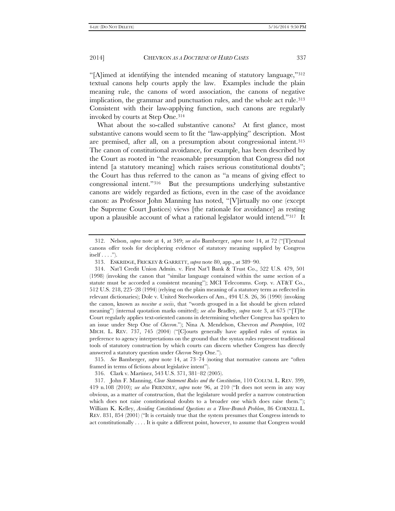"[A]imed at identifying the intended meaning of statutory language,["312](#page-52-0) textual canons help courts apply the law. Examples include the plain meaning rule, the canons of word association, the canons of negative implication, the grammar and punctuation rules, and the whole act rule[.313](#page-52-1)  Consistent with their law-applying function, such canons are regularly invoked by courts at Step One.[314](#page-52-2)

What about the so-called substantive canons? At first glance, most substantive canons would seem to fit the "law-applying" description. Most are premised, after all, on a presumption about congressional intent.[315](#page-52-3)  The canon of constitutional avoidance, for example, has been described by the Court as rooted in "the reasonable presumption that Congress did not intend [a statutory meaning] which raises serious constitutional doubts"; the Court has thus referred to the canon as "a means of giving effect to congressional intent."[316](#page-52-4) But the presumptions underlying substantive canons are widely regarded as fictions, even in the case of the avoidance canon: as Professor John Manning has noted, "[V]irtually no one (except the Supreme Court Justices) views [the rationale for avoidance] as resting upon a plausible account of what a rational legislator would intend."[317](#page-52-5) It

<span id="page-52-0"></span><sup>312.</sup> Nelson, *supra* note at 4, at 349; *see also* Bamberger, *supra* note 14, at 72 ("[T]extual canons offer tools for deciphering evidence of statutory meaning supplied by Congress itself  $\dots$  .").

<sup>313.</sup> ESKRIDGE, FRICKEY & GARRETT, *supra* note 80, app., at 389–90.

<span id="page-52-2"></span><span id="page-52-1"></span><sup>314.</sup> Nat'l Credit Union Admin. v. First Nat'l Bank & Trust Co., 522 U.S. 479, 501 (1998) (invoking the canon that "similar language contained within the same section of a statute must be accorded a consistent meaning"); MCI Telecomms. Corp. v. AT&T Co., 512 U.S. 218, 225–28 (1994) (relying on the plain meaning of a statutory term as reflected in relevant dictionaries); Dole v. United Steelworkers of Am., 494 U.S. 26, 36 (1990) (invoking the canon, known as *noscitur a sociis*, that "words grouped in a list should be given related meaning") (internal quotation marks omitted); *see also* Bradley, *supra* note 3, at 675 ("[T]he Court regularly applies text-oriented canons in determining whether Congress has spoken to an issue under Step One of *Chevron*."); Nina A. Mendelson, Chevron *and Preemption*, 102 MICH. L. REV. 737, 745 (2004) ("[C]ourts generally have applied rules of syntax in preference to agency interpretations on the ground that the syntax rules represent traditional tools of statutory construction by which courts can discern whether Congress has directly answered a statutory question under *Chevron* Step One.").

<span id="page-52-3"></span><sup>315.</sup> *See* Bamberger, *supra* note 14, at 73–74 (noting that normative canons are "often framed in terms of fictions about legislative intent").

<sup>316.</sup> Clark v. Martinez, 543 U.S. 371, 381–82 (2005).

<span id="page-52-5"></span><span id="page-52-4"></span><sup>317.</sup> John F. Manning, *Clear Statement Rules and the Constitution*, 110 COLUM. L. REV. 399, 419 n.108 (2010); *see also* FRIENDLY, *supra* note 96, at 210 ("It does not seem in any way obvious, as a matter of construction, that the legislature would prefer a narrow construction which does not raise constitutional doubts to a broader one which does raise them."); William K. Kelley, *Avoiding Constitutional Questions as a Three-Branch Problem*, 86 CORNELL L. REV. 831, 854 (2001) ("It is certainly true that the system presumes that Congress intends to act constitutionally . . . . It is quite a different point, however, to assume that Congress would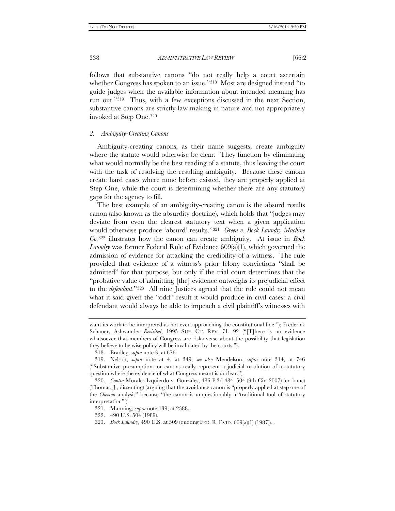follows that substantive canons "do not really help a court ascertain whether Congress has spoken to an issue."[318](#page-53-0) Most are designed instead "to guide judges when the available information about intended meaning has run out."[319](#page-53-1) Thus, with a few exceptions discussed in the next Section, substantive canons are strictly law-making in nature and not appropriately invoked at Step One.[320](#page-53-2)

### *2. Ambiguity-Creating Canons*

Ambiguity-creating canons, as their name suggests, create ambiguity where the statute would otherwise be clear. They function by eliminating what would normally be the best reading of a statute, thus leaving the court with the task of resolving the resulting ambiguity. Because these canons create hard cases where none before existed, they are properly applied at Step One, while the court is determining whether there are any statutory gaps for the agency to fill.

The best example of an ambiguity-creating canon is the absurd results canon (also known as the absurdity doctrine), which holds that "judges may deviate from even the clearest statutory text when a given application would otherwise produce 'absurd' results."[321](#page-53-3) *Green v. Bock Laundry Machine Co.*[322](#page-53-4) illustrates how the canon can create ambiguity. At issue in *Bock Laundry* was former Federal Rule of Evidence 609(a)(1), which governed the admission of evidence for attacking the credibility of a witness. The rule provided that evidence of a witness's prior felony convictions "shall be admitted" for that purpose, but only if the trial court determines that the "probative value of admitting [the] evidence outweighs its prejudicial effect to the *defendant*."[323](#page-53-5) All nine Justices agreed that the rule could not mean what it said given the "odd" result it would produce in civil cases: a civil defendant would always be able to impeach a civil plaintiff's witnesses with

want its work to be interpreted as not even approaching the constitutional line."); Frederick Schauer, Ashwander *Revisited*, 1995 SUP. CT. REV. 71, 92 ("[T]here is no evidence whatsoever that members of Congress are risk-averse about the possibility that legislation they believe to be wise policy will be invalidated by the courts.").

<sup>318.</sup> Bradley, *supra* note 3, at 676.

<span id="page-53-1"></span><span id="page-53-0"></span><sup>319.</sup> Nelson, *supra* note at 4, at 349; *see also* Mendelson, *supra* note 314, at 746 ("Substantive presumptions or canons really represent a judicial resolution of a statutory question where the evidence of what Congress meant is unclear.").

<span id="page-53-3"></span><span id="page-53-2"></span><sup>320.</sup> *Contra* Morales-Izquierdo v. Gonzales, 486 F.3d 484, 504 (9th Cir. 2007) (en banc) (Thomas, J., dissenting) (arguing that the avoidance canon is "properly applied at step one of the *Chevron* analysis" because "the canon is unquestionably a 'traditional tool of statutory interpretation'").

<span id="page-53-4"></span><sup>321.</sup> Manning, *supra* note 139, at 2388.

<sup>322.</sup> 490 U.S. 504 (1989).

<span id="page-53-5"></span><sup>323.</sup> *Bock Laundry*, 490 U.S. at 509 (quoting FED. R. EVID. 609(a)(1) (1987)). .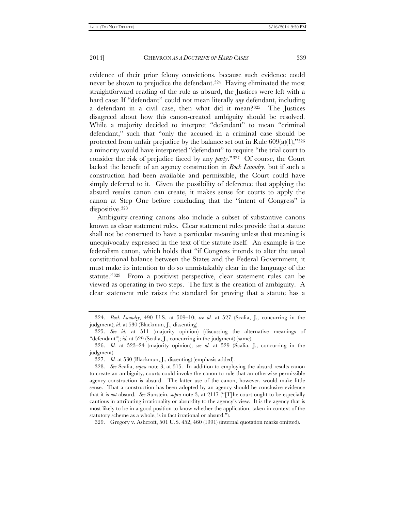evidence of their prior felony convictions, because such evidence could never be shown to prejudice the defendant.[324](#page-54-0) Having eliminated the most straightforward reading of the rule as absurd, the Justices were left with a hard case: If "defendant" could not mean literally *any* defendant, including

a defendant in a civil case, then what did it mean?[325](#page-54-1) The Justices disagreed about how this canon-created ambiguity should be resolved. While a majority decided to interpret "defendant" to mean "criminal defendant," such that "only the accused in a criminal case should be protected from unfair prejudice by the balance set out in Rule  $609(a)(1)$ ,["326](#page-54-2) a minority would have interpreted "defendant" to require "the trial court to consider the risk of prejudice faced by any *party*."[327](#page-54-3) Of course, the Court lacked the benefit of an agency construction in *Bock Laundry*, but if such a construction had been available and permissible, the Court could have simply deferred to it. Given the possibility of deference that applying the absurd results canon can create, it makes sense for courts to apply the canon at Step One before concluding that the "intent of Congress" is dispositive.<sup>[328](#page-54-4)</sup>

Ambiguity-creating canons also include a subset of substantive canons known as clear statement rules. Clear statement rules provide that a statute shall not be construed to have a particular meaning unless that meaning is unequivocally expressed in the text of the statute itself. An example is the federalism canon, which holds that "if Congress intends to alter the usual constitutional balance between the States and the Federal Government, it must make its intention to do so unmistakably clear in the language of the statute."[329](#page-54-5) From a positivist perspective, clear statement rules can be viewed as operating in two steps. The first is the creation of ambiguity. A clear statement rule raises the standard for proving that a statute has a

<span id="page-54-5"></span>329. Gregory v. Ashcroft, 501 U.S. 452, 460 (1991) (internal quotation marks omitted).

<span id="page-54-0"></span><sup>324.</sup> *Bock Laundry*, 490 U.S. at 509–10; *see id.* at 527 (Scalia, J., concurring in the judgment); *id.* at 530 (Blackmun, J., dissenting).

<span id="page-54-1"></span><sup>325.</sup> *See id.* at 511 (majority opinion) (discussing the alternative meanings of "defendant"); *id.* at 529 (Scalia, J., concurring in the judgment) (same).

<span id="page-54-3"></span><span id="page-54-2"></span><sup>326.</sup> *Id.* at 523–24 (majority opinion); *see id.* at 529 (Scalia, J., concurring in the judgment).

<sup>327.</sup> *Id.* at 530 (Blackmun, J., dissenting) (emphasis added).

<span id="page-54-4"></span><sup>328.</sup> *See* Scalia, *supra* note 3, at 515. In addition to employing the absurd results canon to create an ambiguity, courts could invoke the canon to rule that an otherwise permissible agency construction is absurd. The latter use of the canon, however, would make little sense. That a construction has been adopted by an agency should be conclusive evidence that it is *not* absurd. *See* Sunstein, *supra* note 3, at 2117 ("[T]he court ought to be especially cautious in attributing irrationality or absurdity to the agency's view. It is the agency that is most likely to be in a good position to know whether the application, taken in context of the statutory scheme as a whole, is in fact irrational or absurd.").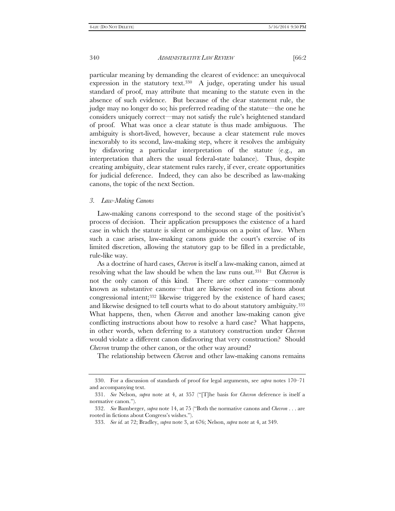particular meaning by demanding the clearest of evidence: an unequivocal expression in the statutory text.<sup>330</sup> A judge, operating under his usual standard of proof, may attribute that meaning to the statute even in the absence of such evidence. But because of the clear statement rule, the judge may no longer do so; his preferred reading of the statute—the one he considers uniquely correct—may not satisfy the rule's heightened standard of proof. What was once a clear statute is thus made ambiguous. The ambiguity is short-lived, however, because a clear statement rule moves inexorably to its second, law-making step, where it resolves the ambiguity by disfavoring a particular interpretation of the statute (e.g., an interpretation that alters the usual federal-state balance). Thus, despite creating ambiguity, clear statement rules rarely, if ever, create opportunities for judicial deference. Indeed, they can also be described as law-making canons, the topic of the next Section.

#### *3. Law-Making Canons*

Law-making canons correspond to the second stage of the positivist's process of decision. Their application presupposes the existence of a hard case in which the statute is silent or ambiguous on a point of law. When such a case arises, law-making canons guide the court's exercise of its limited discretion, allowing the statutory gap to be filled in a predictable, rule-like way.

As a doctrine of hard cases, *Chevron* is itself a law-making canon, aimed at resolving what the law should be when the law runs out.[331](#page-55-1) But *Chevron* is not the only canon of this kind. There are other canons—commonly known as substantive canons—that are likewise rooted in fictions about congressional intent;[332](#page-55-2) likewise triggered by the existence of hard cases; and likewise designed to tell courts what to do about statutory ambiguity[.333](#page-55-3)  What happens, then, when *Chevron* and another law-making canon give conflicting instructions about how to resolve a hard case? What happens, in other words, when deferring to a statutory construction under *Chevron* would violate a different canon disfavoring that very construction? Should *Chevron* trump the other canon, or the other way around?

The relationship between *Chevron* and other law-making canons remains

<span id="page-55-0"></span><sup>330.</sup> For a discussion of standards of proof for legal arguments, see *supra* notes 170–71 and accompanying text.

<span id="page-55-1"></span><sup>331.</sup> *See* Nelson, *supra* note at 4, at 357 ("[T]he basis for *Chevron* deference is itself a normative canon.").

<span id="page-55-3"></span><span id="page-55-2"></span><sup>332.</sup> *See* Bamberger, *supra* note 14, at 75 ("Both the normative canons and *Chevron* . . . are rooted in fictions about Congress's wishes.").

<sup>333.</sup> *See id.* at 72; Bradley, *supra* note 3, at 676; Nelson, *supra* note at 4, at 349.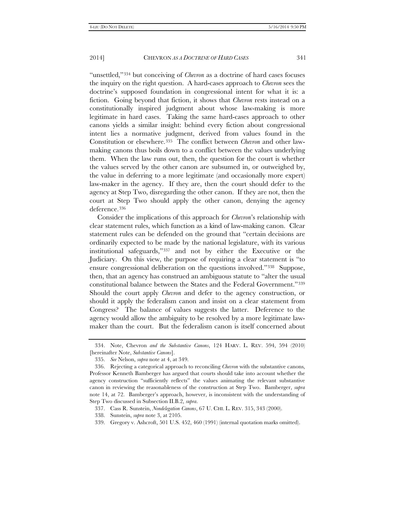"unsettled,"[334](#page-56-0) but conceiving of *Chevron* as a doctrine of hard cases focuses the inquiry on the right question. A hard-cases approach to *Chevron* sees the doctrine's supposed foundation in congressional intent for what it is: a fiction. Going beyond that fiction, it shows that *Chevron* rests instead on a constitutionally inspired judgment about whose law-making is more legitimate in hard cases. Taking the same hard-cases approach to other canons yields a similar insight: behind every fiction about congressional intent lies a normative judgment, derived from values found in the Constitution or elsewhere.[335](#page-56-1) The conflict between *Chevron* and other lawmaking canons thus boils down to a conflict between the values underlying them. When the law runs out, then, the question for the court is whether the values served by the other canon are subsumed in, or outweighed by, the value in deferring to a more legitimate (and occasionally more expert) law-maker in the agency. If they are, then the court should defer to the agency at Step Two, disregarding the other canon. If they are not, then the court at Step Two should apply the other canon, denying the agency deference.[336](#page-56-2)

Consider the implications of this approach for *Chevron*'s relationship with clear statement rules, which function as a kind of law-making canon. Clear statement rules can be defended on the ground that "certain decisions are ordinarily expected to be made by the national legislature, with its various institutional safeguards,"[337](#page-56-3) and not by either the Executive or the Judiciary. On this view, the purpose of requiring a clear statement is "to ensure congressional deliberation on the questions involved."[338](#page-56-4) Suppose, then, that an agency has construed an ambiguous statute to "alter the usual constitutional balance between the States and the Federal Government.["339](#page-56-5)  Should the court apply *Chevron* and defer to the agency construction, or should it apply the federalism canon and insist on a clear statement from Congress? The balance of values suggests the latter. Deference to the agency would allow the ambiguity to be resolved by a more legitimate lawmaker than the court. But the federalism canon is itself concerned about

<span id="page-56-0"></span><sup>334.</sup> Note, Chevron *and the Substantive Canons*, 124 HARV. L. REV. 594, 594 (2010) [hereinafter Note, *Substantive Canons*].

<sup>335.</sup> *See* Nelson, *supra* note at 4, at 349.

<span id="page-56-2"></span><span id="page-56-1"></span><sup>336.</sup> Rejecting a categorical approach to reconciling *Chevron* with the substantive canons, Professor Kenneth Bamberger has argued that courts should take into account whether the agency construction "sufficiently reflects" the values animating the relevant substantive canon in reviewing the reasonableness of the construction at Step Two. Bamberger, *supra* note 14, at 72. Bamberger's approach, however, is inconsistent with the understanding of Step Two discussed in Subsection II.B.2, *supra*.

<span id="page-56-4"></span><span id="page-56-3"></span><sup>337.</sup> Cass R. Sunstein, *Nondelegation Canons*, 67 U. CHI. L. REV. 315, 343 (2000).

<sup>338.</sup> Sunstein, *supra* note 3, at 2105.

<span id="page-56-5"></span><sup>339.</sup> Gregory v. Ashcroft, 501 U.S. 452, 460 (1991) (internal quotation marks omitted).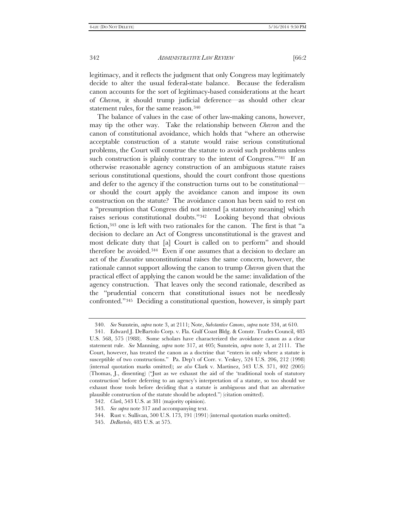legitimacy, and it reflects the judgment that only Congress may legitimately decide to alter the usual federal-state balance. Because the federalism canon accounts for the sort of legitimacy-based considerations at the heart of *Chevron*, it should trump judicial deference—as should other clear statement rules, for the same reason.<sup>[340](#page-57-0)</sup>

The balance of values in the case of other law-making canons, however, may tip the other way. Take the relationship between *Chevron* and the canon of constitutional avoidance, which holds that "where an otherwise acceptable construction of a statute would raise serious constitutional problems, the Court will construe the statute to avoid such problems unless such construction is plainly contrary to the intent of Congress."<sup>[341](#page-57-1)</sup> If an otherwise reasonable agency construction of an ambiguous statute raises serious constitutional questions, should the court confront those questions and defer to the agency if the construction turns out to be constitutional or should the court apply the avoidance canon and impose its own construction on the statute? The avoidance canon has been said to rest on a "presumption that Congress did not intend [a statutory meaning] which raises serious constitutional doubts."[342](#page-57-2) Looking beyond that obvious fiction,[343](#page-57-3) one is left with two rationales for the canon. The first is that "a decision to declare an Act of Congress unconstitutional is the gravest and most delicate duty that [a] Court is called on to perform" and should therefore be avoided.[344](#page-57-4) Even if one assumes that a decision to declare an act of the *Executive* unconstitutional raises the same concern, however, the rationale cannot support allowing the canon to trump *Chevron* given that the practical effect of applying the canon would be the same: invalidation of the agency construction. That leaves only the second rationale, described as the "prudential concern that constitutional issues not be needlessly confronted.["345](#page-57-5) Deciding a constitutional question, however, is simply part

<sup>340.</sup> *See* Sunstein, *supra* note 3, at 2111; Note, *Substantive Canons*, *supra* note 334, at 610.

<span id="page-57-1"></span><span id="page-57-0"></span><sup>341.</sup> Edward J. DeBartolo Corp. v. Fla. Gulf Coast Bldg. & Constr. Trades Council, 485 U.S. 568, 575 (1988). Some scholars have characterized the avoidance canon as a clear statement rule. *See* Manning, *supra* note 317, at 405; Sunstein, *supra* note 3, at 2111. The Court, however, has treated the canon as a doctrine that "enters in only where a statute is susceptible of two constructions." Pa. Dep't of Corr. v. Yeskey, 524 U.S. 206, 212 (1998) (internal quotation marks omitted); *see also* Clark v. Martinez, 543 U.S. 371, 402 (2005) (Thomas, J., dissenting) ("Just as we exhaust the aid of the 'traditional tools of statutory construction' before deferring to an agency's interpretation of a statute, so too should we exhaust those tools before deciding that a statute is ambiguous and that an alternative plausible construction of the statute should be adopted.") (citation omitted).

<span id="page-57-3"></span><span id="page-57-2"></span><sup>342.</sup> *Clark*, 543 U.S. at 381 (majority opinion).

<sup>343.</sup> *See supra* note 317 and accompanying text.

<span id="page-57-4"></span><sup>344.</sup> Rust v. Sullivan, 500 U.S. 173, 191 (1991) (internal quotation marks omitted).

<span id="page-57-5"></span><sup>345.</sup> *DeBartolo*, 485 U.S. at 575.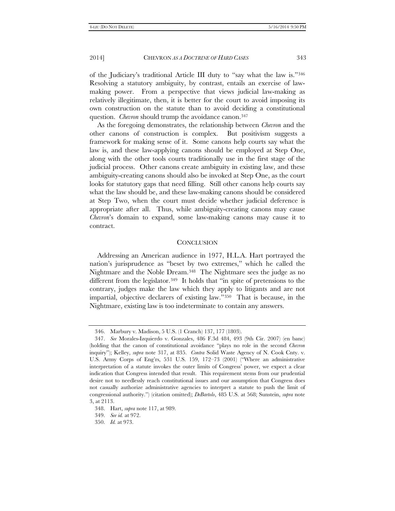of the Judiciary's traditional Article III duty to "say what the law is.["346](#page-58-0)  Resolving a statutory ambiguity, by contrast, entails an exercise of lawmaking power. From a perspective that views judicial law-making as relatively illegitimate, then, it is better for the court to avoid imposing its own construction on the statute than to avoid deciding a constitutional question. *Chevron* should trump the avoidance canon.<sup>[347](#page-58-1)</sup>

As the foregoing demonstrates, the relationship between *Chevron* and the other canons of construction is complex. But positivism suggests a framework for making sense of it. Some canons help courts say what the law is, and these law-applying canons should be employed at Step One, along with the other tools courts traditionally use in the first stage of the judicial process. Other canons create ambiguity in existing law, and these ambiguity-creating canons should also be invoked at Step One, as the court looks for statutory gaps that need filling. Still other canons help courts say what the law should be, and these law-making canons should be considered at Step Two, when the court must decide whether judicial deference is appropriate after all. Thus, while ambiguity-creating canons may cause *Chevron*'s domain to expand, some law-making canons may cause it to contract.

#### **CONCLUSION**

Addressing an American audience in 1977, H.L.A. Hart portrayed the nation's jurisprudence as "beset by two extremes," which he called the Nightmare and the Noble Dream.[348](#page-58-2) The Nightmare sees the judge as no different from the legislator.<sup>[349](#page-58-3)</sup> It holds that "in spite of pretensions to the contrary, judges make the law which they apply to litigants and are not impartial, objective declarers of existing law."[350](#page-58-4) That is because, in the Nightmare, existing law is too indeterminate to contain any answers.

<sup>346.</sup> Marbury v. Madison, 5 U.S. (1 Cranch) 137, 177 (1803).

<span id="page-58-1"></span><span id="page-58-0"></span><sup>347.</sup> *See* Morales-Izquierdo v. Gonzales, 486 F.3d 484, 493 (9th Cir. 2007) (en banc) (holding that the canon of constitutional avoidance "plays no role in the second *Chevron* inquiry"); Kelley, *supra* note 317, at 835. *Contra* Solid Waste Agency of N. Cook Cnty. v. U.S. Army Corps of Eng'rs, 531 U.S. 159, 172–73 (2001) ("Where an administrative interpretation of a statute invokes the outer limits of Congress' power, we expect a clear indication that Congress intended that result. This requirement stems from our prudential desire not to needlessly reach constitutional issues and our assumption that Congress does not casually authorize administrative agencies to interpret a statute to push the limit of congressional authority.") (citation omitted); *DeBartolo*, 485 U.S. at 568; Sunstein, *supra* note 3, at 2113.

<span id="page-58-3"></span><span id="page-58-2"></span><sup>348.</sup> Hart, *supra* note 117, at 989.

<sup>349.</sup> *See id.* at 972.

<span id="page-58-4"></span><sup>350.</sup> *Id.* at 973.